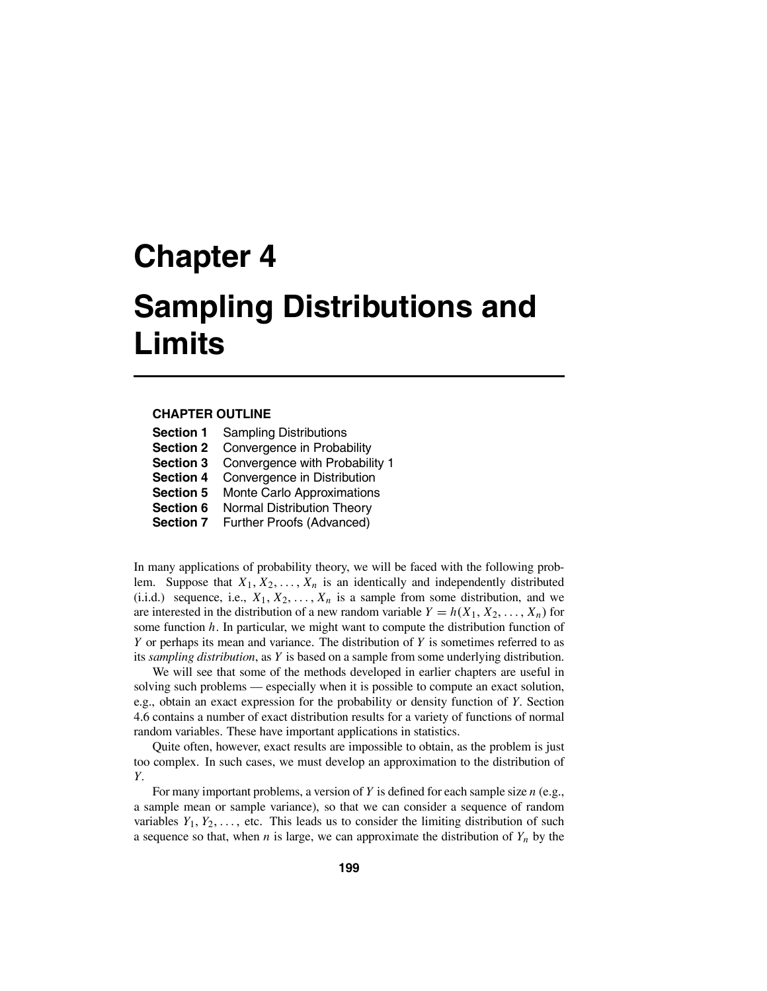### **CHAPTER OUTLINE**

| <b>Section 1</b> | <b>Sampling Distributions</b>     |  |
|------------------|-----------------------------------|--|
| <b>Section 2</b> | Convergence in Probability        |  |
| <b>Section 3</b> | Convergence with Probability 1    |  |
| <b>Section 4</b> | Convergence in Distribution       |  |
| <b>Section 5</b> | Monte Carlo Approximations        |  |
| Section 6        | <b>Normal Distribution Theory</b> |  |
| <b>Section 7</b> | Further Proofs (Advanced)         |  |

In many applications of probability theory, we will be faced with the following problem. Suppose that  $X_1, X_2, \ldots, X_n$  is an identically and independently distributed (i.i.d.) sequence, i.e.,  $X_1, X_2, \ldots, X_n$  is a sample from some distribution, and we are interested in the distribution of a new random variable  $Y = h(X_1, X_2, \ldots, X_n)$  for some function *h*. In particular, we might want to compute the distribution function of *Y* or perhaps its mean and variance. The distribution of *Y* is sometimes referred to as its *sampling distribution*, as *Y* is based on a sample from some underlying distribution.

We will see that some of the methods developed in earlier chapters are useful in solving such problems — especially when it is possible to compute an exact solution, e.g., obtain an exact expression for the probability or density function of *Y*. Section 4.6 contains a number of exact distribution results for a variety of functions of normal random variables. These have important applications in statistics.

Quite often, however, exact results are impossible to obtain, as the problem is just too complex. In such cases, we must develop an approximation to the distribution of *Y*.

For many important problems, a version of *Y* is defined for each sample size *n* (e.g., a sample mean or sample variance), so that we can consider a sequence of random variables  $Y_1, Y_2, \ldots$ , etc. This leads us to consider the limiting distribution of such a sequence so that, when  $n$  is large, we can approximate the distribution of  $Y_n$  by the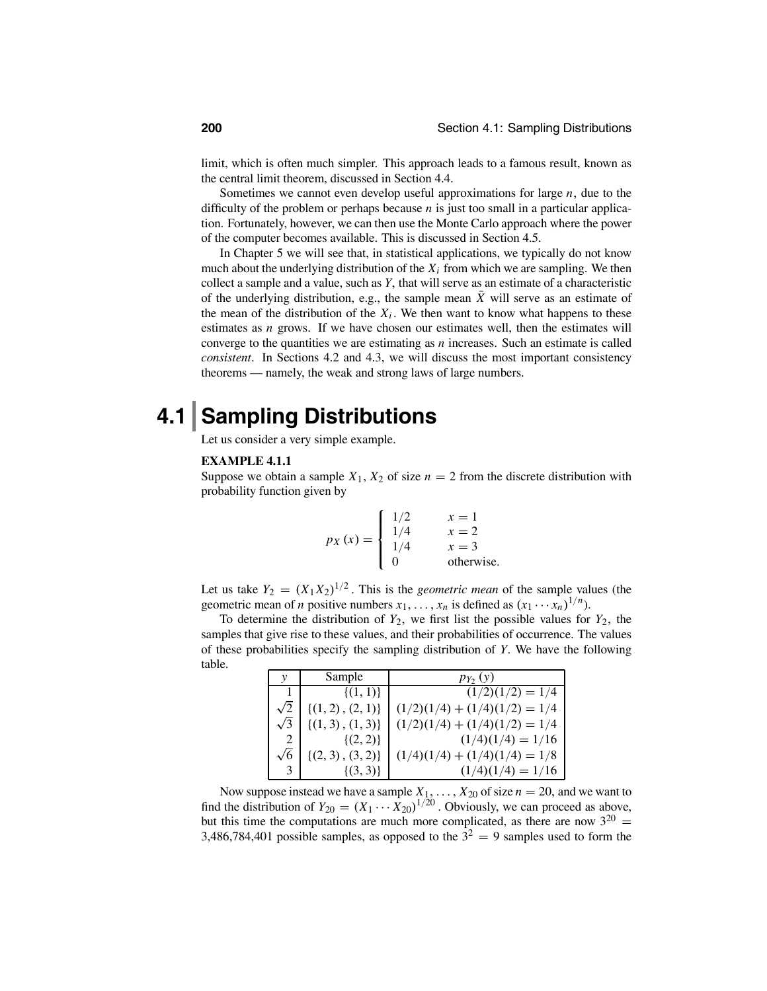limit, which is often much simpler. This approach leads to a famous result, known as the central limit theorem, discussed in Section 4.4.

Sometimes we cannot even develop useful approximations for large *n*, due to the difficulty of the problem or perhaps because *n* is just too small in a particular application. Fortunately, however, we can then use the Monte Carlo approach where the power of the computer becomes available. This is discussed in Section 4.5.

In Chapter 5 we will see that, in statistical applications, we typically do not know much about the underlying distribution of the  $X_i$  from which we are sampling. We then collect a sample and a value, such as *Y*, that will serve as an estimate of a characteristic of the underlying distribution, e.g., the sample mean  $\overline{X}$  will serve as an estimate of the mean of the distribution of the  $X_i$ . We then want to know what happens to these estimates as *n* grows. If we have chosen our estimates well, then the estimates will converge to the quantities we are estimating as  $n$  increases. Such an estimate is called *consistent*. In Sections 4.2 and 4.3, we will discuss the most important consistency theorems — namely, the weak and strong laws of large numbers.

## **4.1 Sampling Distributions**

Let us consider a very simple example.

### **EXAMPLE 4.1.1**

Suppose we obtain a sample  $X_1, X_2$  of size  $n = 2$  from the discrete distribution with probability function given by

$$
p_X(x) = \begin{cases} 1/2 & x = 1 \\ 1/4 & x = 2 \\ 1/4 & x = 3 \\ 0 & \text{otherwise.} \end{cases}
$$

Let us take  $Y_2 = (X_1 X_2)^{1/2}$ . This is the *geometric mean* of the sample values (the geometric mean of *n* positive numbers  $x_1, \ldots, x_n$  is defined as  $(x_1 \cdots x_n)^{1/n}$ .

To determine the distribution of  $Y_2$ , we first list the possible values for  $Y_2$ , the samples that give rise to these values, and their probabilities of occurrence. The values of these probabilities specify the sampling distribution of *Y*. We have the following table.

| V          | Sample                | $p_{Y_2}(y)$                    |
|------------|-----------------------|---------------------------------|
|            | $\{(1,1)\}\$          | $(1/2)(1/2) = 1/4$              |
|            | $\{(1, 2), (2, 1)\}\$ | $(1/2)(1/4) + (1/4)(1/2) = 1/4$ |
| $\sqrt{3}$ | $\{(1, 3), (1, 3)\}\$ | $(1/2)(1/4) + (1/4)(1/2) = 1/4$ |
|            | $\{(2,2)\}\$          | $(1/4)(1/4) = 1/16$             |
|            | $\{(2,3), (3,2)\}\$   | $(1/4)(1/4) + (1/4)(1/4) = 1/8$ |
|            | $\{(3,3)\}\$          | $(1/4)(1/4) = 1/16$             |

Now suppose instead we have a sample  $X_1, \ldots, X_{20}$  of size  $n = 20$ , and we want to find the distribution of  $Y_{20} = (X_1 \cdots X_{20})^{1/20}$ . Obviously, we can proceed as above, but this time the computations are much more complicated, as there are now  $3^{20}$  = 3,486,784,401 possible samples, as opposed to the  $3^2 = 9$  samples used to form the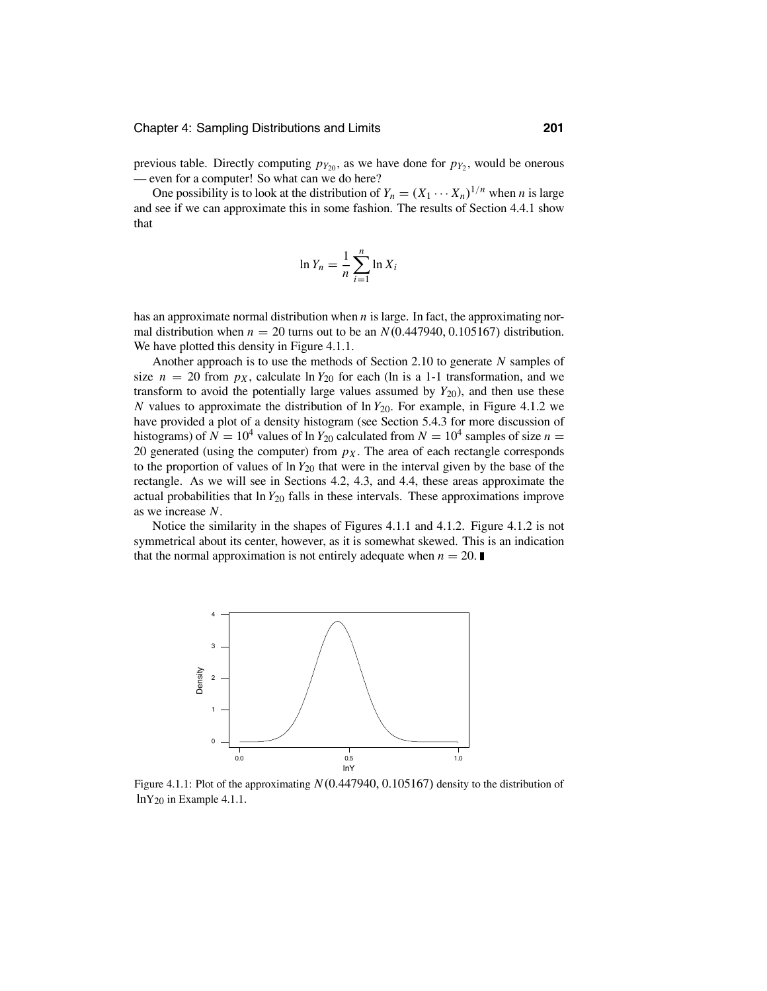previous table. Directly computing  $p_{Y_{20}}$ , as we have done for  $p_{Y_2}$ , would be onerous — even for a computer! So what can we do here?

One possibility is to look at the distribution of  $Y_n = (X_1 \cdots X_n)^{1/n}$  when *n* is large and see if we can approximate this in some fashion. The results of Section 4.4.1 show that

$$
\ln Y_n = \frac{1}{n} \sum_{i=1}^n \ln X_i
$$

has an approximate normal distribution when *n* is large. In fact, the approximating normal distribution when  $n = 20$  turns out to be an  $N(0.447940, 0.105167)$  distribution. We have plotted this density in Figure 4.1.1.

Another approach is to use the methods of Section 2.10 to generate *N* samples of size  $n = 20$  from  $p<sub>X</sub>$ , calculate ln  $Y<sub>20</sub>$  for each (ln is a 1-1 transformation, and we transform to avoid the potentially large values assumed by  $Y_{20}$ ), and then use these *N* values to approximate the distribution of  $\ln Y_{20}$ . For example, in Figure 4.1.2 we have provided a plot of a density histogram (see Section 5.4.3 for more discussion of histograms) of  $N = 10^4$  values of ln  $Y_{20}$  calculated from  $N = 10^4$  samples of size  $n =$ 20 generated (using the computer) from  $p<sub>X</sub>$ . The area of each rectangle corresponds to the proportion of values of ln *Y*<sup>20</sup> that were in the interval given by the base of the rectangle. As we will see in Sections 4.2, 4.3, and 4.4, these areas approximate the actual probabilities that ln *Y*<sup>20</sup> falls in these intervals. These approximations improve as we increase *N*.

Notice the similarity in the shapes of Figures 4.1.1 and 4.1.2. Figure 4.1.2 is not symmetrical about its center, however, as it is somewhat skewed. This is an indication that the normal approximation is not entirely adequate when  $n = 20$ .



Figure 4.1.1: Plot of the approximating *N*(0.447940, 0.105167) density to the distribution of lnY20 in Example 4.1.1.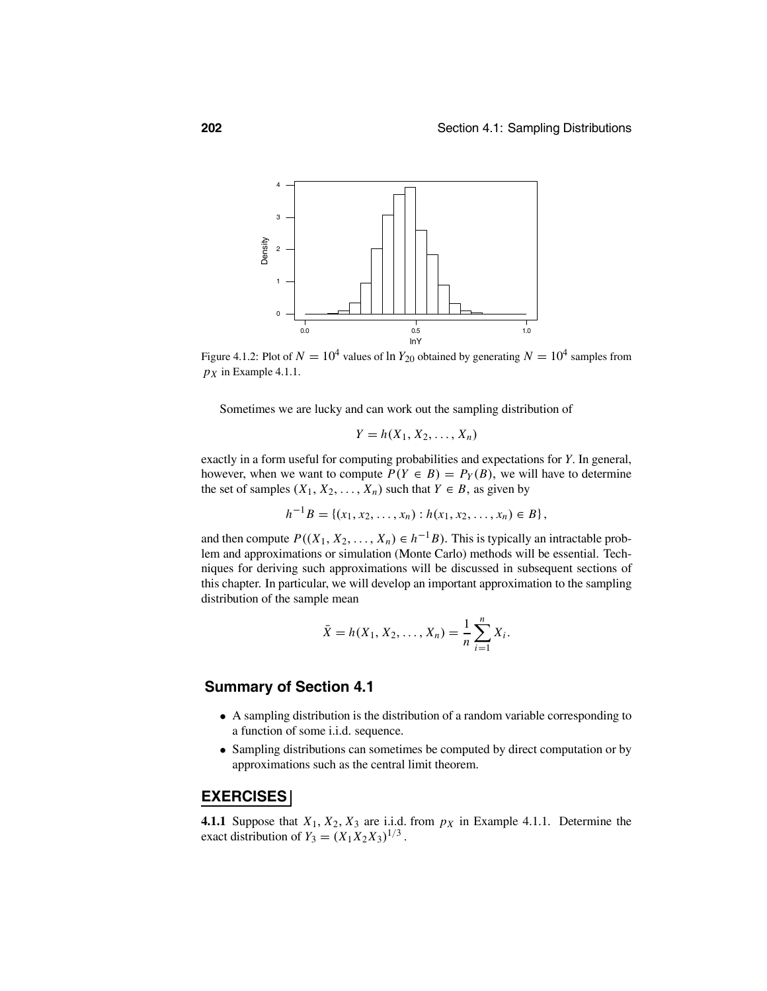

Figure 4.1.2: Plot of  $N = 10^4$  values of ln  $Y_{20}$  obtained by generating  $N = 10^4$  samples from  $p_X$  in Example 4.1.1.

Sometimes we are lucky and can work out the sampling distribution of

$$
Y=h(X_1,X_2,\ldots,X_n)
$$

exactly in a form useful for computing probabilities and expectations for *Y*. In general, however, when we want to compute  $P(Y \in B) = P_Y(B)$ , we will have to determine the set of samples  $(X_1, X_2, \ldots, X_n)$  such that  $Y \in B$ , as given by

 $h^{-1}B = \{(x_1, x_2, \ldots, x_n) : h(x_1, x_2, \ldots, x_n) \in B\},$ 

and then compute  $P((X_1, X_2, ..., X_n) \in h^{-1}B)$ . This is typically an intractable problem and approximations or simulation (Monte Carlo) methods will be essential. Techniques for deriving such approximations will be discussed in subsequent sections of this chapter. In particular, we will develop an important approximation to the sampling distribution of the sample mean

$$
\bar{X} = h(X_1, X_2, \dots, X_n) = \frac{1}{n} \sum_{i=1}^n X_i.
$$

### **Summary of Section 4.1**

- A sampling distribution is the distribution of a random variable corresponding to a function of some i.i.d. sequence.
- Sampling distributions can sometimes be computed by direct computation or by approximations such as the central limit theorem.

### **EXERCISES**

**4.1.1** Suppose that  $X_1, X_2, X_3$  are i.i.d. from  $p_X$  in Example 4.1.1. Determine the exact distribution of  $Y_3 = (X_1 X_2 X_3)^{1/3}$ .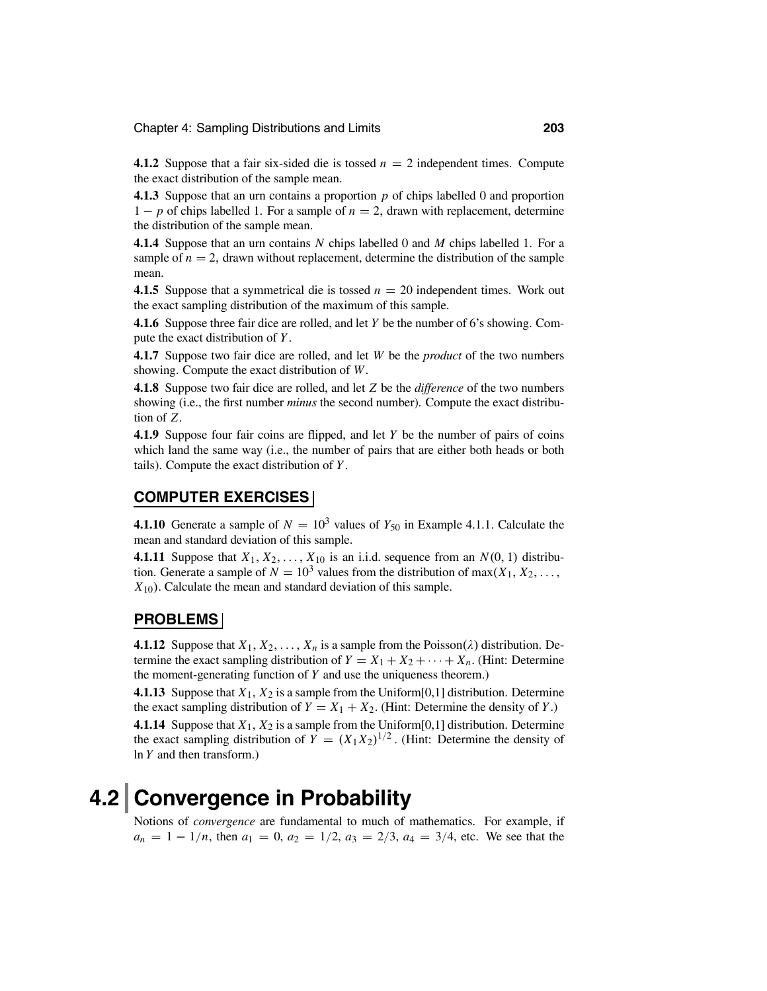**4.1.2** Suppose that a fair six-sided die is tossed  $n = 2$  independent times. Compute the exact distribution of the sample mean.

**4.1.3** Suppose that an urn contains a proportion *p* of chips labelled 0 and proportion <sup>1</sup> <sup>−</sup> *<sup>p</sup>* of chips labelled 1. For a sample of *<sup>n</sup>* <sup>=</sup> <sup>2</sup>, drawn with replacement, determine the distribution of the sample mean.

**4.1.4** Suppose that an urn contains *N* chips labelled 0 and *M* chips labelled 1. For a sample of  $n = 2$ , drawn without replacement, determine the distribution of the sample mean.

**4.1.5** Suppose that a symmetrical die is tossed *<sup>n</sup>* <sup>=</sup> 20 independent times. Work out the exact sampling distribution of the maximum of this sample.

**4.1.6** Suppose three fair dice are rolled, and let *Y* be the number of 6's showing. Compute the exact distribution of *Y*.

**4.1.7** Suppose two fair dice are rolled, and let *W* be the *product* of the two numbers showing. Compute the exact distribution of *W*.

**4.1.8** Suppose two fair dice are rolled, and let *Z* be the *difference* of the two numbers showing (i.e., the first number *minus* the second number). Compute the exact distribution of *Z*.

**4.1.9** Suppose four fair coins are flipped, and let *Y* be the number of pairs of coins which land the same way (i.e., the number of pairs that are either both heads or both tails). Compute the exact distribution of *Y*.

### **COMPUTER EXERCISES**

**4.1.10** Generate a sample of  $N = 10^3$  values of  $Y_{50}$  in Example 4.1.1. Calculate the mean and standard deviation of this sample.

**4.1.11** Suppose that  $X_1, X_2, \ldots, X_{10}$  is an i.i.d. sequence from an  $N(0, 1)$  distribution. Generate a sample of  $N = 10^3$  values from the distribution of max( $X_1, X_2, \ldots$ , *X*10). Calculate the mean and standard deviation of this sample.

### **PROBLEMS**

**4.1.12** Suppose that  $X_1, X_2, \ldots, X_n$  is a sample from the Poisson( $\lambda$ ) distribution. Determine the exact sampling distribution of  $Y = X_1 + X_2 + \cdots + X_n$ . (Hint: Determine the moment-generating function of *Y* and use the uniqueness theorem.)

**4.1.13** Suppose that *X*1, *X*<sup>2</sup> is a sample from the Uniform[0,1] distribution. Determine the exact sampling distribution of  $Y = X_1 + X_2$ . (Hint: Determine the density of *Y*.) **4.1.14** Suppose that *X*1, *X*<sup>2</sup> is a sample from the Uniform[0,1] distribution. Determine the exact sampling distribution of  $Y = (X_1 X_2)^{1/2}$ . (Hint: Determine the density of ln *Y* and then transform.)

## **4.2 Convergence in Probability**

Notions of *convergence* are fundamental to much of mathematics. For example, if  $a_n = 1 - 1/n$ , then  $a_1 = 0$ ,  $a_2 = 1/2$ ,  $a_3 = 2/3$ ,  $a_4 = 3/4$ , etc. We see that the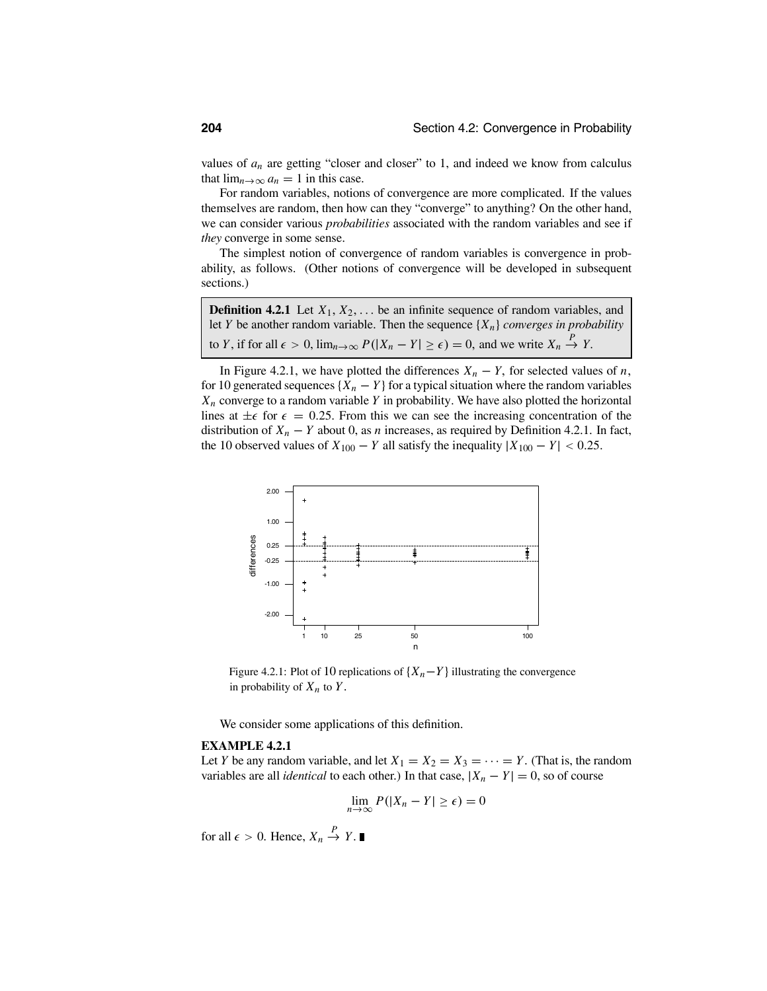values of  $a_n$  are getting "closer and closer" to 1, and indeed we know from calculus that  $\lim_{n\to\infty} a_n = 1$  in this case.

For random variables, notions of convergence are more complicated. If the values themselves are random, then how can they "converge" to anything? On the other hand, we can consider various *probabilities* associated with the random variables and see if *they* converge in some sense.

The simplest notion of convergence of random variables is convergence in probability, as follows. (Other notions of convergence will be developed in subsequent sections.)

| <b>Definition 4.2.1</b> Let $X_1, X_2, \ldots$ be an infinite sequence of random variables, and                                  |
|----------------------------------------------------------------------------------------------------------------------------------|
| let Y be another random variable. Then the sequence $\{X_n\}$ converges in probability                                           |
| to Y, if for all $\epsilon > 0$ , $\lim_{n \to \infty} P( X_n - Y  \ge \epsilon) = 0$ , and we write $X_n \stackrel{P}{\to} Y$ . |

In Figure 4.2.1, we have plotted the differences  $X_n - Y$ , for selected values of *n*, for 10 generated sequences  $\{X_n - Y\}$  for a typical situation where the random variables *Xn* converge to a random variable *Y* in probability. We have also plotted the horizontal lines at  $\pm \epsilon$  for  $\epsilon = 0.25$ . From this we can see the increasing concentration of the distribution of  $X_n - Y$  about 0, as *n* increases, as required by Definition 4.2.1. In fact, the 10 observed values of  $X_{100} - Y$  all satisfy the inequality  $|X_{100} - Y| < 0.25$ .



Figure 4.2.1: Plot of 10 replications of  $\{X_n - Y\}$  illustrating the convergence in probability of  $X_n$  to  $Y$ .

We consider some applications of this definition.

### **EXAMPLE 4.2.1**

Let *Y* be any random variable, and let  $X_1 = X_2 = X_3 = \cdots = Y$ . (That is, the random variables are all *identical* to each other.) In that case,  $|X_n - Y| = 0$ , so of course

$$
\lim_{n\to\infty} P(|X_n - Y| \ge \epsilon) = 0
$$

for all  $\epsilon > 0$ . Hence,  $X_n \stackrel{P}{\to} Y$ .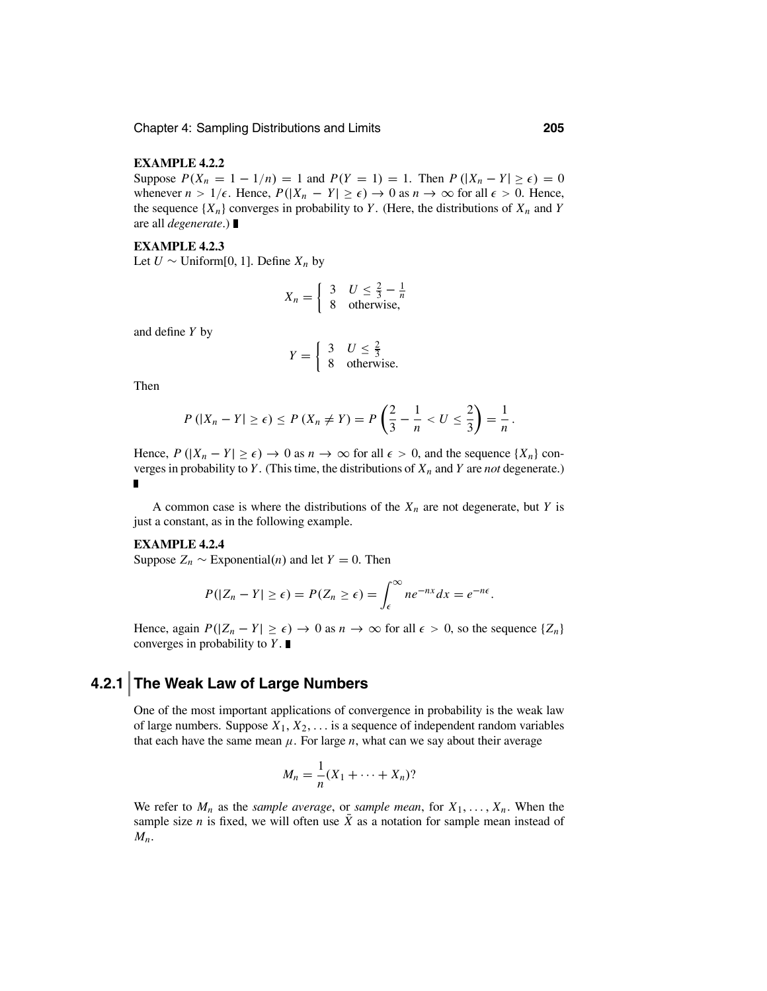### **EXAMPLE 4.2.2**

Suppose  $P(X_n = 1 - 1/n) = 1$  and  $P(Y = 1) = 1$ . Then  $P(|X_n - Y| \ge \epsilon) = 0$ whenever  $n > 1/\epsilon$ . Hence,  $P(|X_n - Y| \geq \epsilon) \to 0$  as  $n \to \infty$  for all  $\epsilon > 0$ . Hence, the sequence  $\{X_n\}$  converges in probability to *Y*. (Here, the distributions of  $X_n$  and *Y* are all *degenerate*.)

### **EXAMPLE 4.2.3**

Let *U* ∼ Uniform[0, 1]. Define  $X_n$  by

$$
X_n = \begin{cases} 3 & U \leq \frac{2}{3} - \frac{1}{n} \\ 8 & \text{otherwise,} \end{cases}
$$

and define *Y* by

$$
Y = \begin{cases} 3 & U \le \frac{2}{3} \\ 8 & \text{otherwise.} \end{cases}
$$

Then

$$
P(|X_n - Y| \ge \epsilon) \le P(X_n \ne Y) = P\left(\frac{2}{3} - \frac{1}{n} < U \le \frac{2}{3}\right) = \frac{1}{n}.
$$

Hence,  $P(|X_n - Y| \ge \epsilon) \to 0$  as  $n \to \infty$  for all  $\epsilon > 0$ , and the sequence  $\{X_n\}$  converges in probability to  $Y$ . (This time, the distributions of  $X_n$  and  $Y$  are *not* degenerate.)  $\blacksquare$ 

A common case is where the distributions of the  $X_n$  are not degenerate, but *Y* is just a constant, as in the following example.

### **EXAMPLE 4.2.4**

Suppose  $Z_n \sim$  Exponential(*n*) and let  $Y = 0$ . Then

$$
P(|Z_n - Y| \geq \epsilon) = P(Z_n \geq \epsilon) = \int_{\epsilon}^{\infty} n e^{-nx} dx = e^{-n\epsilon}.
$$

Hence, again  $P(|Z_n - Y| \ge \epsilon) \to 0$  as  $n \to \infty$  for all  $\epsilon > 0$ , so the sequence  $\{Z_n\}$ converges in probability to *Y*.

### **4.2.1 The Weak Law of Large Numbers**

One of the most important applications of convergence in probability is the weak law of large numbers. Suppose  $X_1, X_2, \ldots$  is a sequence of independent random variables that each have the same mean  $\mu$ . For large *n*, what can we say about their average

$$
M_n = \frac{1}{n}(X_1 + \dots + X_n)?
$$

We refer to  $M_n$  as the *sample average*, or *sample mean*, for  $X_1, \ldots, X_n$ . When the sample size *n* is fixed, we will often use  $\overline{X}$  as a notation for sample mean instead of *Mn*.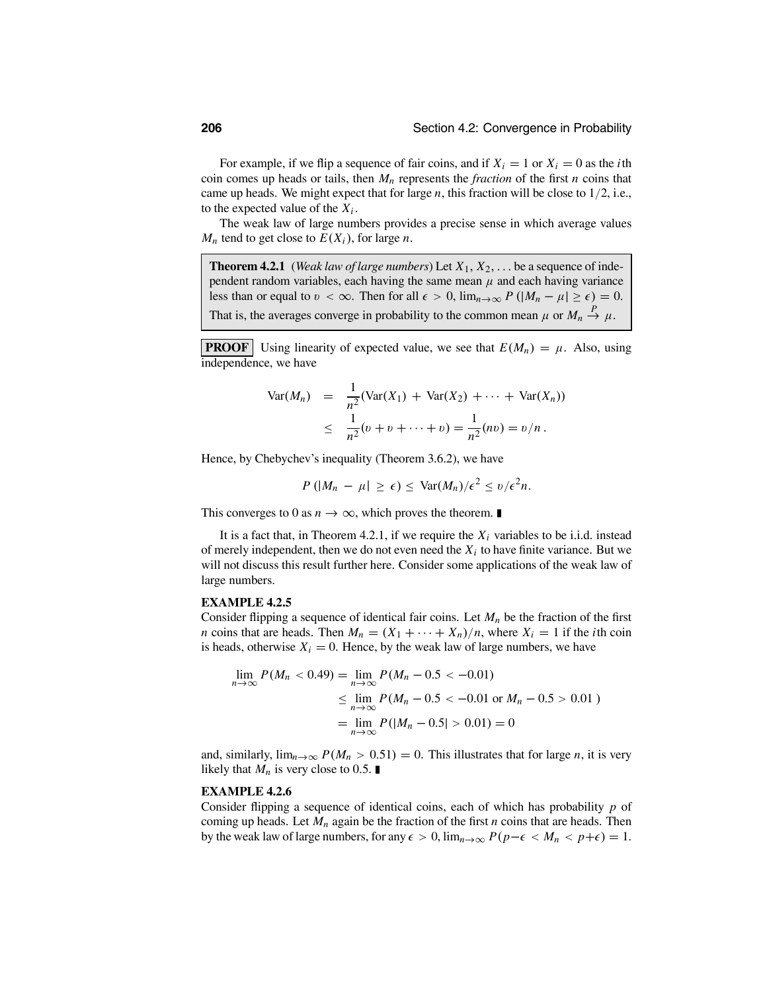For example, if we flip a sequence of fair coins, and if  $X_i = 1$  or  $X_i = 0$  as the *i*th coin comes up heads or tails, then  $M_n$  represents the *fraction* of the first *n* coins that came up heads. We might expect that for large *n*, this fraction will be close to 1/2, i.e., to the expected value of the  $X_i$ .

The weak law of large numbers provides a precise sense in which average values  $M_n$  tend to get close to  $E(X_i)$ , for large *n*.

**Theorem 4.2.1** (*Weak law of large numbers*) Let  $X_1, X_2, \ldots$  be a sequence of independent random variables, each having the same mean  $\mu$  and each having variance less than or equal to  $v < \infty$ . Then for all  $\epsilon > 0$ ,  $\lim_{n \to \infty} P(|M_n - \mu| \ge \epsilon) = 0$ . That is, the averages converge in probability to the common mean  $\mu$  or  $M_n \stackrel{P}{\to} \mu$ .

**PROOF** Using linearity of expected value, we see that  $E(M_n) = \mu$ . Also, using independence, we have

$$
\begin{array}{rcl}\n\text{Var}(M_n) & = & \frac{1}{n^2} (\text{Var}(X_1) + \text{Var}(X_2) + \dots + \text{Var}(X_n)) \\
& \leq & \frac{1}{n^2} (v + v + \dots + v) = \frac{1}{n^2} (nv) = v/n \,.\n\end{array}
$$

Hence, by Chebychev's inequality (Theorem 3.6.2), we have

$$
P\left(|M_n - \mu| \geq \epsilon\right) \leq \text{Var}(M_n)/\epsilon^2 \leq v/\epsilon^2 n.
$$

This converges to 0 as  $n \to \infty$ , which proves the theorem.

It is a fact that, in Theorem 4.2.1, if we require the  $X_i$  variables to be i.i.d. instead of merely independent, then we do not even need the  $X_i$  to have finite variance. But we will not discuss this result further here. Consider some applications of the weak law of large numbers.

#### **EXAMPLE 4.2.5**

Consider flipping a sequence of identical fair coins. Let  $M_n$  be the fraction of the first *n* coins that are heads. Then  $M_n = (X_1 + \cdots + X_n)/n$ , where  $X_i = 1$  if the *i*th coin is heads, otherwise  $X_i = 0$ . Hence, by the weak law of large numbers, we have

$$
\lim_{n \to \infty} P(M_n < 0.49) = \lim_{n \to \infty} P(M_n - 0.5 < -0.01)
$$
\n
$$
\leq \lim_{n \to \infty} P(M_n - 0.5 < -0.01 \text{ or } M_n - 0.5 > 0.01)
$$
\n
$$
= \lim_{n \to \infty} P(|M_n - 0.5| > 0.01) = 0
$$

and, similarly,  $\lim_{n\to\infty} P(M_n > 0.51) = 0$ . This illustrates that for large *n*, it is very likely that  $M_n$  is very close to 0.5.

### **EXAMPLE 4.2.6**

Consider flipping a sequence of identical coins, each of which has probability *p* of coming up heads. Let *Mn* again be the fraction of the first *n* coins that are heads. Then by the weak law of large numbers, for any  $\epsilon > 0$ ,  $\lim_{n \to \infty} P(p - \epsilon < M_n < p + \epsilon) = 1$ .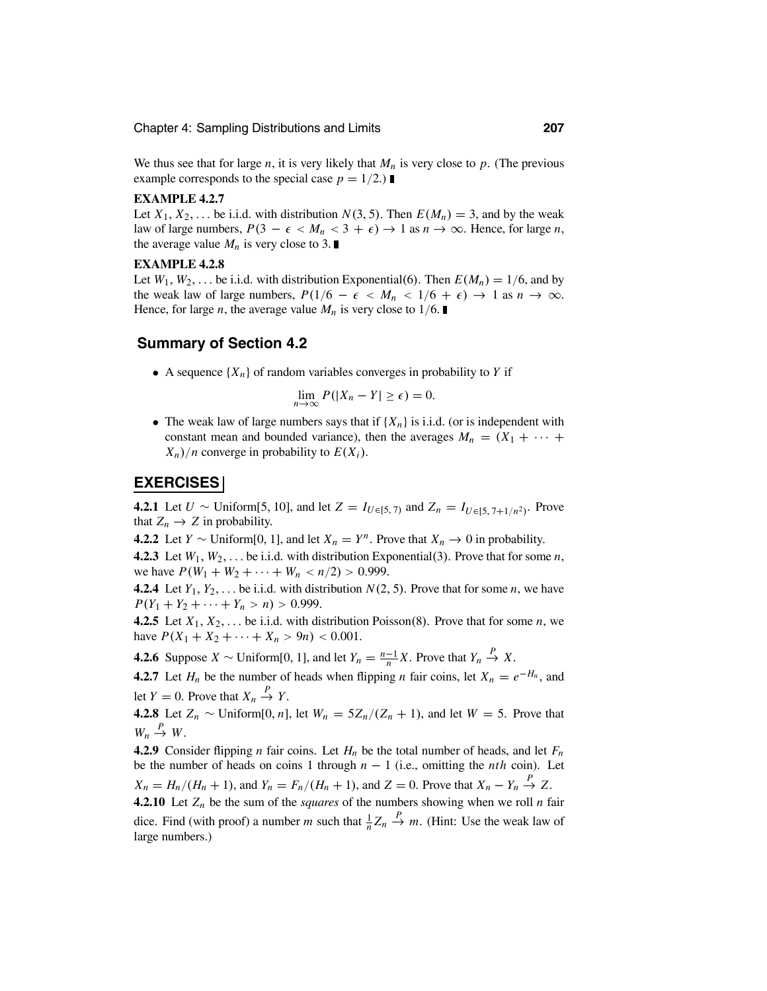We thus see that for large  $n$ , it is very likely that  $M_n$  is very close to  $p$ . (The previous example corresponds to the special case  $p = 1/2$ .)

### **EXAMPLE 4.2.7**

Let  $X_1, X_2, \ldots$  be i.i.d. with distribution  $N(3, 5)$ . Then  $E(M_n) = 3$ , and by the weak law of large numbers,  $P(3 - \epsilon < M_n < 3 + \epsilon) \rightarrow 1$  as  $n \rightarrow \infty$ . Hence, for large *n*, the average value  $M_n$  is very close to 3.

### **EXAMPLE 4.2.8**

Let  $W_1, W_2, \ldots$  be i.i.d. with distribution Exponential(6). Then  $E(M_n) = 1/6$ , and by the weak law of large numbers,  $P(1/6 - \epsilon < M_n < 1/6 + \epsilon) \rightarrow 1$  as  $n \rightarrow \infty$ . Hence, for large *n*, the average value  $M_n$  is very close to 1/6.

### **Summary of Section 4.2**

• A sequence  $\{X_n\}$  of random variables converges in probability to *Y* if

$$
\lim_{n\to\infty} P(|X_n - Y| \ge \epsilon) = 0.
$$

• The weak law of large numbers says that if  ${X_n}$  is i.i.d. (or is independent with constant mean and bounded variance), then the averages  $M_n = (X_1 + \cdots +$  $X_n$ /*n* converge in probability to  $E(X_i)$ .

### **EXERCISES**

**4.2.1** Let *U* ∼ Uniform[5, 10], and let *Z* = *I<sub>U*∈[5, 7)</sub> and *Z<sub>n</sub>* = *I<sub>U∈[5, 7+1/n<sup>2</sup>)*</sub>. Prove that  $Z_n \to Z$  in probability.

**4.2.2** Let *Y* ∼ Uniform[0, 1], and let *X<sub>n</sub>* = *Y<sup>n</sup>*. Prove that *X<sub>n</sub>* → 0 in probability.

**4.2.3** Let  $W_1, W_2, \ldots$  be i.i.d. with distribution Exponential(3). Prove that for some *n*, we have  $P(W_1 + W_2 + \cdots + W_n < n/2) > 0.999$ .

**4.2.4** Let  $Y_1, Y_2, \ldots$  be i.i.d. with distribution  $N(2, 5)$ . Prove that for some *n*, we have  $P(Y_1 + Y_2 + \cdots + Y_n > n) > 0.999$ .

**4.2.5** Let  $X_1, X_2, \ldots$  be i.i.d. with distribution Poisson(8). Prove that for some *n*, we have  $P(X_1 + X_2 + \cdots + X_n > 9n) < 0.001$ .

**4.2.6** Suppose *X* ∼ Uniform[0, 1], and let  $Y_n = \frac{n-1}{n}X$ . Prove that  $Y_n \stackrel{P}{\to} X$ .

**4.2.7** Let  $H_n$  be the number of heads when flipping *n* fair coins, let  $X_n = e^{-H_n}$ , and let  $Y = 0$ . Prove that  $X_n \stackrel{P}{\to} Y$ .

**4.2.8** Let  $Z_n$  ∼ Uniform[0, *n*], let  $W_n = 5Z_n/(Z_n + 1)$ , and let  $W = 5$ . Prove that  $W_n \stackrel{P}{\to} W$ .

**4.2.9** Consider flipping *n* fair coins. Let  $H_n$  be the total number of heads, and let  $F_n$ be the number of heads on coins 1 through  $n - 1$  (i.e., omitting the *nth* coin). Let  $X_n = H_n/(H_n + 1)$ , and  $Y_n = F_n/(H_n + 1)$ , and  $Z = 0$ . Prove that  $X_n - Y_n \stackrel{P}{\rightarrow} Z$ .

**4.2.10** Let  $Z_n$  be the sum of the *squares* of the numbers showing when we roll *n* fair dice. Find (with proof) a number *m* such that  $\frac{1}{n}Z_n \xrightarrow{P} m$ . (Hint: Use the weak law of large numbers.)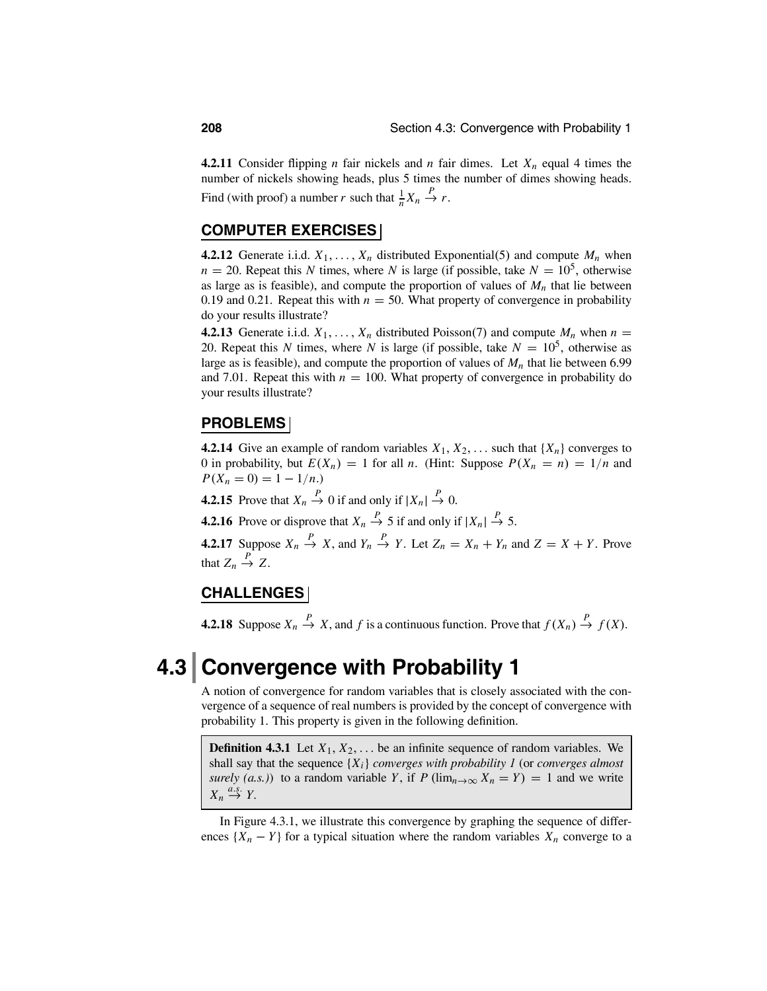**4.2.11** Consider flipping *n* fair nickels and *n* fair dimes. Let  $X_n$  equal 4 times the number of nickels showing heads, plus 5 times the number of dimes showing heads. Find (with proof) a number *r* such that  $\frac{1}{n}X_n \xrightarrow{P} r$ .

### **COMPUTER EXERCISES**

**4.2.12** Generate i.i.d.  $X_1, \ldots, X_n$  distributed Exponential(5) and compute  $M_n$  when  $n = 20$ . Repeat this *N* times, where *N* is large (if possible, take  $N = 10<sup>5</sup>$ , otherwise as large as is feasible), and compute the proportion of values of  $M_n$  that lie between 0.19 and 0.21. Repeat this with  $n = 50$ . What property of convergence in probability do your results illustrate?

**4.2.13** Generate i.i.d.  $X_1, \ldots, X_n$  distributed Poisson(7) and compute  $M_n$  when  $n =$ 20. Repeat this *N* times, where *N* is large (if possible, take  $N = 10<sup>5</sup>$ , otherwise as large as is feasible), and compute the proportion of values of  $M_n$  that lie between 6.99 and 7.01. Repeat this with  $n = 100$ . What property of convergence in probability do your results illustrate?

### **PROBLEMS**

**4.2.14** Give an example of random variables  $X_1, X_2, \ldots$  such that  $\{X_n\}$  converges to 0 in probability, but  $E(X_n) = 1$  for all *n*. (Hint: Suppose  $P(X_n = n) = 1/n$  and  $P(X_n = 0) = 1 - 1/n$ .)

**4.2.15** Prove that  $X_n \stackrel{P}{\to} 0$  if and only if  $|X_n| \stackrel{P}{\to} 0$ .

**4.2.16** Prove or disprove that  $X_n \stackrel{P}{\to} 5$  if and only if  $|X_n| \stackrel{P}{\to} 5$ .

**4.2.17** Suppose  $X_n \stackrel{P}{\to} X$ , and  $Y_n \stackrel{P}{\to} Y$ . Let  $Z_n = X_n + Y_n$  and  $Z = X + Y$ . Prove that  $Z_n \stackrel{P}{\to} Z$ .

### **CHALLENGES**

**4.2.18** Suppose  $X_n \stackrel{P}{\to} X$ , and  $f$  is a continuous function. Prove that  $f(X_n) \stackrel{P}{\to} f(X)$ .

## **4.3 Convergence with Probability 1**

A notion of convergence for random variables that is closely associated with the convergence of a sequence of real numbers is provided by the concept of convergence with probability 1. This property is given in the following definition.

**Definition 4.3.1** Let  $X_1, X_2, \ldots$  be an infinite sequence of random variables. We shall say that the sequence {*Xi*} *converges with probability 1* (or *converges almost surely (a.s.)*) to a random variable *Y*, if *P* ( $\lim_{n\to\infty} X_n = Y$ ) = 1 and we write  $X_n \stackrel{a.s.}{\rightarrow} Y$ .

In Figure 4.3.1, we illustrate this convergence by graphing the sequence of differences  $\{X_n - Y\}$  for a typical situation where the random variables  $X_n$  converge to a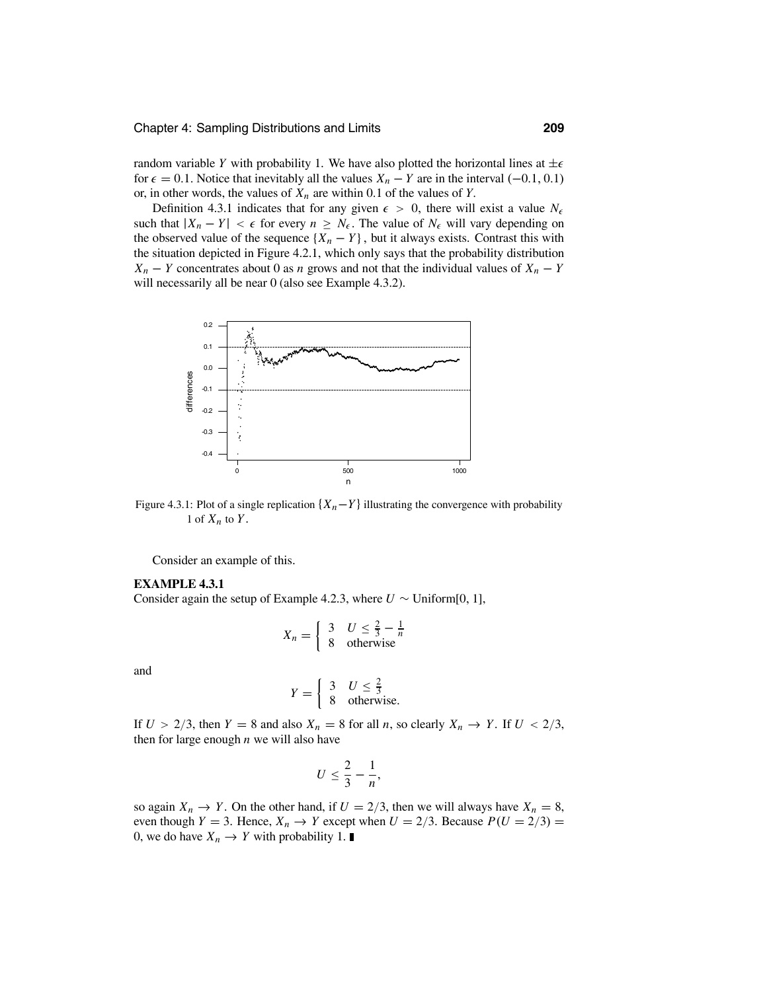random variable *Y* with probability 1. We have also plotted the horizontal lines at  $\pm \epsilon$ for  $\epsilon = 0.1$ . Notice that inevitably all the values  $X_n - Y$  are in the interval (-0.1, 0.1) or, in other words, the values of  $X_n$  are within 0.1 of the values of *Y*.

Definition 4.3.1 indicates that for any given  $\epsilon > 0$ , there will exist a value  $N_{\epsilon}$ such that  $|X_n - Y| < \epsilon$  for every  $n \geq N_{\epsilon}$ . The value of  $N_{\epsilon}$  will vary depending on the observed value of the sequence  $\{X_n - Y\}$ , but it always exists. Contrast this with the situation depicted in Figure 4.2.1, which only says that the probability distribution *X<sub>n</sub>* − *Y* concentrates about 0 as *n* grows and not that the individual values of  $X_n$  − *Y* will necessarily all be near 0 (also see Example 4.3.2).



Figure 4.3.1: Plot of a single replication  $\{X_n-Y\}$  illustrating the convergence with probability 1 of  $X_n$  to  $Y$ .

Consider an example of this.

### **EXAMPLE 4.3.1**

Consider again the setup of Example 4.2.3, where  $U \sim$  Uniform[0, 1],

$$
X_n = \begin{cases} 3 & U \leq \frac{2}{3} - \frac{1}{n} \\ 8 & \text{otherwise} \end{cases}
$$

and

$$
Y = \begin{cases} 3 & U \le \frac{2}{3} \\ 8 & \text{otherwise.} \end{cases}
$$

If  $U > 2/3$ , then  $Y = 8$  and also  $X_n = 8$  for all *n*, so clearly  $X_n \to Y$ . If  $U < 2/3$ , then for large enough *n* we will also have

$$
U\leq \frac{2}{3}-\frac{1}{n},
$$

so again  $X_n \to Y$ . On the other hand, if  $U = 2/3$ , then we will always have  $X_n = 8$ , even though *Y* = 3. Hence,  $X_n \to Y$  except when  $U = 2/3$ . Because  $P(U = 2/3)$  = 0, we do have  $X_n \to Y$  with probability 1.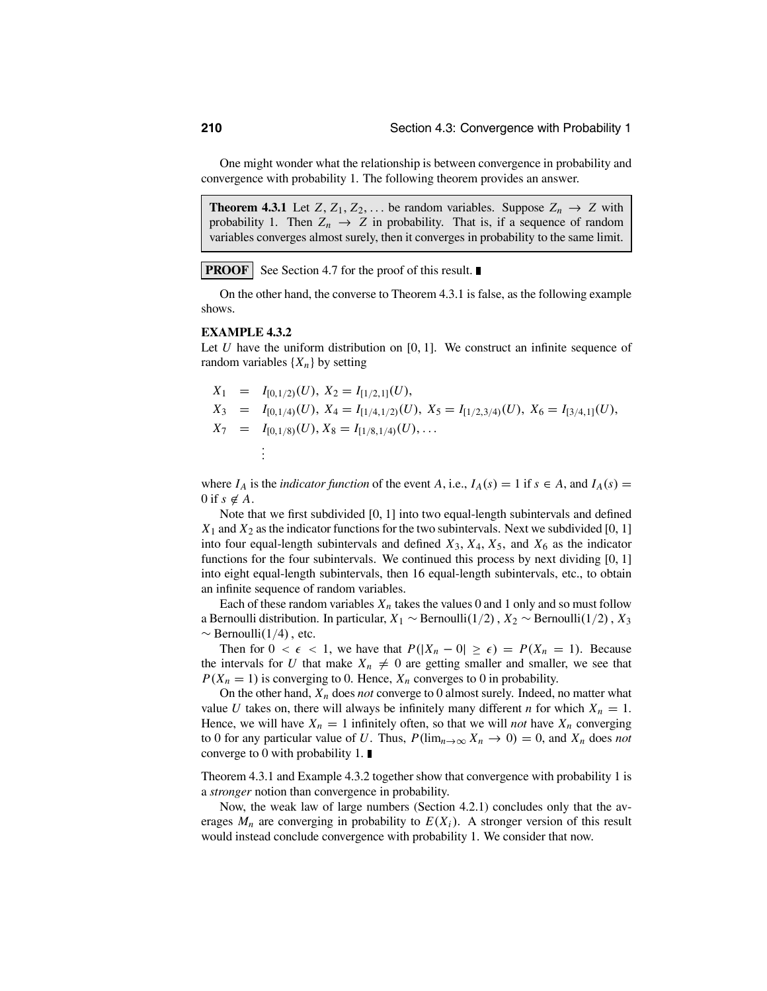One might wonder what the relationship is between convergence in probability and convergence with probability 1. The following theorem provides an answer.

**Theorem 4.3.1** Let  $Z, Z_1, Z_2, \ldots$  be random variables. Suppose  $Z_n \to Z$  with probability 1. Then  $Z_n \to Z$  in probability. That is, if a sequence of random variables converges almost surely, then it converges in probability to the same limit.

**PROOF** See Section 4.7 for the proof of this result.

On the other hand, the converse to Theorem 4.3.1 is false, as the following example shows.

### **EXAMPLE 4.3.2**

Let  $U$  have the uniform distribution on  $[0, 1]$ . We construct an infinite sequence of random variables  $\{X_n\}$  by setting

$$
X_1 = I_{[0,1/2)}(U), X_2 = I_{[1/2,1]}(U),
$$
  
\n
$$
X_3 = I_{[0,1/4)}(U), X_4 = I_{[1/4,1/2)}(U), X_5 = I_{[1/2,3/4)}(U), X_6 = I_{[3/4,1]}(U),
$$
  
\n
$$
X_7 = I_{[0,1/8)}(U), X_8 = I_{[1/8,1/4)}(U), ...
$$
  
\n
$$
\vdots
$$

where  $I_A$  is the *indicator function* of the event *A*, i.e.,  $I_A(s) = 1$  if  $s \in A$ , and  $I_A(s) =$ 0 if  $s \notin A$ .

Note that we first subdivided [0, 1] into two equal-length subintervals and defined  $X_1$  and  $X_2$  as the indicator functions for the two subintervals. Next we subdivided [0, 1] into four equal-length subintervals and defined  $X_3$ ,  $X_4$ ,  $X_5$ , and  $X_6$  as the indicator functions for the four subintervals. We continued this process by next dividing [0, 1] into eight equal-length subintervals, then 16 equal-length subintervals, etc., to obtain an infinite sequence of random variables.

Each of these random variables  $X_n$  takes the values 0 and 1 only and so must follow a Bernoulli distribution. In particular, *<sup>X</sup>*<sup>1</sup> <sup>∼</sup> Bernoulli(1/2), *<sup>X</sup>*<sup>2</sup> <sup>∼</sup> Bernoulli(1/2), *<sup>X</sup>*<sup>3</sup>  $\sim$  Bernoulli(1/4), etc.

Then for  $0 < \epsilon < 1$ , we have that  $P(|X_n - 0| \ge \epsilon) = P(X_n = 1)$ . Because the intervals for *U* that make  $X_n \neq 0$  are getting smaller and smaller, we see that  $P(X_n = 1)$  is converging to 0. Hence,  $X_n$  converges to 0 in probability.

On the other hand, *Xn* does *not* converge to 0 almost surely. Indeed, no matter what value *U* takes on, there will always be infinitely many different *n* for which  $X_n = 1$ . Hence, we will have  $X_n = 1$  infinitely often, so that we will *not* have  $X_n$  converging to 0 for any particular value of *U*. Thus,  $P(\lim_{n\to\infty} X_n \to 0) = 0$ , and  $X_n$  does *not* converge to 0 with probability 1.  $\blacksquare$ 

Theorem 4.3.1 and Example 4.3.2 together show that convergence with probability 1 is a *stronger* notion than convergence in probability.

Now, the weak law of large numbers (Section 4.2.1) concludes only that the averages  $M_n$  are converging in probability to  $E(X_i)$ . A stronger version of this result would instead conclude convergence with probability 1. We consider that now.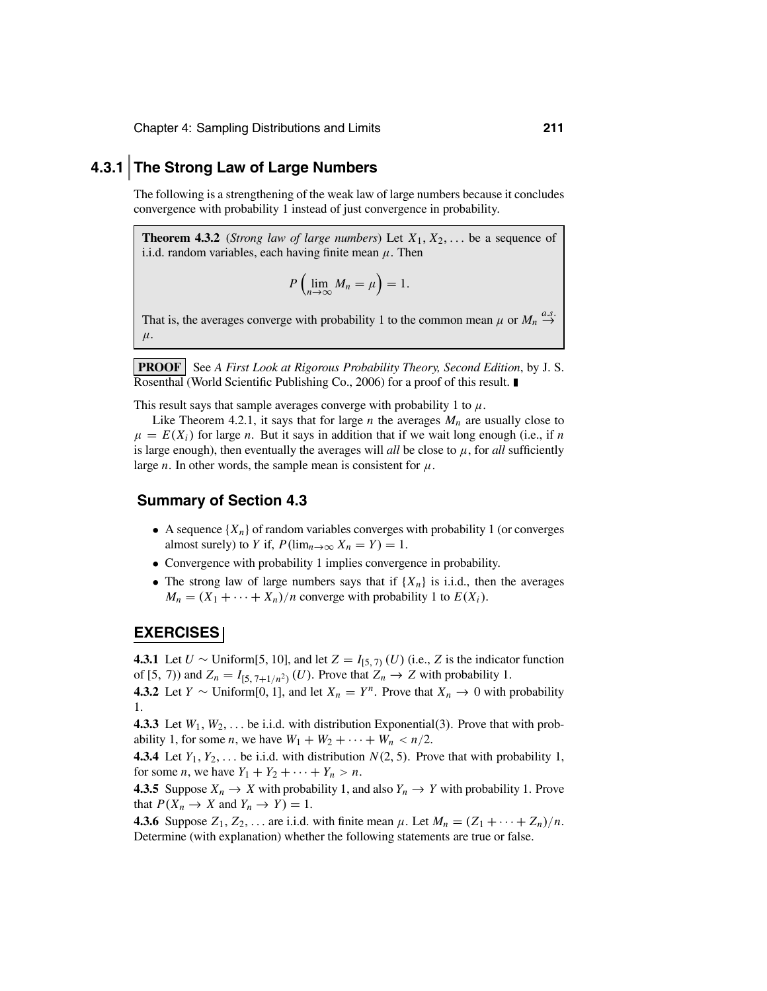### **4.3.1 The Strong Law of Large Numbers**

The following is a strengthening of the weak law of large numbers because it concludes convergence with probability 1 instead of just convergence in probability.

**Theorem 4.3.2** (*Strong law of large numbers*) Let  $X_1, X_2, \ldots$  be a sequence of i.i.d. random variables, each having finite mean  $\mu$ . Then

$$
P\left(\lim_{n\to\infty}M_n=\mu\right)=1.
$$

That is, the averages converge with probability 1 to the common mean  $\mu$  or  $M_n \stackrel{a.s.}{\rightarrow}$  $\rightarrow$  $\mu$ .

**PROOF** See *A First Look at Rigorous Probability Theory, Second Edition, by J. S.* Rosenthal (World Scientific Publishing Co., 2006) for a proof of this result.

This result says that sample averages converge with probability 1 to  $\mu$ .

Like Theorem 4.2.1, it says that for large *n* the averages  $M_n$  are usually close to  $\mu = E(X_i)$  for large *n*. But it says in addition that if we wait long enough (i.e., if *n* is large enough), then eventually the averages will *all* be close to  $\mu$ , for *all* sufficiently large *n*. In other words, the sample mean is consistent for  $\mu$ .

### **Summary of Section 4.3**

- A sequence  $\{X_n\}$  of random variables converges with probability 1 (or converges almost surely) to *Y* if,  $P(\lim_{n\to\infty} X_n = Y) = 1$ .
- Convergence with probability 1 implies convergence in probability.
- The strong law of large numbers says that if  $\{X_n\}$  is i.i.d., then the averages  $M_n = (X_1 + \cdots + X_n)/n$  converge with probability 1 to  $E(X_i)$ .

### **EXERCISES**

**4.3.1** Let *U* ∼ Uniform[5, 10], and let *Z* = *I*<sub>[5, 7)</sub> (*U*) (i.e., *Z* is the indicator function of [5, 7)) and  $Z_n = I_{[5, 7+1/n^2)}(U)$ . Prove that  $Z_n \to Z$  with probability 1.

**4.3.2** Let *Y* ∼ Uniform[0, 1], and let  $X_n = Y^n$ . Prove that  $X_n \to 0$  with probability 1.

**4.3.3** Let  $W_1, W_2, \ldots$  be i.i.d. with distribution Exponential(3). Prove that with probability 1, for some *n*, we have  $W_1 + W_2 + \cdots + W_n < n/2$ .

**4.3.4** Let  $Y_1, Y_2, \ldots$  be i.i.d. with distribution  $N(2, 5)$ . Prove that with probability 1, for some *n*, we have  $Y_1 + Y_2 + \cdots + Y_n > n$ .

**4.3.5** Suppose  $X_n \to X$  with probability 1, and also  $Y_n \to Y$  with probability 1. Prove that  $P(X_n \to X \text{ and } Y_n \to Y) = 1$ .

**4.3.6** Suppose  $Z_1, Z_2, \ldots$  are i.i.d. with finite mean  $\mu$ . Let  $M_n = (Z_1 + \cdots + Z_n)/n$ . Determine (with explanation) whether the following statements are true or false.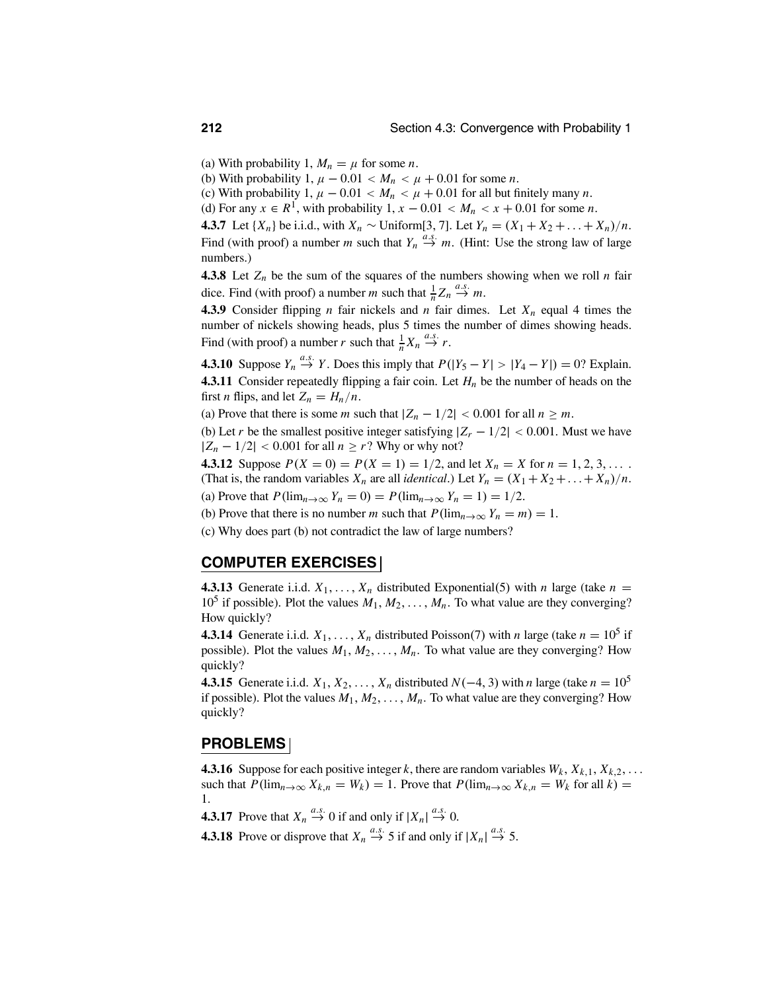(a) With probability 1,  $M_n = \mu$  for some *n*.

(b) With probability 1,  $\mu - 0.01 < M_n < \mu + 0.01$  for some *n*.

(c) With probability 1,  $\mu - 0.01 < M_n < \mu + 0.01$  for all but finitely many *n*.

(d) For any  $x \in R^1$ , with probability  $1, x - 0.01 < M_n < x + 0.01$  for some *n*.

**4.3.7** Let  $\{X_n\}$  be i.i.d., with  $X_n$  ∼ Uniform[3, 7]. Let  $Y_n = (X_1 + X_2 + ... + X_n)/n$ . Find (with proof) a number *m* such that  $Y_n \stackrel{a.s.}{\rightarrow} m$ . (Hint: Use the strong law of large numbers.)

**4.3.8** Let  $Z_n$  be the sum of the squares of the numbers showing when we roll *n* fair dice. Find (with proof) a number *m* such that  $\frac{1}{n}Z_n \stackrel{a.s.}{\to} m$ .

**4.3.9** Consider flipping *n* fair nickels and *n* fair dimes. Let  $X_n$  equal 4 times the number of nickels showing heads, plus 5 times the number of dimes showing heads. Find (with proof) a number *r* such that  $\frac{1}{n}X_n \stackrel{a.s.}{\rightarrow} r$ .

**4.3.10** Suppose  $Y_n \stackrel{a.s.}{\rightarrow} Y$ . Does this imply that  $P(|Y_5 - Y| > |Y_4 - Y|) = 0$ ? Explain. **4.3.11** Consider repeatedly flipping a fair coin. Let *Hn* be the number of heads on the first *n* flips, and let  $Z_n = H_n/n$ .

(a) Prove that there is some *m* such that  $|Z_n - 1/2| < 0.001$  for all  $n \ge m$ .

(b) Let *r* be the smallest positive integer satisfying  $|Z_r - 1/2| < 0.001$ . Must we have  $|Z_n - 1/2|$  < 0.001 for all  $n \ge r$ ? Why or why not?

**4.3.12** Suppose  $P(X = 0) = P(X = 1) = 1/2$ , and let  $X_n = X$  for  $n = 1, 2, 3, \ldots$ . (That is, the random variables  $X_n$  are all *identical*.) Let  $Y_n = (X_1 + X_2 + ... + X_n)/n$ . (a) Prove that  $P(\lim_{n\to\infty} Y_n = 0) = P(\lim_{n\to\infty} Y_n = 1) = 1/2$ .

(b) Prove that there is no number *m* such that  $P(\lim_{n\to\infty} Y_n = m) = 1$ .

(c) Why does part (b) not contradict the law of large numbers?

### **COMPUTER EXERCISES**

**4.3.13** Generate i.i.d.  $X_1, \ldots, X_n$  distributed Exponential(5) with *n* large (take  $n =$ 10<sup>5</sup> if possible). Plot the values  $M_1, M_2, \ldots, M_n$ . To what value are they converging? How quickly?

**4.3.14** Generate i.i.d.  $X_1, \ldots, X_n$  distributed Poisson(7) with *n* large (take  $n = 10^5$  if possible). Plot the values  $M_1, M_2, \ldots, M_n$ . To what value are they converging? How quickly?

**4.3.15** Generate i.i.d.  $X_1, X_2, \ldots, X_n$  distributed  $N(-4, 3)$  with *n* large (take  $n = 10^5$ if possible). Plot the values  $M_1, M_2, \ldots, M_n$ . To what value are they converging? How quickly?

### **PROBLEMS**

**4.3.16** Suppose for each positive integer *k*, there are random variables  $W_k$ ,  $X_{k,1}$ ,  $X_{k,2}$ , ... such that  $P(\lim_{n\to\infty} X_{k,n} = W_k) = 1$ . Prove that  $P(\lim_{n\to\infty} X_{k,n} = W_k$  for all  $k) =$ 1.

**4.3.17** Prove that  $X_n \stackrel{a.s.}{\rightarrow} 0$  if and only if  $|X_n| \stackrel{a.s.}{\rightarrow} 0$ .

**4.3.18** Prove or disprove that  $X_n \stackrel{a.s.}{\rightarrow} 5$  if and only if  $|X_n| \stackrel{a.s.}{\rightarrow} 5$ .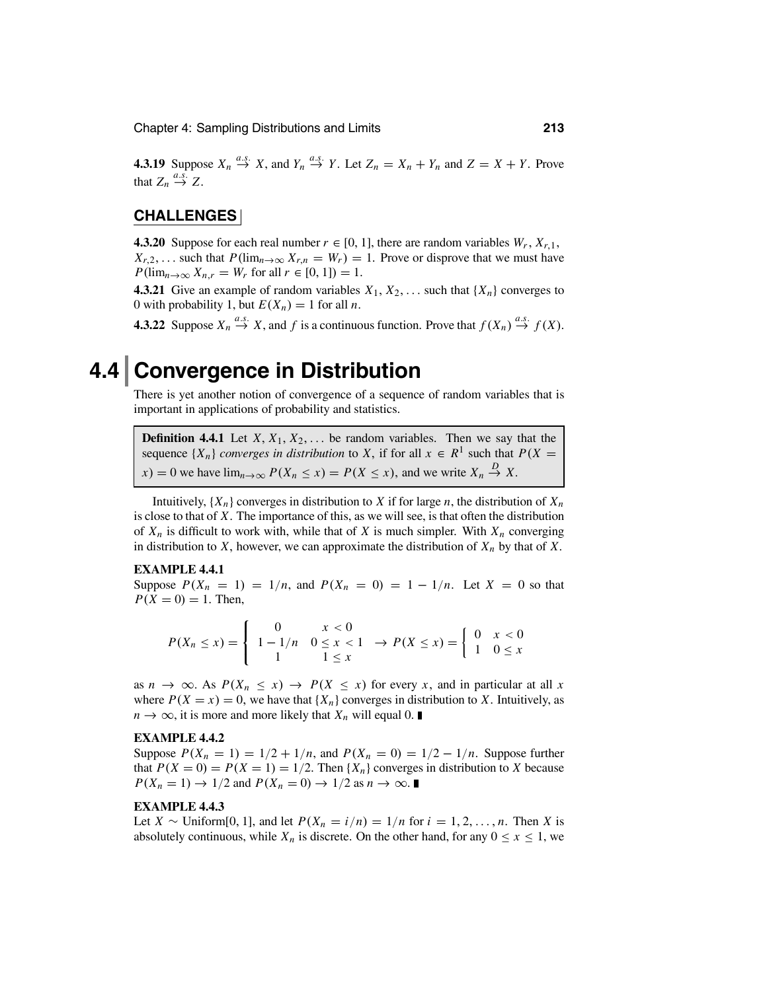**4.3.19** Suppose  $X_n \stackrel{a.s.}{\rightarrow} X$ , and  $Y_n \stackrel{a.s.}{\rightarrow} Y$ . Let  $Z_n = X_n + Y_n$  and  $Z = X + Y$ . Prove that  $Z_n \stackrel{a.s.}{\rightarrow} Z$ .

### **CHALLENGES**

**4.3.20** Suppose for each real number  $r \in [0, 1]$ , there are random variables  $W_r$ ,  $X_{r,1}$ ,  $X_{r,2}$ ,... such that  $P(\lim_{n\to\infty} X_{r,n} = W_r) = 1$ . Prove or disprove that we must have  $P(\lim_{n\to\infty} X_{n,r} = W_r \text{ for all } r \in [0, 1]) = 1.$ 

**4.3.21** Give an example of random variables  $X_1, X_2, \ldots$  such that  $\{X_n\}$  converges to 0 with probability 1, but  $E(X_n) = 1$  for all *n*.

**4.3.22** Suppose  $X_n \stackrel{a.s.}{\rightarrow} X$ , and  $f$  is a continuous function. Prove that  $f(X_n) \stackrel{a.s.}{\rightarrow} f(X)$ .

## **4.4 Convergence in Distribution**

There is yet another notion of convergence of a sequence of random variables that is important in applications of probability and statistics.

**Definition 4.4.1** Let  $X, X_1, X_2, \ldots$  be random variables. Then we say that the sequence  $\{X_n\}$  *converges in distribution* to *X*, if for all  $x \in R^1$  such that  $P(X =$  $f(x) = 0$  we have  $\lim_{n \to \infty} P(X_n \le x) = P(X \le x)$ , and we write  $X_n \stackrel{D}{\to} X$ .

Intuitively,  $\{X_n\}$  converges in distribution to *X* if for large *n*, the distribution of  $X_n$ is close to that of *X*. The importance of this, as we will see, is that often the distribution of  $X_n$  is difficult to work with, while that of  $X$  is much simpler. With  $X_n$  converging in distribution to *X*, however, we can approximate the distribution of  $X_n$  by that of *X*.

### **EXAMPLE 4.4.1**

Suppose  $P(X_n = 1) = 1/n$ , and  $P(X_n = 0) = 1 - 1/n$ . Let  $X = 0$  so that  $P(X = 0) = 1$ . Then,

$$
P(X_n \le x) = \begin{cases} 0 & x < 0 \\ 1 - 1/n & 0 \le x < 1 \\ 1 & 1 \le x \end{cases} \Rightarrow P(X \le x) = \begin{cases} 0 & x < 0 \\ 1 & 0 \le x \end{cases}
$$

as  $n \to \infty$ . As  $P(X_n \leq x) \to P(X \leq x)$  for every *x*, and in particular at all *x* where  $P(X = x) = 0$ , we have that  $\{X_n\}$  converges in distribution to *X*. Intuitively, as *n* → ∞, it is more and more likely that  $X_n$  will equal 0.  $\blacksquare$ 

### **EXAMPLE 4.4.2**

Suppose  $P(X_n = 1) = 1/2 + 1/n$ , and  $P(X_n = 0) = 1/2 - 1/n$ . Suppose further that  $P(X = 0) = P(X = 1) = 1/2$ . Then  $\{X_n\}$  converges in distribution to *X* because  $P(X_n = 1) \rightarrow 1/2$  and  $P(X_n = 0) \rightarrow 1/2$  as  $n \rightarrow \infty$ .

### **EXAMPLE 4.4.3**

Let  $X \sim$  Uniform[0, 1], and let  $P(X_n = i/n) = 1/n$  for  $i = 1, 2, ..., n$ . Then *X* is absolutely continuous, while  $X_n$  is discrete. On the other hand, for any  $0 \le x \le 1$ , we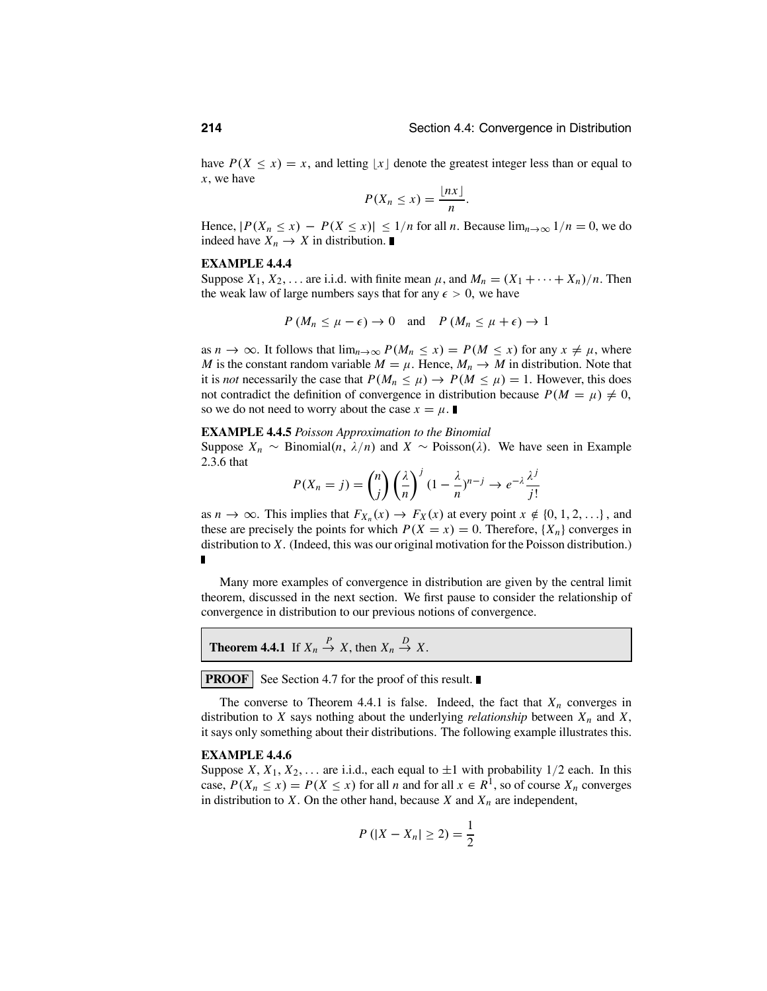have  $P(X \le x) = x$ , and letting |x| denote the greatest integer less than or equal to *x*, we have

$$
P(X_n \leq x) = \frac{\lfloor nx \rfloor}{n}.
$$

Hence,  $|P(X_n \le x) - P(X \le x)| \le 1/n$  for all *n*. Because  $\lim_{n \to \infty} 1/n = 0$ , we do indeed have  $X_n \to X$  in distribution.

### **EXAMPLE 4.4.4**

Suppose  $X_1, X_2, \ldots$  are i.i.d. with finite mean  $\mu$ , and  $M_n = (X_1 + \cdots + X_n)/n$ . Then the weak law of large numbers says that for any  $\epsilon > 0$ , we have

$$
P(M_n \leq \mu - \epsilon) \to 0
$$
 and  $P(M_n \leq \mu + \epsilon) \to 1$ 

as  $n \to \infty$ . It follows that  $\lim_{n \to \infty} P(M_n \le x) = P(M \le x)$  for any  $x \ne \mu$ , where *M* is the constant random variable  $M = \mu$ . Hence,  $M_n \to M$  in distribution. Note that it is *not* necessarily the case that  $P(M_n \le \mu) \to P(M \le \mu) = 1$ . However, this does not contradict the definition of convergence in distribution because  $P(M = \mu) \neq 0$ , so we do not need to worry about the case  $x = \mu$ .

### **EXAMPLE 4.4.5** *Poisson Approximation to the Binomial*

Suppose  $X_n \sim$  Binomial(*n*,  $\lambda/n$ ) and  $X \sim$  Poisson( $\lambda$ ). We have seen in Example 2.3.6 that

$$
P(X_n = j) = {n \choose j} \left(\frac{\lambda}{n}\right)^j (1 - \frac{\lambda}{n})^{n-j} \to e^{-\lambda} \frac{\lambda^j}{j!}
$$

as  $n \to \infty$ . This implies that  $F_{X_n}(x) \to F_X(x)$  at every point  $x \notin \{0, 1, 2, ...\}$ , and these are precisely the points for which  $P(X = x) = 0$ . Therefore,  $\{X_n\}$  converges in distribution to *X*. (Indeed, this was our original motivation for the Poisson distribution.) П

Many more examples of convergence in distribution are given by the central limit theorem, discussed in the next section. We first pause to consider the relationship of convergence in distribution to our previous notions of convergence.

**Theorem 4.4.1** If  $X_n \stackrel{P}{\to} X$ , then  $X_n \stackrel{D}{\to} X$ .

**PROOF** See Section 4.7 for the proof of this result.

The converse to Theorem 4.4.1 is false. Indeed, the fact that  $X_n$  converges in distribution to *X* says nothing about the underlying *relationship* between  $X_n$  and  $X$ , it says only something about their distributions. The following example illustrates this.

### **EXAMPLE 4.4.6**

Suppose *X*,  $X_1, X_2, \ldots$  are i.i.d., each equal to  $\pm 1$  with probability 1/2 each. In this case,  $P(X_n \le x) = P(X \le x)$  for all *n* and for all  $x \in R^1$ , so of course  $X_n$  converges in distribution to  $X$ . On the other hand, because  $X$  and  $X_n$  are independent,

$$
P(|X - X_n| \ge 2) = \frac{1}{2}
$$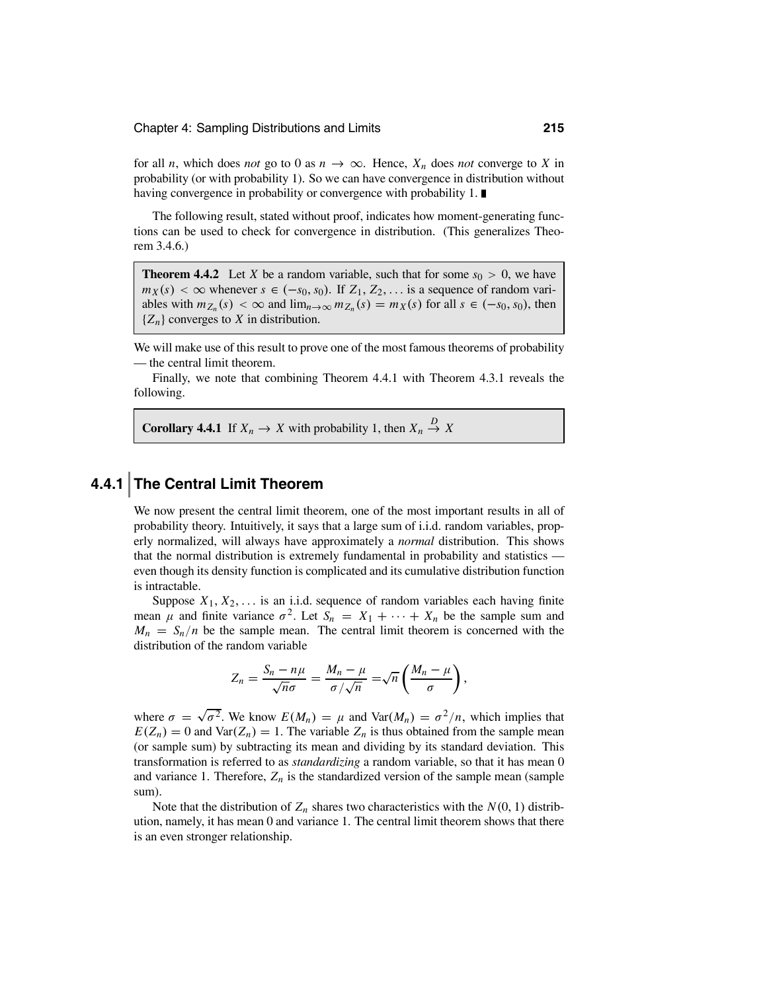for all *n*, which does *not* go to 0 as  $n \to \infty$ . Hence,  $X_n$  does *not* converge to X in probability (or with probability 1). So we can have convergence in distribution without having convergence in probability or convergence with probability 1.

The following result, stated without proof, indicates how moment-generating functions can be used to check for convergence in distribution. (This generalizes Theorem 3.4.6.)

**Theorem 4.4.2** Let *X* be a random variable, such that for some  $s_0 > 0$ , we have  $m_X(s) < \infty$  whenever  $s \in (-s_0, s_0)$ . If  $Z_1, Z_2, \ldots$  is a sequence of random variables with  $m_{Z_n}(s) < \infty$  and  $\lim_{n \to \infty} m_{Z_n}(s) = m_X(s)$  for all  $s \in (-s_0, s_0)$ , then {*Zn*} converges to *<sup>X</sup>* in distribution.

We will make use of this result to prove one of the most famous theorems of probability — the central limit theorem.

Finally, we note that combining Theorem 4.4.1 with Theorem 4.3.1 reveals the following.

**Corollary 4.4.1** If  $X_n \to X$  with probability 1, then  $X_n \stackrel{D}{\to} X$ 

### **4.4.1 The Central Limit Theorem**

We now present the central limit theorem, one of the most important results in all of probability theory. Intuitively, it says that a large sum of i.i.d. random variables, properly normalized, will always have approximately a *normal* distribution. This shows that the normal distribution is extremely fundamental in probability and statistics even though its density function is complicated and its cumulative distribution function is intractable.

Suppose  $X_1, X_2, \ldots$  is an i.i.d. sequence of random variables each having finite mean  $\mu$  and finite variance  $\sigma^2$ . Let  $S_n = X_1 + \cdots + X_n$  be the sample sum and  $M_n = S_n/n$  be the sample mean. The central limit theorem is concerned with the distribution of the random variable

$$
Z_n = \frac{S_n - n\mu}{\sqrt{n}\sigma} = \frac{M_n - \mu}{\sigma/\sqrt{n}} = \sqrt{n}\left(\frac{M_n - \mu}{\sigma}\right),
$$

where  $\sigma = \sqrt{\sigma^2}$ . We know  $E(M_n) = \mu$  and  $\text{Var}(M_n) = \sigma^2/n$ , which implies that  $E(Z_n) = 0$  and  $Var(Z_n) = 1$ . The variable  $Z_n$  is thus obtained from the sample mean (or sample sum) by subtracting its mean and dividing by its standard deviation. This transformation is referred to as *standardizing* a random variable, so that it has mean 0 and variance 1. Therefore,  $Z_n$  is the standardized version of the sample mean (sample sum).

Note that the distribution of  $Z_n$  shares two characteristics with the  $N(0, 1)$  distribution, namely, it has mean 0 and variance 1. The central limit theorem shows that there is an even stronger relationship.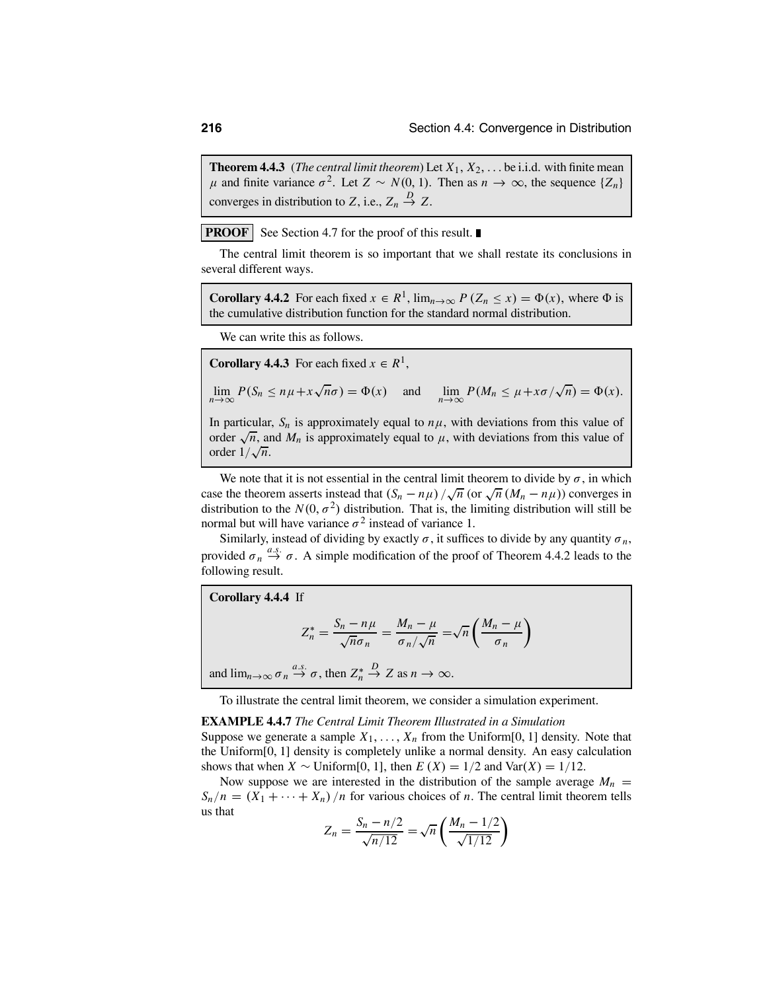**Theorem 4.4.3** (*The central limit theorem*) Let  $X_1, X_2, \ldots$  be i.i.d. with finite mean  $\mu$  and finite variance  $\sigma^2$ . Let *Z* ∼ *N*(0, 1). Then as *n* → ∞, the sequence {*Z<sub>n</sub>*} converges in distribution to *Z*, i.e.,  $Z_n \stackrel{D}{\to} Z$ .

**PROOF** See Section 4.7 for the proof of this result.

The central limit theorem is so important that we shall restate its conclusions in several different ways.

**Corollary 4.4.2** For each fixed  $x \in R^1$ ,  $\lim_{n\to\infty} P(Z_n \leq x) = \Phi(x)$ , where  $\Phi$  is the cumulative distribution function for the standard normal distribution.

We can write this as follows.

**Corollary 4.4.3** For each fixed  $x \in R^1$ ,

$$
\lim_{n \to \infty} P(S_n \le n\mu + x\sqrt{n}\sigma) = \Phi(x) \quad \text{and} \quad \lim_{n \to \infty} P(M_n \le \mu + x\sigma/\sqrt{n}) = \Phi(x).
$$

In particular,  $S_n$  is approximately equal to  $n\mu$ , with deviations from this value of order  $\sqrt{n}$ , and  $M_n$  is approximately equal to  $\mu$ , with deviations from this value of order  $1/\sqrt{n}$ .

We note that it is not essential in the central limit theorem to divide by  $\sigma$ , in which case the theorem asserts instead that  $(S_n - n\mu) / \sqrt{n}$  (or  $\sqrt{n} (M_n - n\mu)$ ) converges in distribution to the  $N(0, \sigma^2)$  distribution. That is, the limiting distribution will still be normal but will have variance  $\sigma^2$  instead of variance 1.

Similarly, instead of dividing by exactly  $\sigma$ , it suffices to divide by any quantity  $\sigma_n$ , provided  $\sigma_n \stackrel{a.s.}{\rightarrow} \sigma$ . A simple modification of the proof of Theorem 4.4.2 leads to the following result.

Corollary 4.4.4 If  
\n
$$
Z_n^* = \frac{S_n - n\mu}{\sqrt{n}\sigma_n} = \frac{M_n - \mu}{\sigma_n/\sqrt{n}} = \sqrt{n} \left(\frac{M_n - \mu}{\sigma_n}\right)
$$
\nand  $\lim_{n \to \infty} \sigma_n \stackrel{a.s.}{\to} \sigma$ , then  $Z_n^* \stackrel{D}{\to} Z$  as  $n \to \infty$ .

To illustrate the central limit theorem, we consider a simulation experiment.

### **EXAMPLE 4.4.7** *The Central Limit Theorem Illustrated in a Simulation*

Suppose we generate a sample  $X_1, \ldots, X_n$  from the Uniform[0, 1] density. Note that the Uniform[0, 1] density is completely unlike a normal density. An easy calculation shows that when *X* ∼ Uniform[0, 1], then  $E(X) = 1/2$  and Var(*X*) = 1/12.

Now suppose we are interested in the distribution of the sample average  $M_n$  $S_n/n = (X_1 + \cdots + X_n)/n$  for various choices of *n*. The central limit theorem tells us that

$$
Z_n = \frac{S_n - n/2}{\sqrt{n/12}} = \sqrt{n} \left( \frac{M_n - 1/2}{\sqrt{1/12}} \right)
$$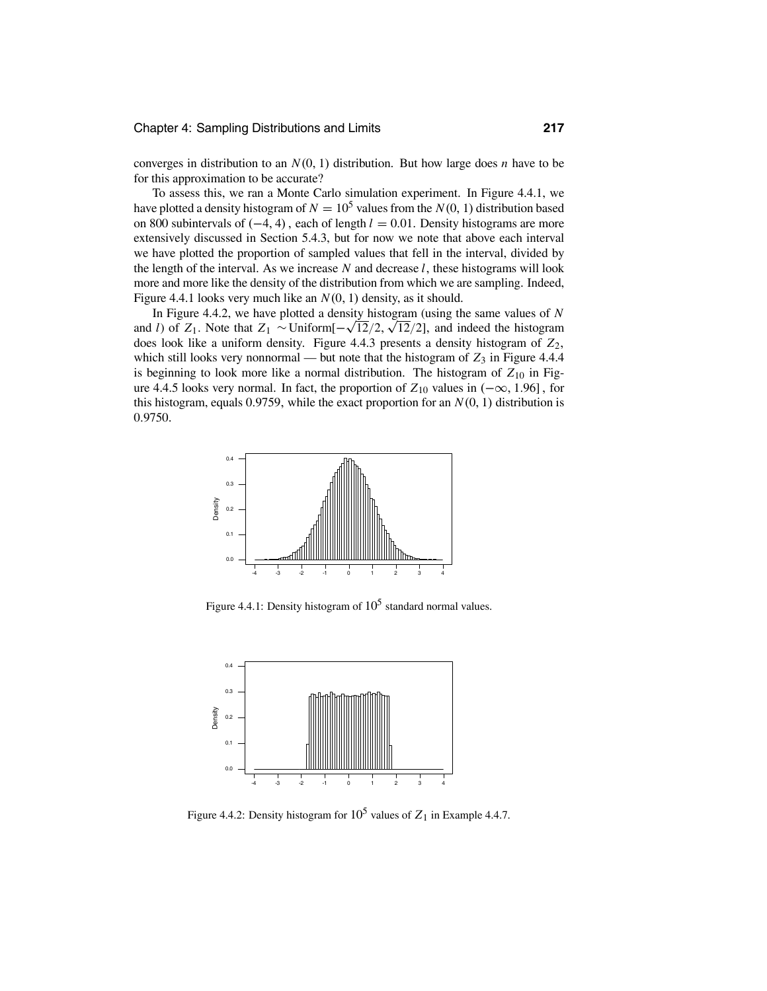converges in distribution to an *N*(0, 1) distribution. But how large does *n* have to be for this approximation to be accurate?

To assess this, we ran a Monte Carlo simulation experiment. In Figure 4.4.1, we have plotted a density histogram of  $N = 10^5$  values from the  $N(0, 1)$  distribution based on 800 subintervals of (−4, <sup>4</sup>) , each of length *<sup>l</sup>* <sup>=</sup> <sup>0</sup>.01. Density histograms are more extensively discussed in Section 5.4.3, but for now we note that above each interval we have plotted the proportion of sampled values that fell in the interval, divided by the length of the interval. As we increase *N* and decrease *l*, these histograms will look more and more like the density of the distribution from which we are sampling. Indeed, Figure 4.4.1 looks very much like an *N*(0, 1) density, as it should.

In Figure 4.4.2, we have plotted a density histogram (using the same values of *N* and *<sup>l</sup>*) of *<sup>Z</sup>*1. Note that *<sup>Z</sup>*<sup>1</sup> <sup>∼</sup>Uniform[<sup>−</sup> <sup>√</sup>12/2, <sup>√</sup>12/2], and indeed the histogram does look like a uniform density. Figure 4.4.3 presents a density histogram of *Z*2, which still looks very nonnormal — but note that the histogram of  $Z_3$  in Figure 4.4.4 is beginning to look more like a normal distribution. The histogram of  $Z_{10}$  in Figure 4.4.5 looks very normal. In fact, the proportion of *<sup>Z</sup>*<sup>10</sup> values in (−∞, <sup>1</sup>.96], for this histogram, equals 0.9759, while the exact proportion for an  $N(0, 1)$  distribution is 0.9750.



Figure 4.4.1: Density histogram of  $10^5$  standard normal values.



Figure 4.4.2: Density histogram for  $10^5$  values of  $Z_1$  in Example 4.4.7.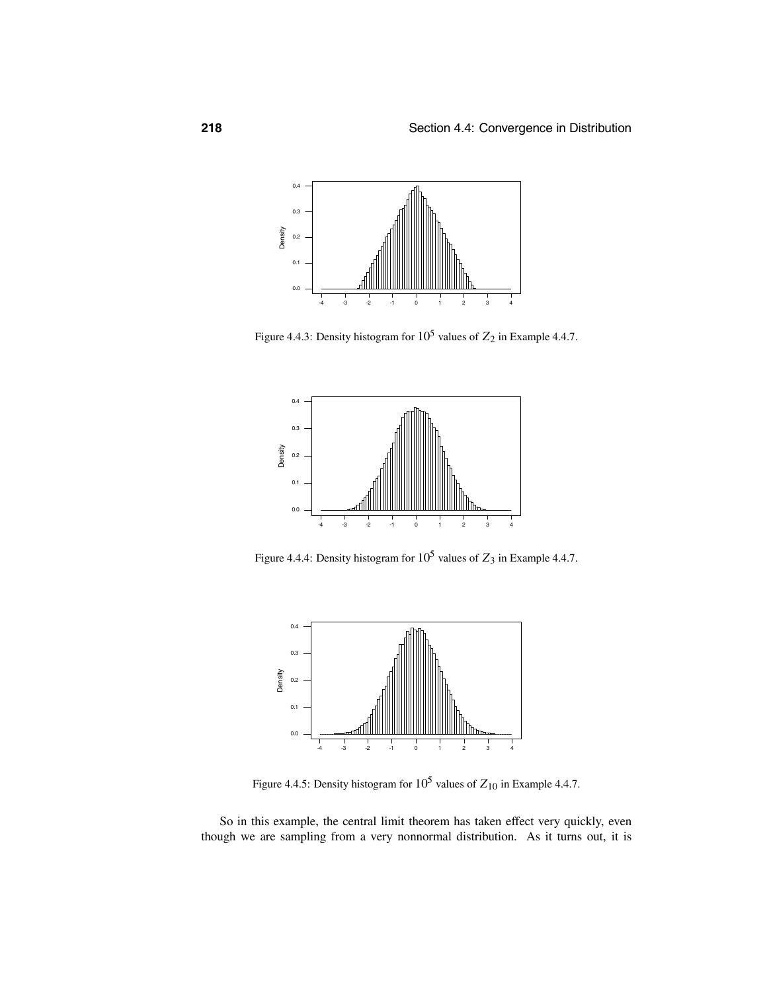

Figure 4.4.3: Density histogram for  $10^5$  values of  $Z_2$  in Example 4.4.7.



Figure 4.4.4: Density histogram for  $10^5$  values of  $Z_3$  in Example 4.4.7.



Figure 4.4.5: Density histogram for  $10^5$  values of  $Z_{10}$  in Example 4.4.7.

So in this example, the central limit theorem has taken effect very quickly, even though we are sampling from a very nonnormal distribution. As it turns out, it is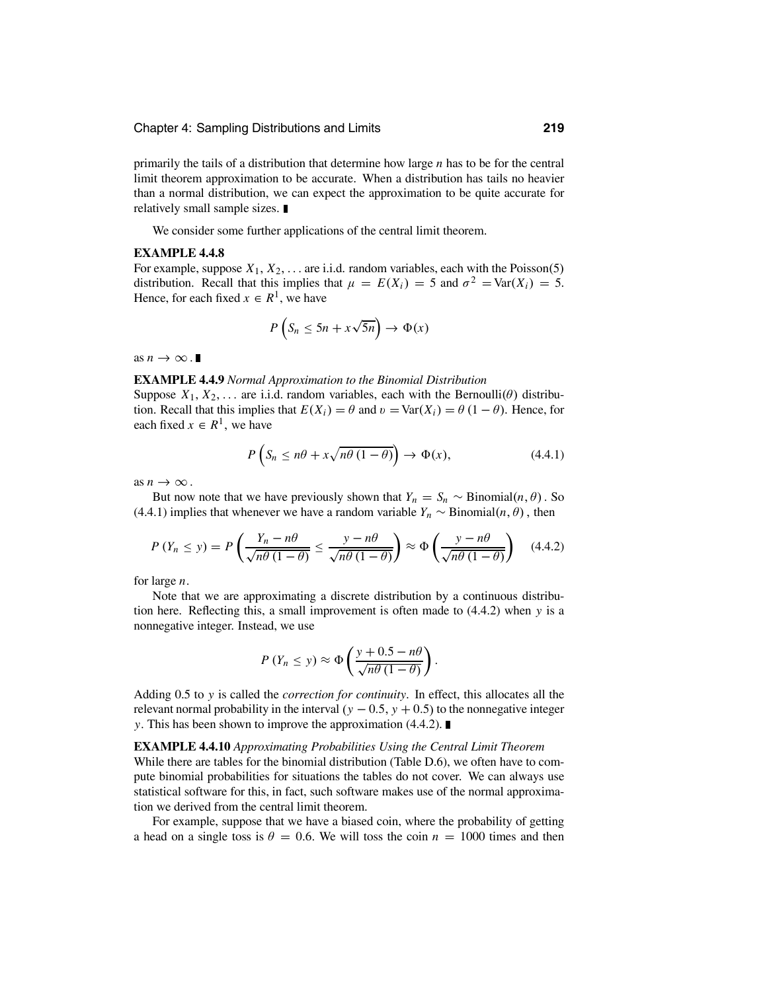primarily the tails of a distribution that determine how large *n* has to be for the central limit theorem approximation to be accurate. When a distribution has tails no heavier than a normal distribution, we can expect the approximation to be quite accurate for relatively small sample sizes.

We consider some further applications of the central limit theorem.

### **EXAMPLE 4.4.8**

For example, suppose  $X_1, X_2, \ldots$  are i.i.d. random variables, each with the Poisson(5) distribution. Recall that this implies that  $\mu = E(X_i) = 5$  and  $\sigma^2 = \text{Var}(X_i) = 5$ . Hence, for each fixed  $x \in R^1$ , we have

$$
P(S_n \le 5n + x\sqrt{5n}) \to \Phi(x)
$$

as  $n \to \infty$ .

### **EXAMPLE 4.4.9** *Normal Approximation to the Binomial Distribution*

Suppose  $X_1, X_2, \ldots$  are i.i.d. random variables, each with the Bernoulli( $\theta$ ) distribution. Recall that this implies that  $E(X_i) = \theta$  and  $v = \text{Var}(X_i) = \theta (1 - \theta)$ . Hence, for each fixed  $x \in R^1$ , we have

$$
P\left(S_n \le n\theta + x\sqrt{n\theta(1-\theta)}\right) \to \Phi(x),\tag{4.4.1}
$$

as  $n \to \infty$ .

But now note that we have previously shown that  $Y_n = S_n \sim Binomial(n, \theta)$ . So (4.4.1) implies that whenever we have a random variable  $Y_n \sim Binomial(n, \theta)$ , then

$$
P(Y_n \le y) = P\left(\frac{Y_n - n\theta}{\sqrt{n\theta (1 - \theta)}} \le \frac{y - n\theta}{\sqrt{n\theta (1 - \theta)}}\right) \approx \Phi\left(\frac{y - n\theta}{\sqrt{n\theta (1 - \theta)}}\right) \quad (4.4.2)
$$

for large *n*.

Note that we are approximating a discrete distribution by a continuous distribution here. Reflecting this, a small improvement is often made to (4.4.2) when *y* is a nonnegative integer. Instead, we use

$$
P(Y_n \le y) \approx \Phi\left(\frac{y + 0.5 - n\theta}{\sqrt{n\theta(1 - \theta)}}\right).
$$

Adding 0.5 to *y* is called the *correction for continuity*. In effect, this allocates all the relevant normal probability in the interval  $(y - 0.5, y + 0.5)$  to the nonnegative integer *y*. This has been shown to improve the approximation (4.4.2). ■

### **EXAMPLE 4.4.10** *Approximating Probabilities Using the Central Limit Theorem*

While there are tables for the binomial distribution (Table D.6), we often have to compute binomial probabilities for situations the tables do not cover. We can always use statistical software for this, in fact, such software makes use of the normal approximation we derived from the central limit theorem.

For example, suppose that we have a biased coin, where the probability of getting a head on a single toss is  $\theta = 0.6$ . We will toss the coin  $n = 1000$  times and then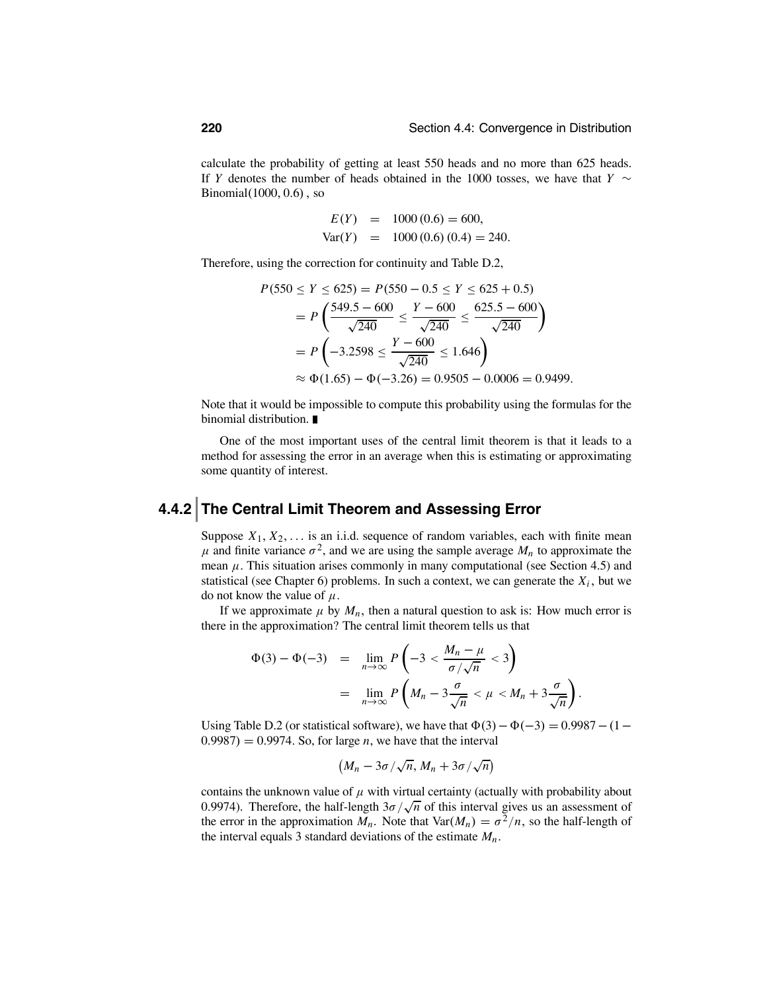calculate the probability of getting at least 550 heads and no more than 625 heads. If *<sup>Y</sup>* denotes the number of heads obtained in the 1000 tosses, we have that *<sup>Y</sup>* <sup>∼</sup> Binomial(1000, 0.6) , so

$$
E(Y) = 1000 (0.6) = 600,
$$
  
Var(Y) = 1000 (0.6) (0.4) = 240.

Therefore, using the correction for continuity and Table D.2,

$$
P(550 \le Y \le 625) = P(550 - 0.5 \le Y \le 625 + 0.5)
$$
  
=  $P\left(\frac{549.5 - 600}{\sqrt{240}} \le \frac{Y - 600}{\sqrt{240}} \le \frac{625.5 - 600}{\sqrt{240}}\right)$   
=  $P\left(-3.2598 \le \frac{Y - 600}{\sqrt{240}} \le 1.646\right)$   
 $\approx \Phi(1.65) - \Phi(-3.26) = 0.9505 - 0.0006 = 0.9499.$ 

Note that it would be impossible to compute this probability using the formulas for the binomial distribution.

One of the most important uses of the central limit theorem is that it leads to a method for assessing the error in an average when this is estimating or approximating some quantity of interest.

### **4.4.2 The Central Limit Theorem and Assessing Error**

Suppose  $X_1, X_2, \ldots$  is an i.i.d. sequence of random variables, each with finite mean  $\mu$  and finite variance  $\sigma^2$ , and we are using the sample average  $M_n$  to approximate the mean  $\mu$ . This situation arises commonly in many computational (see Section 4.5) and statistical (see Chapter 6) problems. In such a context, we can generate the  $X_i$ , but we do not know the value of  $\mu$ .

If we approximate  $\mu$  by  $M_n$ , then a natural question to ask is: How much error is there in the approximation? The central limit theorem tells us that

$$
\Phi(3) - \Phi(-3) = \lim_{n \to \infty} P\left(-3 < \frac{M_n - \mu}{\sigma/\sqrt{n}} < 3\right)
$$
\n
$$
= \lim_{n \to \infty} P\left(M_n - 3\frac{\sigma}{\sqrt{n}} < \mu < M_n + 3\frac{\sigma}{\sqrt{n}}\right).
$$

Using Table D.2 (or statistical software), we have that  $\Phi(3)-\Phi(-3) = 0.9987-(1 0.9987$  = 0.9974. So, for large *n*, we have that the interval

$$
(M_n-3\sigma/\sqrt{n}, M_n+3\sigma/\sqrt{n})
$$

contains the unknown value of  $\mu$  with virtual certainty (actually with probability about 0.9974). Therefore, the half-length  $3\sigma/\sqrt{n}$  of this interval gives us an assessment of the error in the approximation  $M_n$ . Note that  $Var(M_n) = \sigma^2/n$ , so the half-length of the interval equals 3 standard deviations of the estimate  $M_n$ .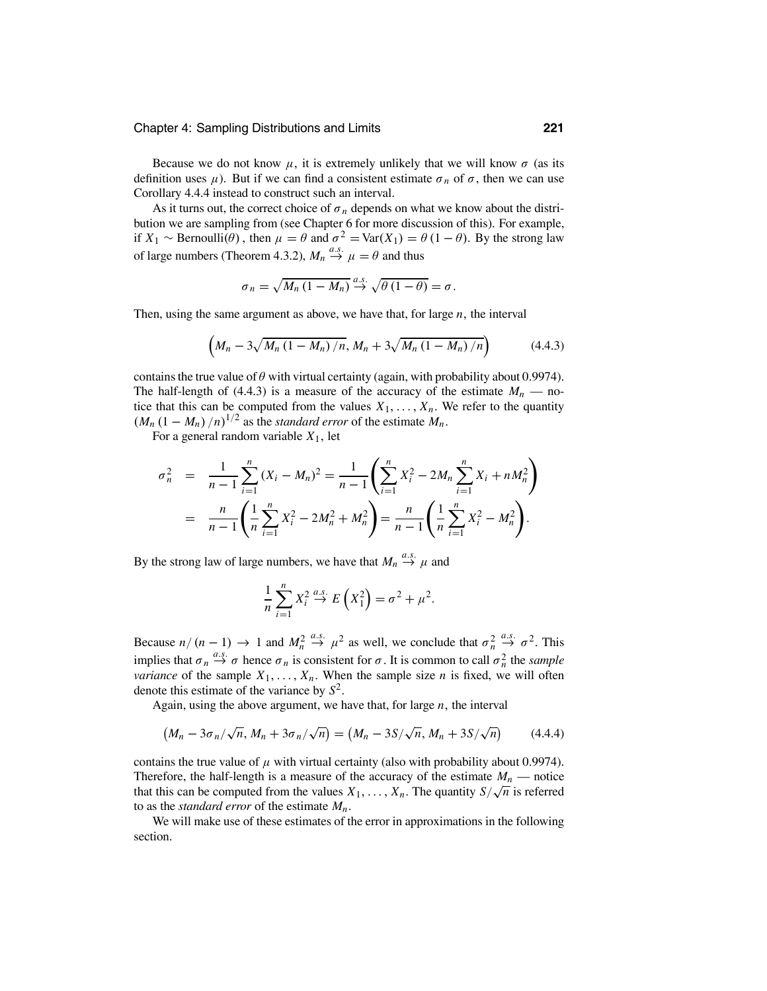Because we do not know  $\mu$ , it is extremely unlikely that we will know  $\sigma$  (as its definition uses  $\mu$ ). But if we can find a consistent estimate  $\sigma_n$  of  $\sigma$ , then we can use Corollary 4.4.4 instead to construct such an interval.

As it turns out, the correct choice of  $\sigma_n$  depends on what we know about the distribution we are sampling from (see Chapter 6 for more discussion of this). For example, if *X*<sub>1</sub> ∼ Bernoulli( $\theta$ ), then  $\mu = \theta$  and  $\sigma^2 = \text{Var}(X_1) = \theta (1 - \theta)$ . By the strong law of large numbers (Theorem 4.3.2),  $M_n \stackrel{a.s.}{\rightarrow} \mu = \theta$  and thus

$$
\sigma_n = \sqrt{M_n (1 - M_n)} \stackrel{a.s.}{\rightarrow} \sqrt{\theta (1 - \theta)} = \sigma.
$$

Then, using the same argument as above, we have that, for large *n*, the interval

$$
\left(M_n - 3\sqrt{M_n\left(1 - M_n\right)/n}, M_n + 3\sqrt{M_n\left(1 - M_n\right)/n}\right) \tag{4.4.3}
$$

contains the true value of  $\theta$  with virtual certainty (again, with probability about 0.9974). The half-length of (4.4.3) is a measure of the accuracy of the estimate  $M_n$  — notice that this can be computed from the values  $X_1, \ldots, X_n$ . We refer to the quantity  $(M_n (1 - M_n) / n)^{1/2}$  as the *standard error* of the estimate  $M_n$ .

For a general random variable  $X_1$ , let

$$
\sigma_n^2 = \frac{1}{n-1} \sum_{i=1}^n (X_i - M_n)^2 = \frac{1}{n-1} \left( \sum_{i=1}^n X_i^2 - 2M_n \sum_{i=1}^n X_i + nM_n^2 \right)
$$
  
= 
$$
\frac{n}{n-1} \left( \frac{1}{n} \sum_{i=1}^n X_i^2 - 2M_n^2 + M_n^2 \right) = \frac{n}{n-1} \left( \frac{1}{n} \sum_{i=1}^n X_i^2 - M_n^2 \right).
$$

By the strong law of large numbers, we have that  $M_n \stackrel{a.s.}{\rightarrow} \mu$  and

$$
\frac{1}{n}\sum_{i=1}^{n}X_i^2 \stackrel{a.s.}{\rightarrow} E\left(X_1^2\right) = \sigma^2 + \mu^2.
$$

Because  $n/(n-1) \rightarrow 1$  and  $M_n^2$  $\stackrel{a.s.}{\rightarrow}$   $\mu^2$  as well, we conclude that  $\sigma_n^2$  $\stackrel{a.s.}{\rightarrow} \sigma^2$ . This implies that  $\sigma_n \stackrel{a.s.}{\rightarrow} \sigma$  hence  $\sigma_n$  is consistent for  $\sigma$ . It is common to call  $\sigma_n^2$  the *sample variance* of the sample  $X_1, \ldots, X_n$ . When the sample size *n* is fixed, we will often denote this estimate of the variance by *S*2.

Again, using the above argument, we have that, for large *n*, the interval

$$
(M_n - 3\sigma_n/\sqrt{n}, M_n + 3\sigma_n/\sqrt{n}) = (M_n - 3S/\sqrt{n}, M_n + 3S/\sqrt{n})
$$
 (4.4.4)

contains the true value of  $\mu$  with virtual certainty (also with probability about 0.9974). Therefore, the half-length is a measure of the accuracy of the estimate  $M_n$  — notice that this can be computed from the values  $X_1, \ldots, X_n$ . The quantity  $S/\sqrt{n}$  is referred to as the *standard error* of the estimate *Mn*.

We will make use of these estimates of the error in approximations in the following section.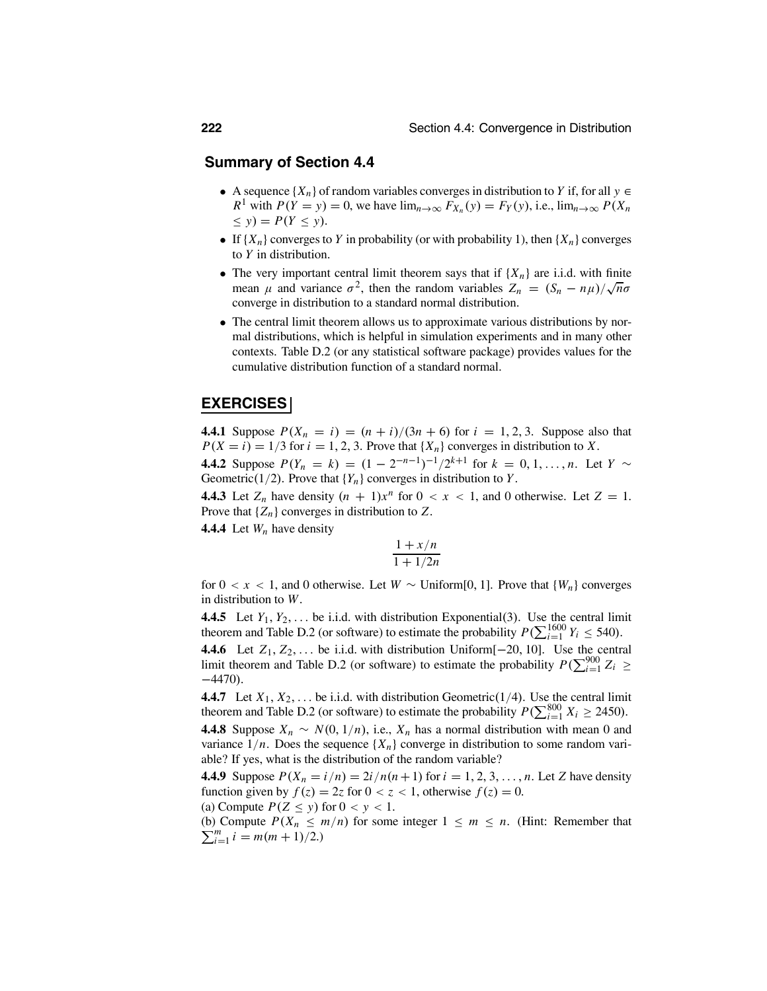### **Summary of Section 4.4**

- A sequence  $\{X_n\}$  of random variables converges in distribution to *Y* if, for all  $y \in$ *R*<sup>1</sup> with  $P(Y = y) = 0$ , we have  $\lim_{n \to \infty} F_{X_n}(y) = F_Y(y)$ , i.e.,  $\lim_{n \to \infty} P(X_n)$  $\leq$  *y*) =  $P(Y \leq y)$ .
- If  $\{X_n\}$  converges to *Y* in probability (or with probability 1), then  $\{X_n\}$  converges to *Y* in distribution.
- The very important central limit theorem says that if  ${X_n}$  are i.i.d. with finite mean  $\mu$  and variance  $\sigma^2$ , then the random variables  $Z_n = (S_n - n\mu)/\sqrt{n}\sigma$ converge in distribution to a standard normal distribution.
- The central limit theorem allows us to approximate various distributions by normal distributions, which is helpful in simulation experiments and in many other contexts. Table D.2 (or any statistical software package) provides values for the cumulative distribution function of a standard normal.

### **EXERCISES**

**4.4.1** Suppose  $P(X_n = i) = (n + i)/(3n + 6)$  for  $i = 1, 2, 3$ . Suppose also that  $P(X = i) = 1/3$  for  $i = 1, 2, 3$ . Prove that  $\{X_n\}$  converges in distribution to *X*.

**4.4.2** Suppose  $P(Y_n = k) = (1 - 2^{-n-1})^{-1}/2^{k+1}$  for  $k = 0, 1, ..., n$ . Let  $Y \sim$ Geometric( $1/2$ ). Prove that  ${Y_n}$  converges in distribution to *Y*.

**4.4.3** Let  $Z_n$  have density  $(n + 1)x^n$  for  $0 < x < 1$ , and 0 otherwise. Let  $Z = 1$ . Prove that  $\{Z_n\}$  converges in distribution to  $Z$ .

**4.4.4** Let *Wn* have density

$$
\frac{1+x/n}{1+1/2n}
$$

for  $0 < x < 1$ , and 0 otherwise. Let  $W \sim$  Uniform[0, 1]. Prove that  $\{W_n\}$  converges in distribution to *W*.

**4.4.5** Let  $Y_1, Y_2, \ldots$  be i.i.d. with distribution Exponential(3). Use the central limit theorem and Table D.2 (or software) to estimate the probability  $P(\sum_{i=1}^{1600} Y_i \le 540)$ .

**4.4.6** Let *<sup>Z</sup>*1, *<sup>Z</sup>*2,... be i.i.d. with distribution Uniform[−20, 10]. Use the central limit theorem and Table D.2 (or software) to estimate the probability  $P(\sum_{i=1}^{900} Z_i \ge 1.470)$  $-4470$ ).

**4.4.7** Let  $X_1, X_2, \ldots$  be i.i.d. with distribution Geometric(1/4). Use the central limit theorem and Table D.2 (or software) to estimate the probability  $P(\sum_{i=1}^{800} X_i \ge 2450)$ .

**4.4.8** Suppose  $X_n \sim N(0, 1/n)$ , i.e.,  $X_n$  has a normal distribution with mean 0 and variance  $1/n$ . Does the sequence  $\{X_n\}$  converge in distribution to some random variable? If yes, what is the distribution of the random variable?

**4.4.9** Suppose  $P(X_n = i/n) = 2i/n(n+1)$  for  $i = 1, 2, 3, ..., n$ . Let *Z* have density function given by  $f(z) = 2z$  for  $0 < z < 1$ , otherwise  $f(z) = 0$ .

(a) Compute 
$$
P(Z \le y)
$$
 for  $0 < y < 1$ .

 $\sum_{i=1}^{m} i = m(m+1)/2.$ (b) Compute  $P(X_n \le m/n)$  for some integer  $1 \le m \le n$ . (Hint: Remember that  $\sum_{m=1}^{m} i = m(m+1)/2$ )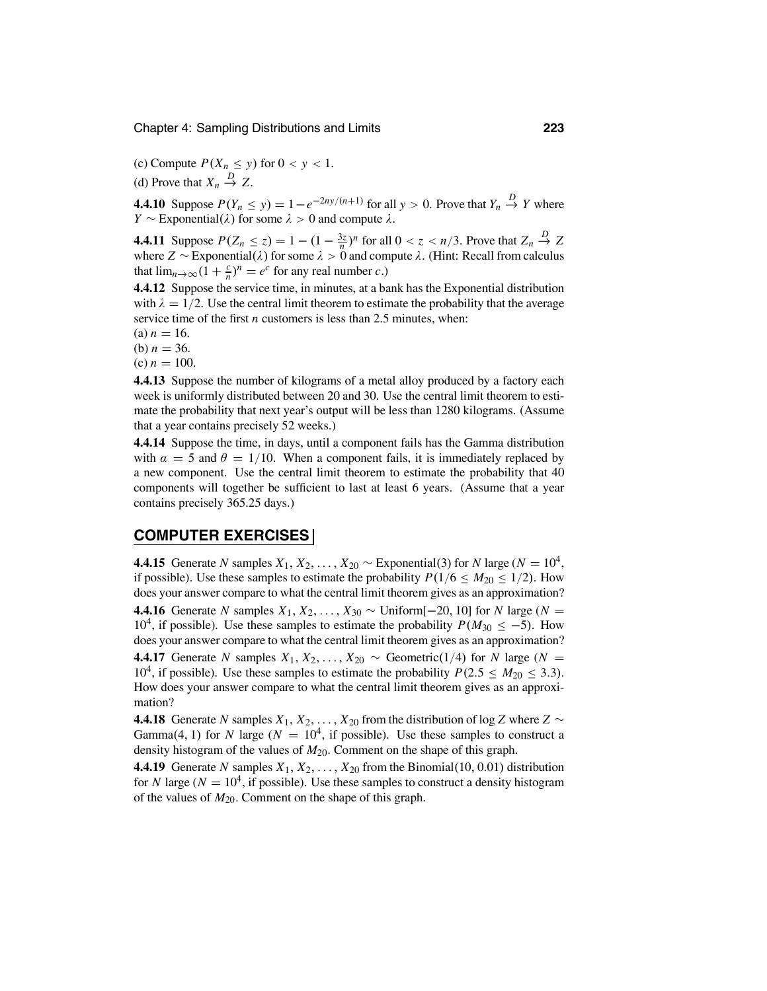(c) Compute  $P(X_n \le y)$  for  $0 < y < 1$ .

(d) Prove that  $X_n \stackrel{D}{\rightarrow} Z$ .

**4.4.10** Suppose  $P(Y_n \leq y) = 1 - e^{-2ny/(n+1)}$  for all  $y > 0$ . Prove that  $Y_n \stackrel{D}{\rightarrow} Y$  where *Y* ∼ Exponential( $\lambda$ ) for some  $\lambda$  > 0 and compute  $\lambda$ .

**4.4.11** Suppose  $P(Z_n \le z) = 1 - (1 - \frac{3z}{n})^n$  for all  $0 < z < n/3$ . Prove that  $Z_n \stackrel{D}{\to} Z$ where  $Z \sim$  Exponential( $\lambda$ ) for some  $\lambda > 0$  and compute  $\lambda$ . (Hint: Recall from calculus that  $\lim_{n\to\infty} (1 + \frac{c}{n})^n = e^c$  for any real number *c*.)

**4.4.12** Suppose the service time, in minutes, at a bank has the Exponential distribution with  $\lambda = 1/2$ . Use the central limit theorem to estimate the probability that the average service time of the first *n* customers is less than 2.5 minutes, when:

 $(a) n = 16.$ 

(b)  $n = 36$ .

 $(c) n = 100.$ 

**4.4.13** Suppose the number of kilograms of a metal alloy produced by a factory each week is uniformly distributed between 20 and 30. Use the central limit theorem to estimate the probability that next year's output will be less than 1280 kilograms. (Assume that a year contains precisely 52 weeks.)

**4.4.14** Suppose the time, in days, until a component fails has the Gamma distribution with  $\alpha = 5$  and  $\theta = 1/10$ . When a component fails, it is immediately replaced by a new component. Use the central limit theorem to estimate the probability that 40 components will together be sufficient to last at least 6 years. (Assume that a year contains precisely 365.25 days.)

### **COMPUTER EXERCISES**

**4.4.15** Generate *N* samples  $X_1, X_2, \ldots, X_{20} \sim$  Exponential(3) for *N* large ( $N = 10^4$ , if possible). Use these samples to estimate the probability  $P(1/6 \le M_{20} \le 1/2)$ . How does your answer compare to what the central limit theorem gives as an approximation?

**4.4.16** Generate *N* samples *X*<sub>1</sub>, *X*<sub>2</sub>, . . . , *X*<sub>30</sub> ∼ Uniform[−20, 10] for *N* large (*N* = 10<sup>4</sup>, if possible). Use these samples to estimate the probability  $P(M_{30} \le -5)$ . How does your answer compare to what the central limit theorem gives as an approximation? **4.4.17** Generate *N* samples  $X_1, X_2, \ldots, X_{20} \sim$  Geometric(1/4) for *N* large (*N* = 10<sup>4</sup>, if possible). Use these samples to estimate the probability  $P(2.5 \le M_{20} \le 3.3)$ . How does your answer compare to what the central limit theorem gives as an approximation?

**4.4.18** Generate *N* samples  $X_1, X_2, \ldots, X_{20}$  from the distribution of log *Z* where  $Z \sim$ Gamma(4, 1) for *N* large ( $N = 10<sup>4</sup>$ , if possible). Use these samples to construct a density histogram of the values of  $M_{20}$ . Comment on the shape of this graph.

**4.4.19** Generate *N* samples  $X_1, X_2, \ldots, X_{20}$  from the Binomial(10, 0.01) distribution for *N* large ( $N = 10<sup>4</sup>$ , if possible). Use these samples to construct a density histogram of the values of *M*20. Comment on the shape of this graph.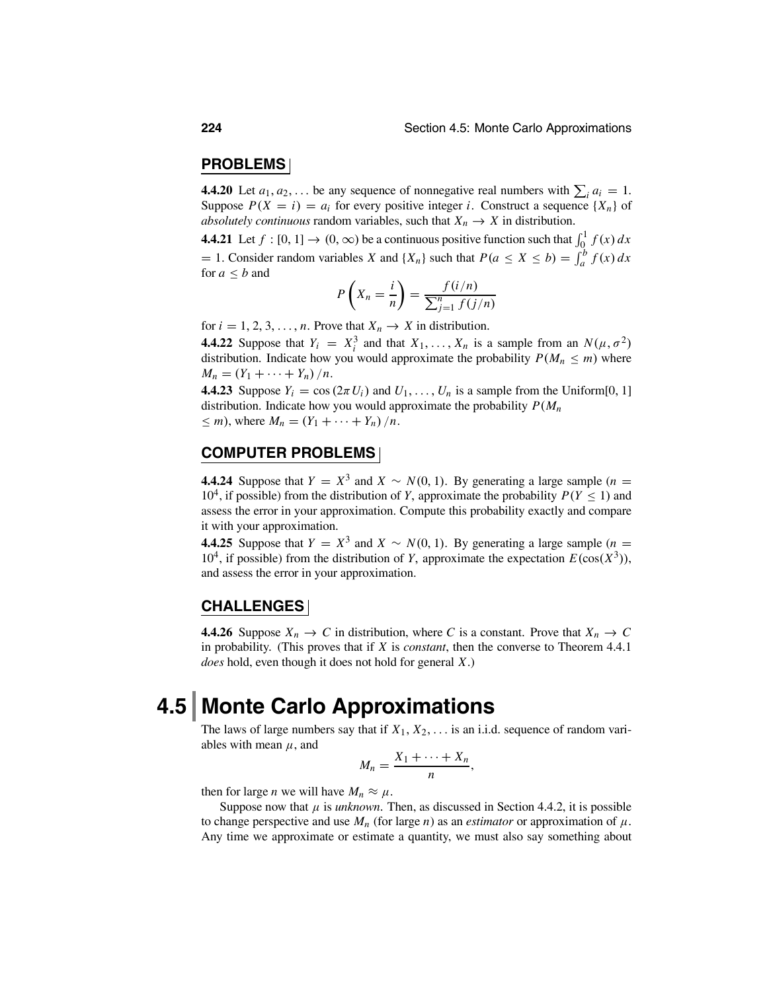### **PROBLEMS**

**4.4.20** Let  $a_1, a_2, \ldots$  be any sequence of nonnegative real numbers with  $\sum_i a_i = 1$ . Suppose  $P(X = i) = a_i$  for every positive integer *i*. Construct a sequence  $\{X_n\}$  of *absolutely continuous* random variables, such that  $X_n \to X$  in distribution.

**4.4.21** Let  $f : [0, 1] \rightarrow (0, \infty)$  be a continuous positive function such that  $\int_0^1 f(x) dx$  $= 1$ . Consider random variables *X* and {*X<sub>n</sub>*} such that  $P(a \le X \le b) = \int_a^b f(x) dx$ for  $a < b$  and

$$
P\left(X_n = \frac{i}{n}\right) = \frac{f(i/n)}{\sum_{j=1}^n f(j/n)}
$$

for  $i = 1, 2, 3, \ldots, n$ . Prove that  $X_n \to X$  in distribution.

**4.4.22** Suppose that  $Y_i = X_i^3$  and that  $X_1, \ldots, X_n$  is a sample from an  $N(\mu, \sigma^2)$ distribution. Indicate how you would approximate the probability  $P(M_n \le m)$  where  $M_n = (Y_1 + \cdots + Y_n) / n$ .

**4.4.23** Suppose  $Y_i = \cos(2\pi U_i)$  and  $U_1, \ldots, U_n$  is a sample from the Uniform[0, 1] distribution. Indicate how you would approximate the probability *P*(*Mn*  $\leq m$ ), where  $M_n = (Y_1 + \cdots + Y_n)/n$ .

### **COMPUTER PROBLEMS**

**4.4.24** Suppose that  $Y = X^3$  and  $X \sim N(0, 1)$ . By generating a large sample (*n* = 10<sup>4</sup>, if possible) from the distribution of *Y*, approximate the probability  $P(Y \le 1)$  and assess the error in your approximation. Compute this probability exactly and compare it with your approximation.

**4.4.25** Suppose that  $Y = X^3$  and  $X \sim N(0, 1)$ . By generating a large sample (*n* = 10<sup>4</sup>, if possible) from the distribution of *Y*, approximate the expectation  $E(\cos(X^3))$ , and assess the error in your approximation.

### **CHALLENGES**

**4.4.26** Suppose  $X_n \to C$  in distribution, where C is a constant. Prove that  $X_n \to C$ in probability. (This proves that if *X* is *constant*, then the converse to Theorem 4.4.1 *does* hold, even though it does not hold for general *X*.)

## **4.5 Monte Carlo Approximations**

The laws of large numbers say that if  $X_1, X_2, \ldots$  is an i.i.d. sequence of random variables with mean  $\mu$ , and

$$
M_n=\frac{X_1+\cdots+X_n}{n},
$$

then for large *n* we will have  $M_n \approx \mu$ .

Suppose now that  $\mu$  is *unknown*. Then, as discussed in Section 4.4.2, it is possible to change perspective and use  $M_n$  (for large *n*) as an *estimator* or approximation of  $\mu$ . Any time we approximate or estimate a quantity, we must also say something about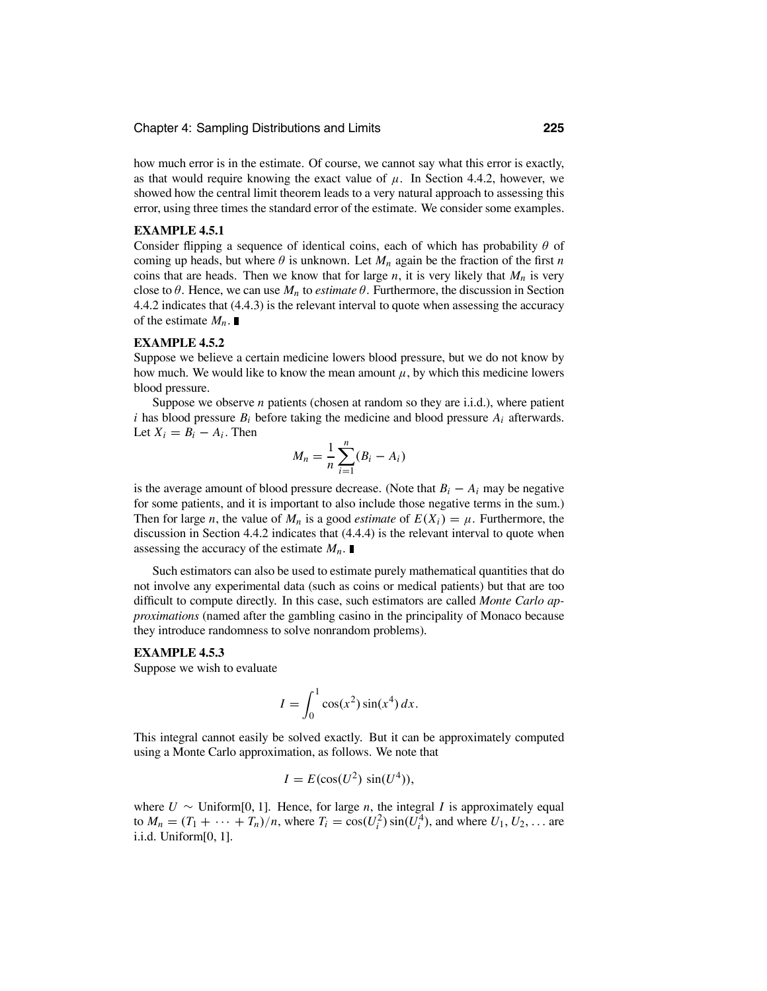how much error is in the estimate. Of course, we cannot say what this error is exactly, as that would require knowing the exact value of  $\mu$ . In Section 4.4.2, however, we showed how the central limit theorem leads to a very natural approach to assessing this error, using three times the standard error of the estimate. We consider some examples.

### **EXAMPLE 4.5.1**

Consider flipping a sequence of identical coins, each of which has probability  $\theta$  of coming up heads, but where  $\theta$  is unknown. Let  $M_n$  again be the fraction of the first *n* coins that are heads. Then we know that for large  $n$ , it is very likely that  $M_n$  is very close to  $\theta$ . Hence, we can use  $M_n$  to *estimate*  $\theta$ . Furthermore, the discussion in Section 4.4.2 indicates that (4.4.3) is the relevant interval to quote when assessing the accuracy of the estimate  $M_n$ .

### **EXAMPLE 4.5.2**

Suppose we believe a certain medicine lowers blood pressure, but we do not know by how much. We would like to know the mean amount  $\mu$ , by which this medicine lowers blood pressure.

Suppose we observe *n* patients (chosen at random so they are i.i.d.), where patient *i* has blood pressure  $B_i$  before taking the medicine and blood pressure  $A_i$  afterwards. Let  $X_i = B_i - A_i$ . Then

$$
M_n = \frac{1}{n} \sum_{i=1}^n (B_i - A_i)
$$

is the average amount of blood pressure decrease. (Note that  $B_i - A_i$  may be negative for some patients, and it is important to also include those negative terms in the sum.) Then for large *n*, the value of  $M_n$  is a good *estimate* of  $E(X_i) = \mu$ . Furthermore, the discussion in Section 4.4.2 indicates that (4.4.4) is the relevant interval to quote when assessing the accuracy of the estimate  $M_n$ .

Such estimators can also be used to estimate purely mathematical quantities that do not involve any experimental data (such as coins or medical patients) but that are too difficult to compute directly. In this case, such estimators are called *Monte Carlo approximations* (named after the gambling casino in the principality of Monaco because they introduce randomness to solve nonrandom problems).

### **EXAMPLE 4.5.3**

Suppose we wish to evaluate

$$
I = \int_0^1 \cos(x^2) \sin(x^4) dx.
$$

This integral cannot easily be solved exactly. But it can be approximately computed using a Monte Carlo approximation, as follows. We note that

$$
I = E(\cos(U^2)\sin(U^4)),
$$

where  $U \sim$  Uniform[0, 1]. Hence, for large *n*, the integral *I* is approximately equal to  $M_n = (T_1 + \dots + T_n)/n$ , where  $T_i = \cos(U_i^2) \sin(U_i^4)$ , and where  $U_1, U_2, \dots$  are i.i.d. Uniform[0, 1].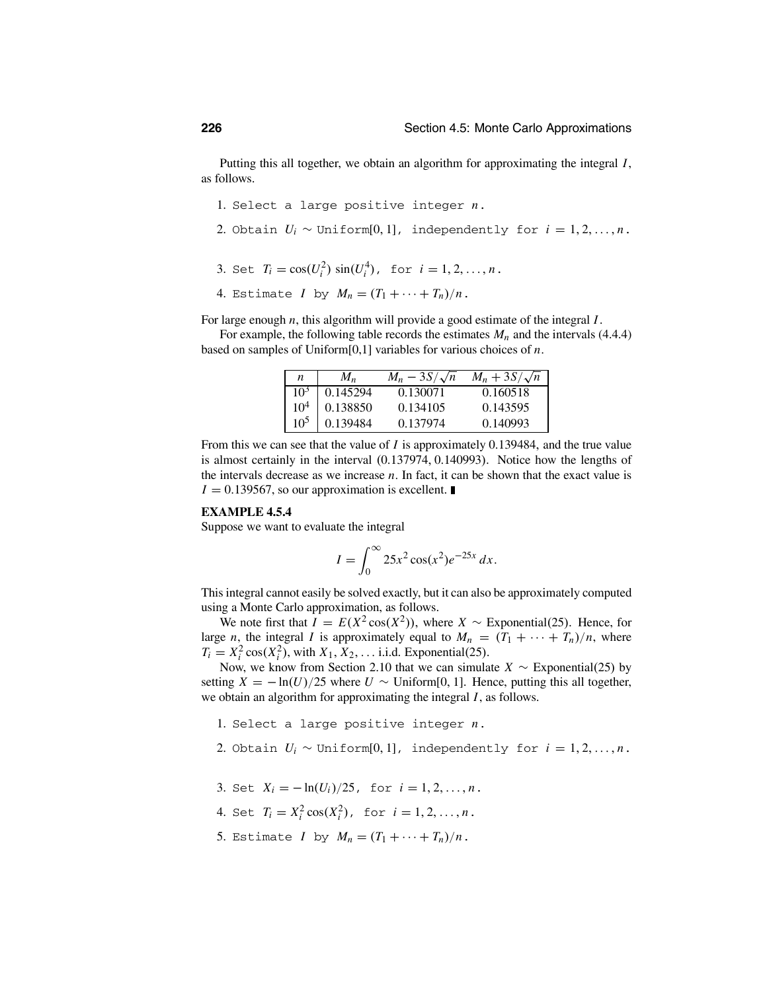Putting this all together, we obtain an algorithm for approximating the integral *I*, as follows.

- 1. Select a large positive integer *n*.
- 2. Obtain  $U_i \sim \text{Uniform}[0,1]$ , independently for  $i = 1, 2, ..., n$ .
- 3. Set  $T_i = \cos(U_i^2) \sin(U_i^4)$ , for  $i = 1, 2, ..., n$ .
- 4. Estimate *I* by  $M_n = (T_1 + \cdots + T_n)/n$ .

For large enough *n*, this algorithm will provide a good estimate of the integral *I*.

For example, the following table records the estimates  $M_n$  and the intervals (4.4.4) based on samples of Uniform[0,1] variables for various choices of *n*.

| n               | Mn       | $M_n - 3S/\sqrt{n}$ | $M_n + 3S/\sqrt{n}$ |
|-----------------|----------|---------------------|---------------------|
| $10^3$          | 0.145294 | 0.130071            | 0.160518            |
| 10 <sup>4</sup> | 0.138850 | 0.134105            | 0.143595            |
| 10 <sup>5</sup> | 0.139484 | 0.137974            | 0.140993            |

From this we can see that the value of *I* is approximately 0.139484, and the true value is almost certainly in the interval (0.137974, 0.140993). Notice how the lengths of the intervals decrease as we increase *n*. In fact, it can be shown that the exact value is  $I = 0.139567$ , so our approximation is excellent.

### **EXAMPLE 4.5.4**

Suppose we want to evaluate the integral

$$
I = \int_0^\infty 25x^2 \cos(x^2) e^{-25x} dx.
$$

This integral cannot easily be solved exactly, but it can also be approximately computed using a Monte Carlo approximation, as follows.

We note first that  $I = E(X^2 \cos(X^2))$ , where  $X \sim$  Exponential(25). Hence, for large *n*, the integral *I* is approximately equal to  $M_n = (T_1 + \cdots + T_n)/n$ , where  $T_i = X_i^2 \cos(X_i^2)$ , with  $X_1, X_2, \ldots$  i.i.d. Exponential(25).

Now, we know from Section 2.10 that we can simulate *<sup>X</sup>* <sup>∼</sup> Exponential(25) by setting  $X = -\ln(U)/25$  where  $U \sim$  Uniform[0, 1]. Hence, putting this all together, we obtain an algorithm for approximating the integral *I*, as follows.

- 1. Select a large positive integer *n*.
- 2. Obtain  $U_i \sim \text{Uniform}[0, 1]$ , independently for  $i = 1, 2, ..., n$ .
- 3. Set  $X_i = -\ln(U_i)/25$ , for  $i = 1, 2, ..., n$ .
- 4. Set  $T_i = X_i^2 \cos(X_i^2)$ , for  $i = 1, 2, ..., n$ .
- 5. Estimate *I* by  $M_n = (T_1 + \cdots + T_n)/n$ .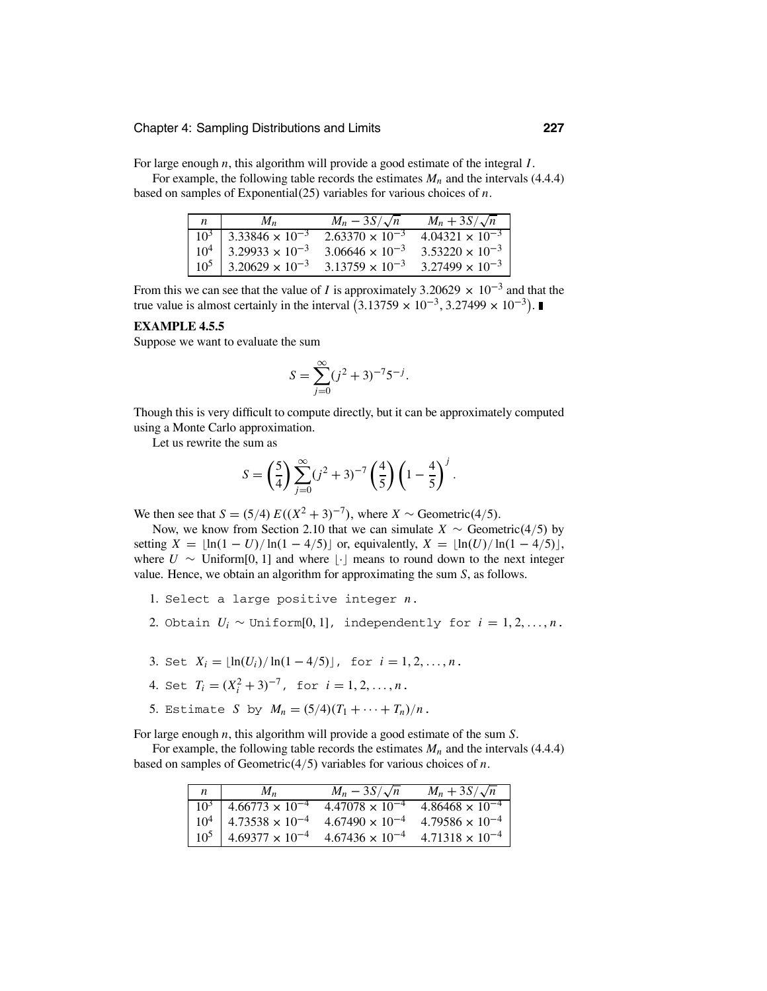For large enough *n*, this algorithm will provide a good estimate of the integral *I*.

For example, the following table records the estimates  $M_n$  and the intervals (4.4.4) based on samples of Exponential(25) variables for various choices of *n*.

| $\mathfrak{n}$ | $M_{\rm n}$                         | $M_n - 3S/\sqrt{n}$      | $M_n + 3S/\sqrt{n}$      |
|----------------|-------------------------------------|--------------------------|--------------------------|
|                | $10^3$ 3.33846 $\times 10^{-3}$     | $2.63370 \times 10^{-3}$ | $4.04321 \times 10^{-3}$ |
|                | $10^4$   3.29933 × 10 <sup>-3</sup> | $3.06646 \times 10^{-3}$ | $3.53220 \times 10^{-3}$ |
| $10^5$         | $3.20629 \times 10^{-3}$            | $3.13759 \times 10^{-3}$ | $3.27499 \times 10^{-3}$ |

From this we can see that the value of *I* is approximately 3.20629  $\times$  10<sup>-3</sup> and that the true value is almost certainly in the interval  $(3.13759 \times 10^{-3}, 3.27499 \times 10^{-3})$ .

#### **EXAMPLE 4.5.5**

Suppose we want to evaluate the sum

$$
S = \sum_{j=0}^{\infty} (j^2 + 3)^{-7} 5^{-j}.
$$

Though this is very difficult to compute directly, but it can be approximately computed using a Monte Carlo approximation.

Let us rewrite the sum as

$$
S = \left(\frac{5}{4}\right) \sum_{j=0}^{\infty} (j^2 + 3)^{-7} \left(\frac{4}{5}\right) \left(1 - \frac{4}{5}\right)^j.
$$

We then see that *S* = (5/4) *E*(( $X^2$  + 3)<sup>-7</sup>), where *X* ∼ Geometric(4/5).

Now, we know from Section 2.10 that we can simulate *X*  $\sim$  Geometric(4/5) by setting  $X = \lfloor \ln(1 - U)/\ln(1 - 4/5) \rfloor$  or, equivalently,  $X = \lfloor \ln(U)/\ln(1 - 4/5) \rfloor$ , where  $U \sim$  Uniform[0, 1] and where [ $\cdot$ ] means to round down to the next integer value. Hence, we obtain an algorithm for approximating the sum *S*, as follows.

- 1. Select a large positive integer *n*.
- 2. Obtain  $U_i \sim \text{Uniform}[0, 1]$ , independently for  $i = 1, 2, ..., n$ .
- 3. Set  $X_i = \lfloor \ln(U_i) / \ln(1 4/5) \rfloor$ , for  $i = 1, 2, ..., n$ .
- 4. Set  $T_i = (X_i^2 + 3)^{-7}$ , for  $i = 1, 2, ..., n$ .
- 5. Estimate *S* by  $M_n = (5/4)(T_1 + \cdots + T_n)/n$ .

For large enough *n*, this algorithm will provide a good estimate of the sum *S*.

For example, the following table records the estimates  $M_n$  and the intervals (4.4.4) based on samples of Geometric(4/5) variables for various choices of *n*.

| $\mathfrak n$ | $M_{\rm n}$                         | $M_n - 3S/\sqrt{n}$      | $M_n + 3S/\sqrt{n}$      |
|---------------|-------------------------------------|--------------------------|--------------------------|
| $10^3$        | $4.66773 \times 10^{-4}$            | $4.47078 \times 10^{-4}$ | $4.86468 \times 10^{-4}$ |
|               | $10^4$   4.73538 × 10 <sup>-4</sup> | $4.67490 \times 10^{-4}$ | $4.79586 \times 10^{-4}$ |
|               | $10^5$   4.69377 × 10 <sup>-4</sup> | $4.67436 \times 10^{-4}$ | $4.71318 \times 10^{-4}$ |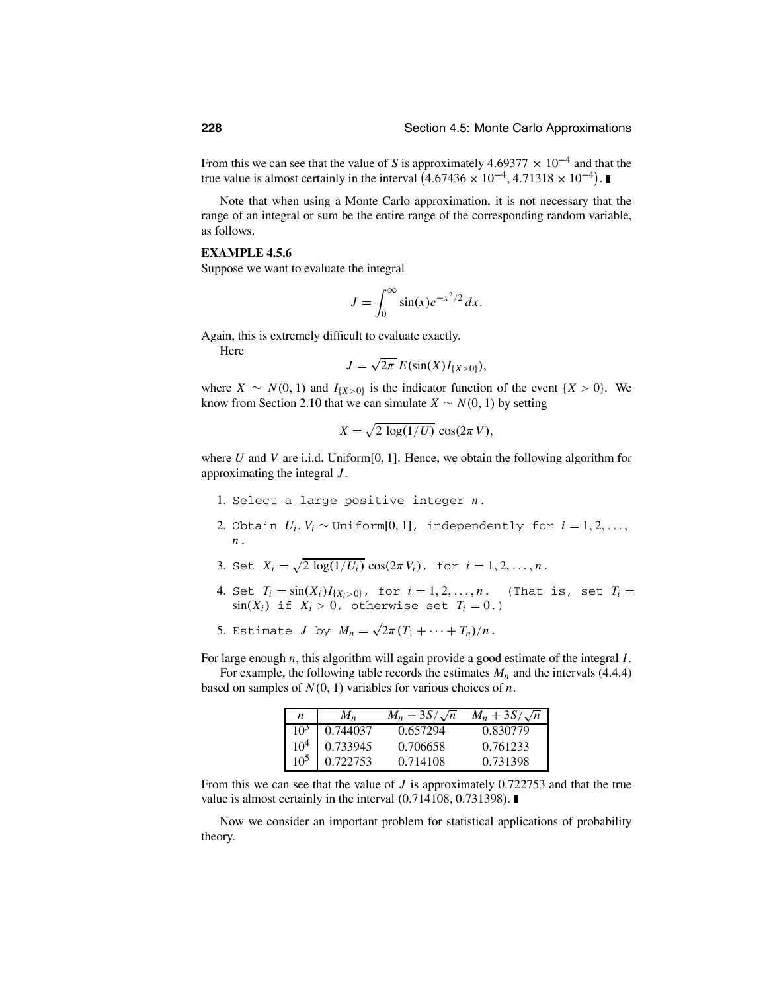From this we can see that the value of *S* is approximately 4.69377  $\times$  10<sup>-4</sup> and that the true value is almost certainly in the interval  $(4.67436 \times 10^{-4}, 4.71318 \times 10^{-4})$ .

Note that when using a Monte Carlo approximation, it is not necessary that the range of an integral or sum be the entire range of the corresponding random variable, as follows.

### **EXAMPLE 4.5.6**

Suppose we want to evaluate the integral

$$
J = \int_0^\infty \sin(x) e^{-x^2/2} dx.
$$

Again, this is extremely difficult to evaluate exactly.

Here

$$
J=\sqrt{2\pi}\ E(\sin(X)I_{\{X>0\}}),
$$

where  $X \sim N(0, 1)$  and  $I_{\{X>0\}}$  is the indicator function of the event  $\{X>0\}$ . We know from Section 2.10 that we can simulate  $X \sim N(0, 1)$  by setting

$$
X = \sqrt{2 \log(1/U)} \cos(2\pi V),
$$

where *U* and *V* are i.i.d. Uniform[0, 1]. Hence, we obtain the following algorithm for approximating the integral *J* .

- 1. Select a large positive integer *n*.
- 2. Obtain  $U_i$ ,  $V_i \sim \text{Uniform}[0, 1]$ , independently for  $i = 1, 2, \ldots$ , *n*.
- 3. Set  $X_i = \sqrt{2 \log(1/U_i)} \cos(2\pi V_i)$ , for  $i = 1, 2, ..., n$ .
- 4. Set  $T_i = \sin(X_i)I_{\{X_i > 0\}}$ , for  $i = 1, 2, ..., n$ . (That is, set  $T_i =$  $sin(X_i)$  if  $X_i > 0$ , otherwise set  $T_i = 0$ .)
- 5. Estimate *J* by  $M_n = \sqrt{2\pi} (T_1 + \cdots + T_n)/n$ .

For large enough *n*, this algorithm will again provide a good estimate of the integral *I*.

For example, the following table records the estimates  $M_n$  and the intervals (4.4.4) based on samples of  $N(0, 1)$  variables for various choices of *n*.

| n               | $M_n$    | $M_n - 3S/\sqrt{n}$ | $M_n + 3S/\sqrt{n}$ |
|-----------------|----------|---------------------|---------------------|
| 105             | 0.744037 | 0.657294            | 0.830779            |
| 10 <sup>4</sup> | 0.733945 | 0.706658            | 0.761233            |
| 105             | 0.722753 | 0.714108            | 0.731398            |

From this we can see that the value of *J* is approximately 0.722753 and that the true value is almost certainly in the interval (0.714108, 0.731398).

Now we consider an important problem for statistical applications of probability theory.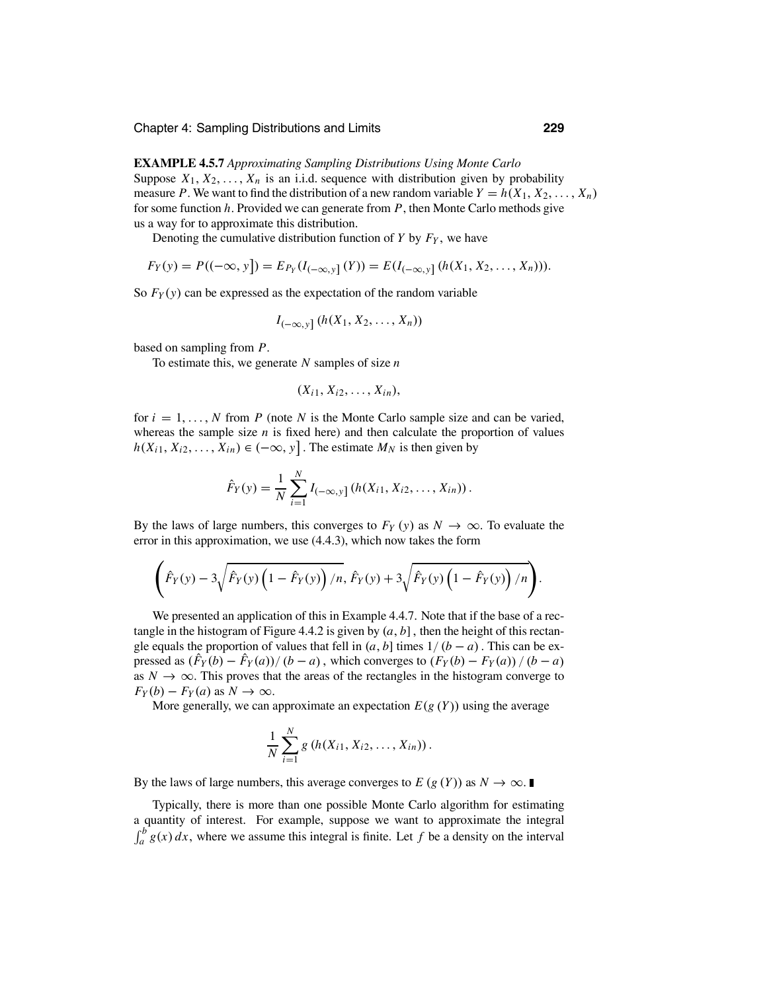**EXAMPLE 4.5.7** *Approximating Sampling Distributions Using Monte Carlo* Suppose  $X_1, X_2, \ldots, X_n$  is an i.i.d. sequence with distribution given by probability measure *P*. We want to find the distribution of a new random variable  $Y = h(X_1, X_2, \ldots, X_n)$ for some function *h*. Provided we can generate from *P*, then Monte Carlo methods give us a way for to approximate this distribution.

Denoting the cumulative distribution function of  $Y$  by  $F_Y$ , we have

$$
F_Y(y) = P((-\infty, y]) = E_{P_Y}(I_{(-\infty, y]}(Y)) = E(I_{(-\infty, y]}(h(X_1, X_2, \ldots, X_n))).
$$

So  $F_Y(y)$  can be expressed as the expectation of the random variable

$$
I_{(-\infty,y]}(h(X_1,X_2,\ldots,X_n))
$$

based on sampling from *P*.

To estimate this, we generate *N* samples of size *n*

$$
(X_{i1},X_{i2},\ldots,X_{in}),
$$

for  $i = 1, \ldots, N$  from *P* (note *N* is the Monte Carlo sample size and can be varied, whereas the sample size  $n$  is fixed here) and then calculate the proportion of values  $h(X_{i1}, X_{i2},..., X_{in}) \in (-\infty, y]$ . The estimate  $M_N$  is then given by

$$
\hat{F}_Y(y) = \frac{1}{N} \sum_{i=1}^N I_{(-\infty, y]} (h(X_{i1}, X_{i2}, \dots, X_{in})).
$$

By the laws of large numbers, this converges to  $F_Y(y)$  as  $N \to \infty$ . To evaluate the error in this approximation, we use (4.4.3), which now takes the form

$$
\left(\hat{F}_Y(y)-3\sqrt{\hat{F}_Y(y)\left(1-\hat{F}_Y(y)\right)/n},\,\hat{F}_Y(y)+3\sqrt{\hat{F}_Y(y)\left(1-\hat{F}_Y(y)\right)/n}\right).
$$

We presented an application of this in Example 4.4.7. Note that if the base of a rectangle in the histogram of Figure 4.4.2 is given by  $(a, b]$ , then the height of this rectangle equals the proportion of values that fell in  $(a, b]$  times  $1/(b - a)$ . This can be expressed as  $(F_Y(b) - F_Y(a))/(b - a)$ , which converges to  $(F_Y(b) - F_Y(a))/(b - a)$ as  $N \to \infty$ . This proves that the areas of the rectangles in the histogram converge to  $F_Y(b) - F_Y(a)$  as  $N \to \infty$ .

More generally, we can approximate an expectation  $E(g(Y))$  using the average

$$
\frac{1}{N}\sum_{i=1}^N g\left(h(X_{i1},X_{i2},\ldots,X_{in})\right).
$$

By the laws of large numbers, this average converges to  $E(g(Y))$  as  $N \to \infty$ .

Typically, there is more than one possible Monte Carlo algorithm for estimating a quantity of interest. For example, suppose we want to approximate the integral  $\int_{a}^{b} g(x) dx$ , where we assume this integral is finite. Let f be a density on the interval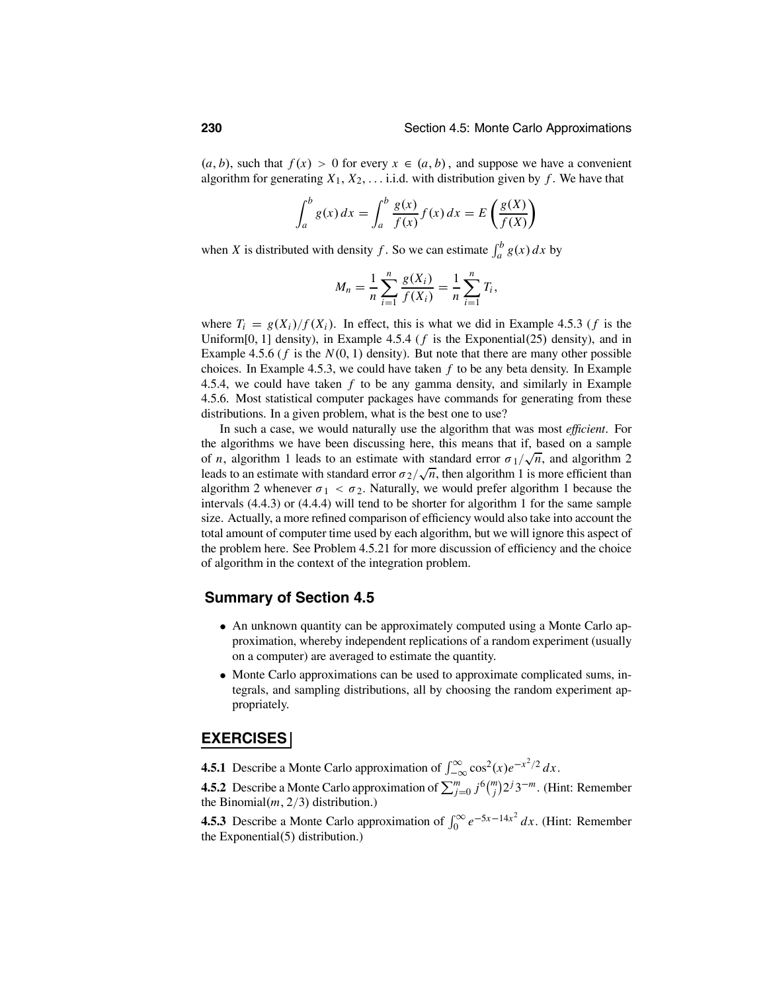$(a, b)$ , such that  $f(x) > 0$  for every  $x \in (a, b)$ , and suppose we have a convenient algorithm for generating  $X_1, X_2, \ldots$  i.i.d. with distribution given by  $f$ . We have that

$$
\int_{a}^{b} g(x) dx = \int_{a}^{b} \frac{g(x)}{f(x)} f(x) dx = E\left(\frac{g(X)}{f(X)}\right)
$$

when *X* is distributed with density *f*. So we can estimate  $\int_a^b g(x) dx$  by

$$
M_n = \frac{1}{n} \sum_{i=1}^n \frac{g(X_i)}{f(X_i)} = \frac{1}{n} \sum_{i=1}^n T_i,
$$

where  $T_i = g(X_i)/f(X_i)$ . In effect, this is what we did in Example 4.5.3 (*f* is the Uniform[0, 1] density), in Example 4.5.4 ( $f$  is the Exponential(25) density), and in Example 4.5.6 ( $f$  is the  $N(0, 1)$  density). But note that there are many other possible choices. In Example 4.5.3, we could have taken *f* to be any beta density. In Example 4.5.4, we could have taken *f* to be any gamma density, and similarly in Example 4.5.6. Most statistical computer packages have commands for generating from these distributions. In a given problem, what is the best one to use?

In such a case, we would naturally use the algorithm that was most *efficient*. For the algorithms we have been discussing here, this means that if, based on a sample of *n*, algorithm 1 leads to an estimate with standard error  $\sigma_1/\sqrt{n}$ , and algorithm 2 leads to an estimate with standard error  $\sigma_2/\sqrt{n}$ , then algorithm 1 is more efficient than algorithm 2 whenever  $\sigma_1 < \sigma_2$ . Naturally, we would prefer algorithm 1 because the intervals (4.4.3) or (4.4.4) will tend to be shorter for algorithm 1 for the same sample size. Actually, a more refined comparison of efficiency would also take into account the total amount of computer time used by each algorithm, but we will ignore this aspect of the problem here. See Problem 4.5.21 for more discussion of efficiency and the choice of algorithm in the context of the integration problem.

### **Summary of Section 4.5**

- An unknown quantity can be approximately computed using a Monte Carlo approximation, whereby independent replications of a random experiment (usually on a computer) are averaged to estimate the quantity.
- Monte Carlo approximations can be used to approximate complicated sums, integrals, and sampling distributions, all by choosing the random experiment appropriately.

### **EXERCISES**

**4.5.1** Describe a Monte Carlo approximation of  $\int_{-\infty}^{\infty} \cos^2(x) e^{-x^2/2} dx$ .

**4.5.2** Describe a Monte Carlo approximation of  $\sum_{j=0}^{m} j^6 \binom{m}{j} 2^j 3^{-m}$ . (Hint: Remember the Binomial $(m, 2/3)$  distribution.)

**4.5.3** Describe a Monte Carlo approximation of  $\int_0^\infty e^{-5x-14x^2} dx$ . (Hint: Remember the Exponential(5) distribution.)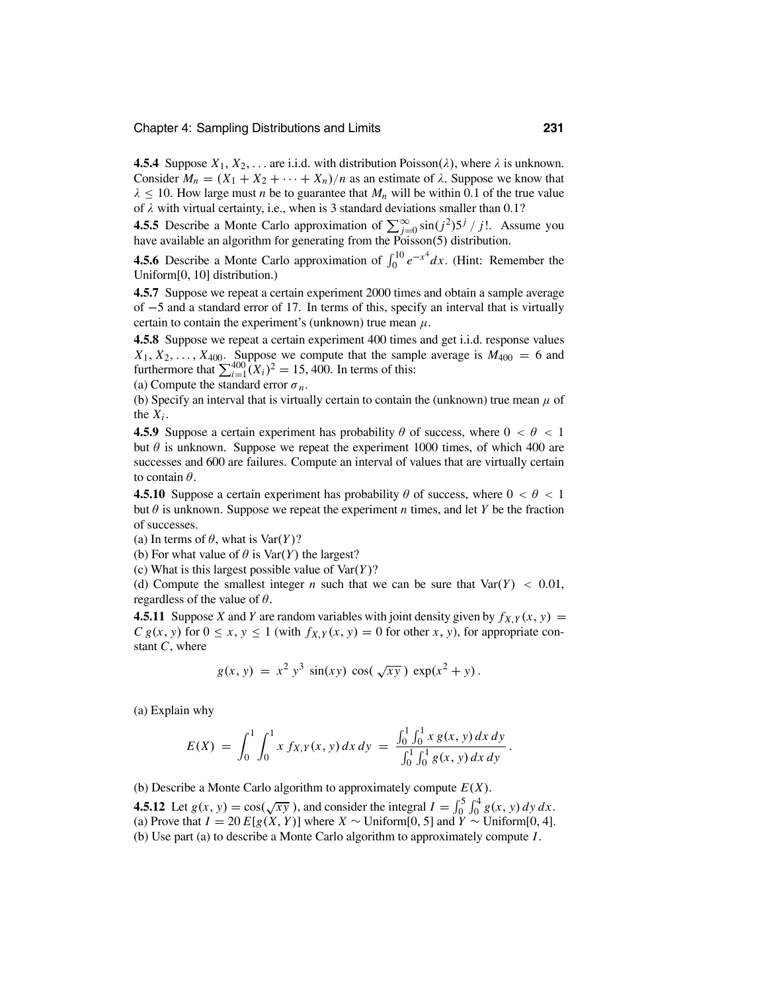**4.5.4** Suppose  $X_1, X_2, \ldots$  are i.i.d. with distribution Poisson( $\lambda$ ), where  $\lambda$  is unknown. Consider  $M_n = (X_1 + X_2 + \cdots + X_n)/n$  as an estimate of  $\lambda$ . Suppose we know that  $\lambda \leq 10$ . How large must *n* be to guarantee that  $M_n$  will be within 0.1 of the true value of  $\lambda$  with virtual certainty, i.e., when is 3 standard deviations smaller than 0.1?

**4.5.5** Describe a Monte Carlo approximation of  $\sum_{j=0}^{\infty} \sin(j^2) 5^j / j!$ . Assume you have available an algorithm for generating from the Poisson(5) distribution.

**4.5.6** Describe a Monte Carlo approximation of  $\int_0^{10} e^{-x^4} dx$ . (Hint: Remember the Uniform[0, 10] distribution.)

**4.5.7** Suppose we repeat a certain experiment 2000 times and obtain a sample average of <sup>−</sup>5 and a standard error of 17. In terms of this, specify an interval that is virtually certain to contain the experiment's (unknown) true mean  $\mu$ .

**4.5.8** Suppose we repeat a certain experiment 400 times and get i.i.d. response values  $X_1, X_2, \ldots, X_{400}$ . Suppose we compute that the sample average is  $M_{400} = 6$  and furthermore that  $\sum_{i=1}^{400} (X_i)^2 = 15,400$ . In terms of this:

(a) Compute the standard error  $\sigma_n$ .

(b) Specify an interval that is virtually certain to contain the (unknown) true mean  $\mu$  of the  $X_i$ .

**4.5.9** Suppose a certain experiment has probability  $\theta$  of success, where  $0 < \theta < 1$ but  $\theta$  is unknown. Suppose we repeat the experiment 1000 times, of which 400 are successes and 600 are failures. Compute an interval of values that are virtually certain to contain  $\theta$ .

**4.5.10** Suppose a certain experiment has probability  $\theta$  of success, where  $0 < \theta < 1$ but  $\theta$  is unknown. Suppose we repeat the experiment *n* times, and let *Y* be the fraction of successes.

(a) In terms of  $\theta$ , what is Var(*Y*)?

(b) For what value of  $\theta$  is  $\text{Var}(Y)$  the largest?

(c) What is this largest possible value of Var(*Y*)?

(d) Compute the smallest integer *n* such that we can be sure that  $Var(Y) < 0.01$ , regardless of the value of  $\theta$ .

**4.5.11** Suppose *X* and *Y* are random variables with joint density given by  $f_{X,Y}(x, y) =$  $C g(x, y)$  for  $0 \le x, y \le 1$  (with  $f_{X,Y}(x, y) = 0$  for other *x*, *y*), for appropriate constant *C*, where

$$
g(x, y) = x^2 y^3 \sin(xy) \cos(\sqrt{xy}) \exp(x^2 + y).
$$

(a) Explain why

$$
E(X) = \int_0^1 \int_0^1 x f_{X,Y}(x, y) dx dy = \frac{\int_0^1 \int_0^1 x g(x, y) dx dy}{\int_0^1 \int_0^1 g(x, y) dx dy}.
$$

(b) Describe a Monte Carlo algorithm to approximately compute *E*(*X*).

**4.5.12** Let  $g(x, y) = \cos(\sqrt{xy})$ , and consider the integral  $I = \int_0^5 \int_0^4 g(x, y) dy dx$ . (a) Prove that  $I = 20 E[g(X, Y)]$  where  $X \sim$  Uniform[0, 5] and  $\overline{Y} \sim$  Uniform[0, 4]. (b) Use part (a) to describe a Monte Carlo algorithm to approximately compute *I*.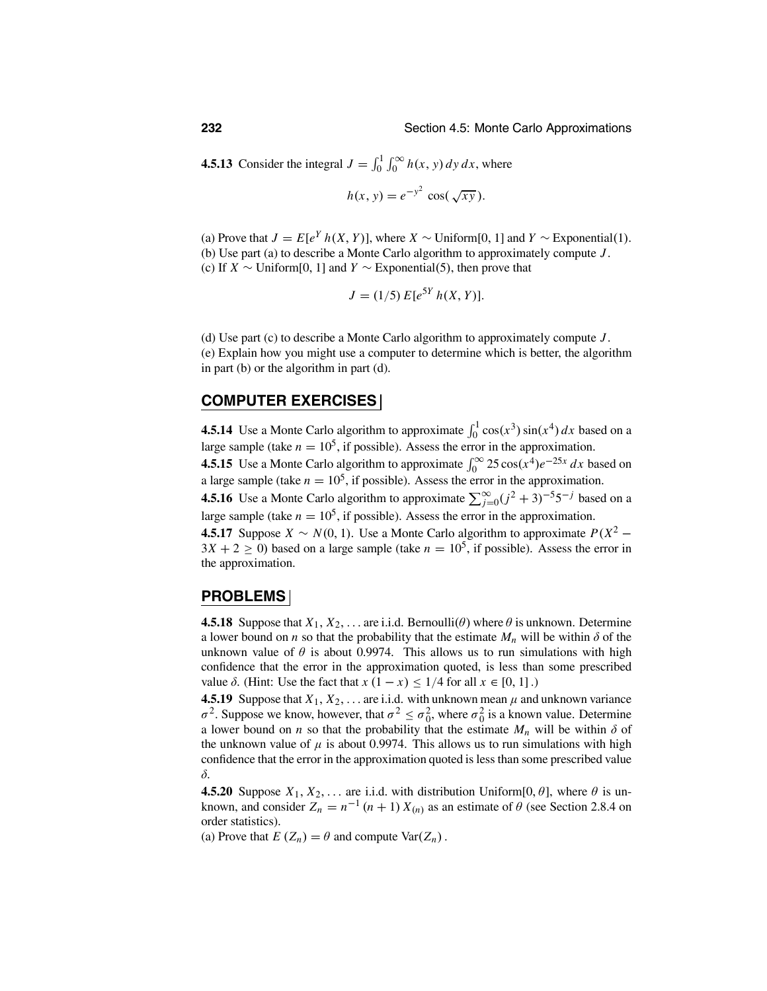**4.5.13** Consider the integral  $J = \int_0^1 \int_0^\infty h(x, y) dy dx$ , where

$$
h(x, y) = e^{-y^2} \cos(\sqrt{xy}).
$$

(a) Prove that  $J = E[e^Y h(X, Y)]$ , where  $X \sim \text{Uniform}[0, 1]$  and  $Y \sim \text{Exponential}(1)$ . (b) Use part (a) to describe a Monte Carlo algorithm to approximately compute *J* . (c) If *<sup>X</sup>* <sup>∼</sup> Uniform[0, 1] and *<sup>Y</sup>* <sup>∼</sup> Exponential(5), then prove that

$$
J = (1/5) E[e^{5Y} h(X, Y)].
$$

(d) Use part (c) to describe a Monte Carlo algorithm to approximately compute *J* . (e) Explain how you might use a computer to determine which is better, the algorithm in part (b) or the algorithm in part (d).

### **COMPUTER EXERCISES**

**4.5.14** Use a Monte Carlo algorithm to approximate  $\int_0^1 \cos(x^3) \sin(x^4) dx$  based on a large sample (take  $n = 10^5$ , if possible). Assess the error in the approximation.

**4.5.15** Use a Monte Carlo algorithm to approximate  $\int_0^\infty 25 \cos(x^4) e^{-25x} dx$  based on a large sample (take  $n = 10^5$ , if possible). Assess the error in the approximation.

**4.5.16** Use a Monte Carlo algorithm to approximate  $\sum_{j=0}^{\infty} (j^2 + 3)^{-5} 5^{-j}$  based on a large sample (take  $n = 10^5$ , if possible). Assess the error in the approximation.

**4.5.17** Suppose *X* ∼ *N*(0, 1). Use a Monte Carlo algorithm to approximate  $P(X^2 3X + 2 \ge 0$ ) based on a large sample (take  $n = 10^5$ , if possible). Assess the error in the approximation.

### **PROBLEMS**

**4.5.18** Suppose that  $X_1, X_2, \ldots$  are i.i.d. Bernoulli( $\theta$ ) where  $\theta$  is unknown. Determine a lower bound on *n* so that the probability that the estimate  $M_n$  will be within  $\delta$  of the unknown value of  $\theta$  is about 0.9974. This allows us to run simulations with high confidence that the error in the approximation quoted, is less than some prescribed value  $\delta$ . (Hint: Use the fact that  $x(1-x) \leq 1/4$  for all  $x \in [0, 1]$ .)

**4.5.19** Suppose that  $X_1, X_2, \ldots$  are i.i.d. with unknown mean  $\mu$  and unknown variance  $σ<sup>2</sup>$ . Suppose we know, however, that  $σ<sup>2</sup> ≤ σ<sub>0</sub><sup>2</sup>$ , where  $σ<sub>0</sub><sup>2</sup>$  is a known value. Determine a lower bound on *n* so that the probability that the estimate  $M_n$  will be within  $\delta$  of the unknown value of  $\mu$  is about 0.9974. This allows us to run simulations with high confidence that the error in the approximation quoted is less than some prescribed value δ.

**4.5.20** Suppose  $X_1, X_2, \ldots$  are i.i.d. with distribution Uniform[0,  $\theta$ ], where  $\theta$  is unknown, and consider  $Z_n = n^{-1} (n + 1) X_{(n)}$  as an estimate of  $\theta$  (see Section 2.8.4 on order statistics).

(a) Prove that  $E(Z_n) = \theta$  and compute Var $(Z_n)$ .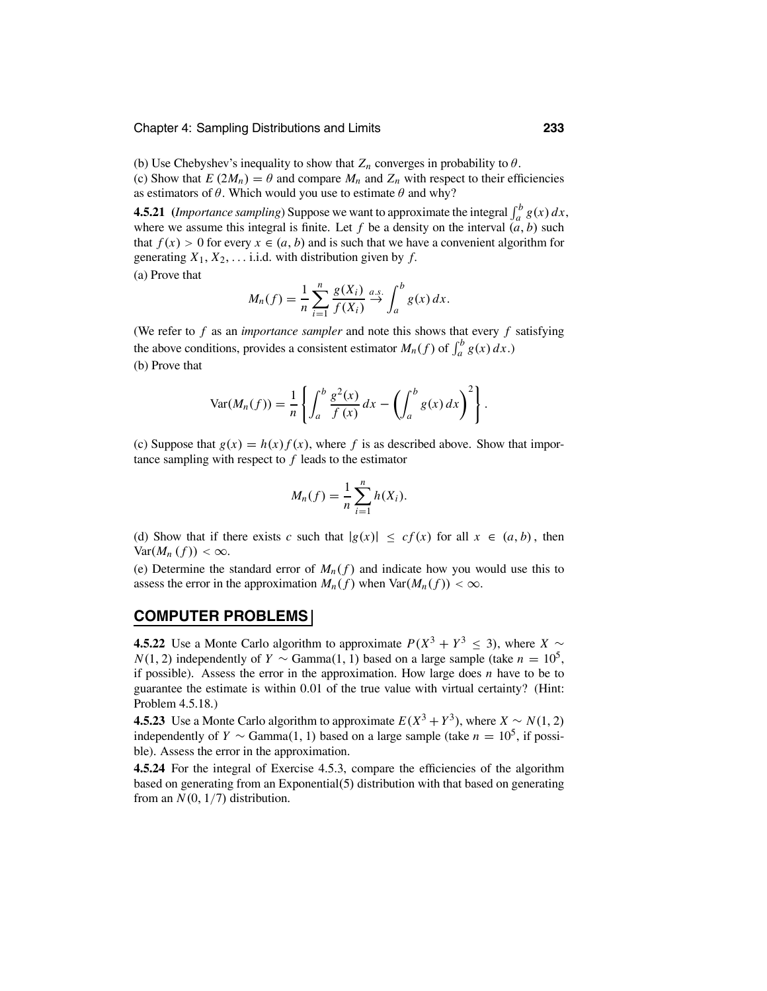(b) Use Chebyshev's inequality to show that  $Z_n$  converges in probability to  $\theta$ . (c) Show that  $E(2M_n) = \theta$  and compare  $M_n$  and  $Z_n$  with respect to their efficiencies as estimators of  $\theta$ . Which would you use to estimate  $\theta$  and why?

**4.5.21** (*Importance sampling*) Suppose we want to approximate the integral  $\int_a^b g(x) dx$ , where we assume this integral is finite. Let  $f$  be a density on the interval  $(a, b)$  such that  $f(x) > 0$  for every  $x \in (a, b)$  and is such that we have a convenient algorithm for generating  $X_1, X_2, \ldots$  i.i.d. with distribution given by  $f$ . (a) Prove that

$$
M_n(f) = \frac{1}{n} \sum_{i=1}^n \frac{g(X_i)}{f(X_i)} \stackrel{a.s.}{\rightarrow} \int_a^b g(x) dx.
$$

(We refer to *f* as an *importance sampler* and note this shows that every *f* satisfying the above conditions, provides a consistent estimator  $M_n(f)$  of  $\int_a^b g(x) dx$ .) (b) Prove that

$$
\text{Var}(M_n(f)) = \frac{1}{n} \left\{ \int_a^b \frac{g^2(x)}{f(x)} dx - \left( \int_a^b g(x) dx \right)^2 \right\}.
$$

(c) Suppose that  $g(x) = h(x)f(x)$ , where f is as described above. Show that importance sampling with respect to *f* leads to the estimator

$$
M_n(f) = \frac{1}{n} \sum_{i=1}^n h(X_i).
$$

(d) Show that if there exists *c* such that  $|g(x)| \leq cf(x)$  for all  $x \in (a, b)$ , then  $Var(M_n(f)) < \infty$ .

(e) Determine the standard error of  $M_n(f)$  and indicate how you would use this to assess the error in the approximation  $M_n(f)$  when  $\text{Var}(M_n(f)) < \infty$ .

### **COMPUTER PROBLEMS**

**4.5.22** Use a Monte Carlo algorithm to approximate  $P(X^3 + Y^3 \le 3)$ , where  $X \sim$ *N*(1, 2) independently of *Y* ~ Gamma(1, 1) based on a large sample (take  $n = 10^5$ , if possible). Assess the error in the approximation. How large does *n* have to be to guarantee the estimate is within 0.01 of the true value with virtual certainty? (Hint: Problem 4.5.18.)

**4.5.23** Use a Monte Carlo algorithm to approximate  $E(X^3 + Y^3)$ , where  $X \sim N(1, 2)$ independently of *Y* ∼ Gamma(1, 1) based on a large sample (take  $n = 10^5$ , if possible). Assess the error in the approximation.

**4.5.24** For the integral of Exercise 4.5.3, compare the efficiencies of the algorithm based on generating from an Exponential(5) distribution with that based on generating from an  $N(0, 1/7)$  distribution.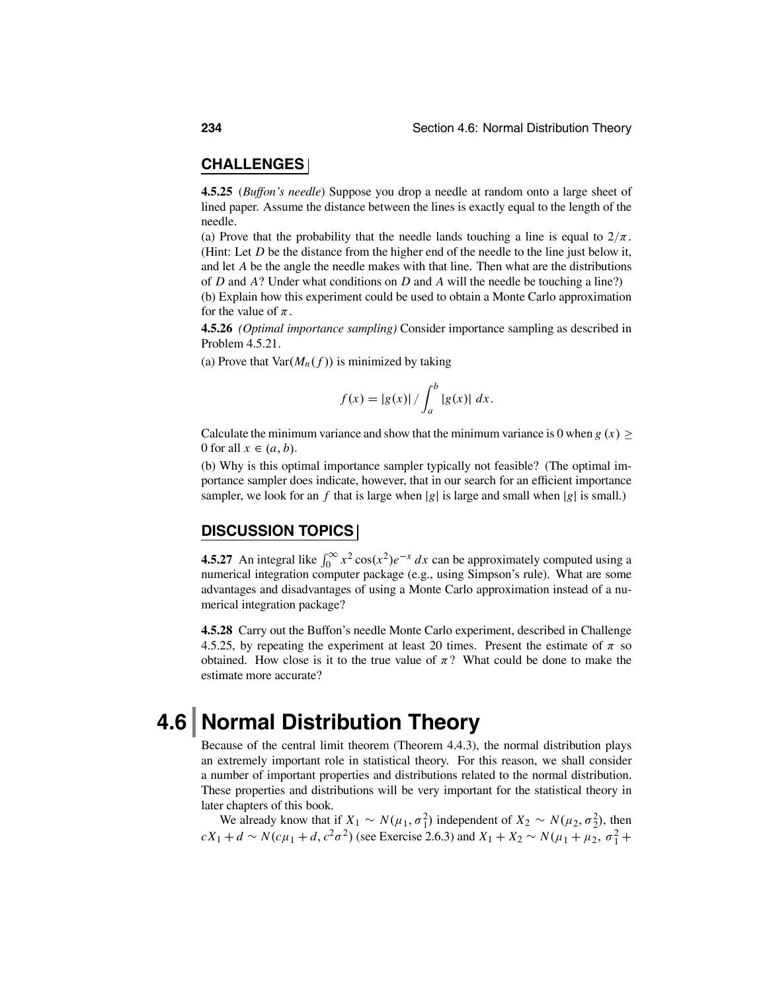### **CHALLENGES**

**4.5.25** (*Buffon's needle*) Suppose you drop a needle at random onto a large sheet of lined paper. Assume the distance between the lines is exactly equal to the length of the needle.

(a) Prove that the probability that the needle lands touching a line is equal to  $2/\pi$ . (Hint: Let *D* be the distance from the higher end of the needle to the line just below it, and let *A* be the angle the needle makes with that line. Then what are the distributions of *D* and *A*? Under what conditions on *D* and *A* will the needle be touching a line?) (b) Explain how this experiment could be used to obtain a Monte Carlo approximation for the value of  $\pi$ .

**4.5.26** *(Optimal importance sampling)* Consider importance sampling as described in Problem 4.5.21.

(a) Prove that  $Var(M_n(f))$  is minimized by taking

$$
f(x) = |g(x)| / \int_{a}^{b} |g(x)| dx.
$$

Calculate the minimum variance and show that the minimum variance is 0 when  $g(x) \ge$ 0 for all  $x \in (a, b)$ .

(b) Why is this optimal importance sampler typically not feasible? (The optimal importance sampler does indicate, however, that in our search for an efficient importance sampler, we look for an  $f$  that is large when  $|g|$  is large and small when  $|g|$  is small.)

### **DISCUSSION TOPICS**

**4.5.27** An integral like  $\int_0^\infty x^2 \cos(x^2) e^{-x} dx$  can be approximately computed using a numerical integration computer package (e.g., using Simpson's rule). What are some advantages and disadvantages of using a Monte Carlo approximation instead of a numerical integration package?

**4.5.28** Carry out the Buffon's needle Monte Carlo experiment, described in Challenge 4.5.25, by repeating the experiment at least 20 times. Present the estimate of  $\pi$  so obtained. How close is it to the true value of  $\pi$ ? What could be done to make the estimate more accurate?

## **4.6 Normal Distribution Theory**

Because of the central limit theorem (Theorem 4.4.3), the normal distribution plays an extremely important role in statistical theory. For this reason, we shall consider a number of important properties and distributions related to the normal distribution. These properties and distributions will be very important for the statistical theory in later chapters of this book.

We already know that if  $X_1 \sim N(\mu_1, \sigma_1^2)$  independent of  $X_2 \sim N(\mu_2, \sigma_2^2)$ , then  $cX_1 + d \sim N(c\mu_1 + d, c^2\sigma^2)$  (see Exercise 2.6.3) and  $X_1 + X_2 \sim N(\mu_1 + \mu_2, \sigma_1^2 + \sigma_2^2)$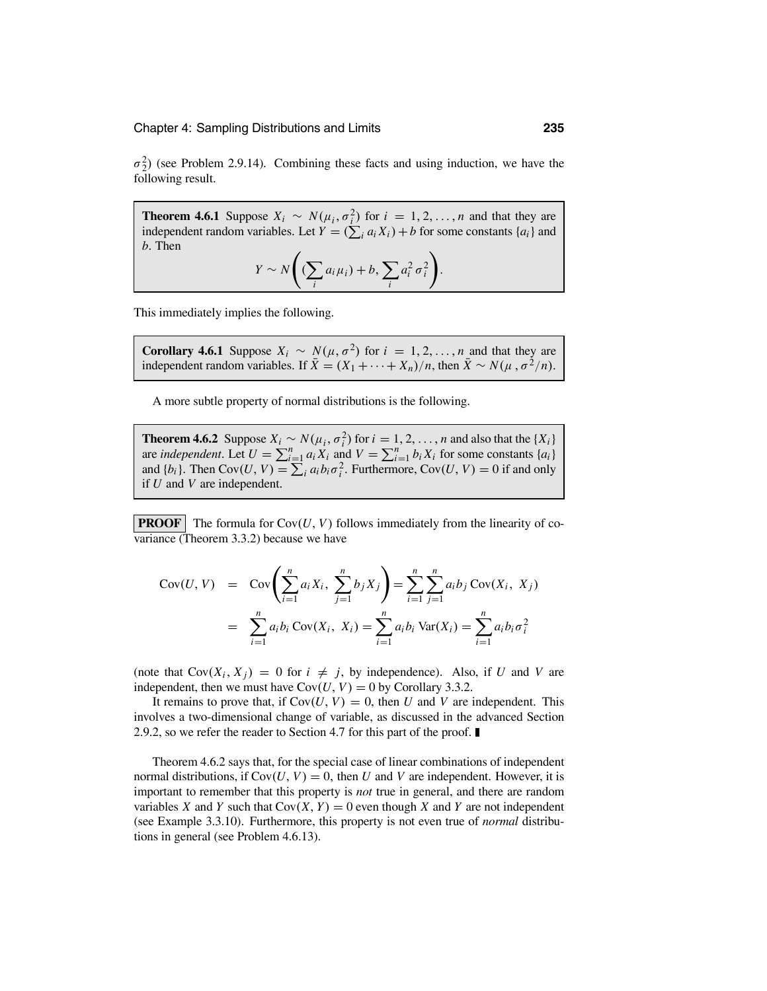$\sigma_2^2$ ) (see Problem 2.9.14). Combining these facts and using induction, we have the following result.

**Theorem 4.6.1** Suppose  $X_i \sim N(\mu_i, \sigma_i^2)$  for  $i = 1, 2, ..., n$  and that they are independent random variables. Let  $Y = (\sum_i a_i X_i) + b$  for some constants  $\{a_i\}$  and *b*. Then  $\overline{1}$  $\lambda$ 

$$
Y \sim N\left(\left(\sum_{i} a_{i} \mu_{i}\right) + b, \sum_{i} a_{i}^{2} \sigma_{i}^{2}\right).
$$

This immediately implies the following.

**Corollary 4.6.1** Suppose 
$$
X_i \sim N(\mu, \sigma^2)
$$
 for  $i = 1, 2, ..., n$  and that they are independent random variables. If  $\overline{X} = (X_1 + \cdots + X_n)/n$ , then  $\overline{X} \sim N(\mu, \sigma^2/n)$ .

A more subtle property of normal distributions is the following.

**Theorem 4.6.2** Suppose  $X_i \sim N(\mu_i, \sigma_i^2)$  for  $i = 1, 2, ..., n$  and also that the  $\{X_i\}$ are *independent*. Let  $U = \sum_{i=1}^{n} a_i X_i$  and  $V = \sum_{i=1}^{n} b_i X_i$  for some constants  $\{a_i\}$ and  $\{b_i\}$ . Then Cov $(U, V) = \sum_i a_i b_i \sigma_i^2$ . Furthermore, Cov $(U, V) = 0$  if and only if *U* and *V* are independent.

**PROOF** The formula for  $Cov(U, V)$  follows immediately from the linearity of covariance (Theorem 3.3.2) because we have

$$
Cov(U, V) = Cov\left(\sum_{i=1}^{n} a_i X_i, \sum_{j=1}^{n} b_j X_j\right) = \sum_{i=1}^{n} \sum_{j=1}^{n} a_i b_j Cov(X_i, X_j)
$$
  
= 
$$
\sum_{i=1}^{n} a_i b_i Cov(X_i, X_i) = \sum_{i=1}^{n} a_i b_i Var(X_i) = \sum_{i=1}^{n} a_i b_i \sigma_i^2
$$

(note that  $Cov(X_i, X_j) = 0$  for  $i \neq j$ , by independence). Also, if *U* and *V* are independent, then we must have  $Cov(U, V) = 0$  by Corollary 3.3.2.

It remains to prove that, if  $Cov(U, V) = 0$ , then *U* and *V* are independent. This involves a two-dimensional change of variable, as discussed in the advanced Section 2.9.2, so we refer the reader to Section 4.7 for this part of the proof.

Theorem 4.6.2 says that, for the special case of linear combinations of independent normal distributions, if  $Cov(U, V) = 0$ , then *U* and *V* are independent. However, it is important to remember that this property is *not* true in general, and there are random variables *X* and *Y* such that  $Cov(X, Y) = 0$  even though *X* and *Y* are not independent (see Example 3.3.10). Furthermore, this property is not even true of *normal* distributions in general (see Problem 4.6.13).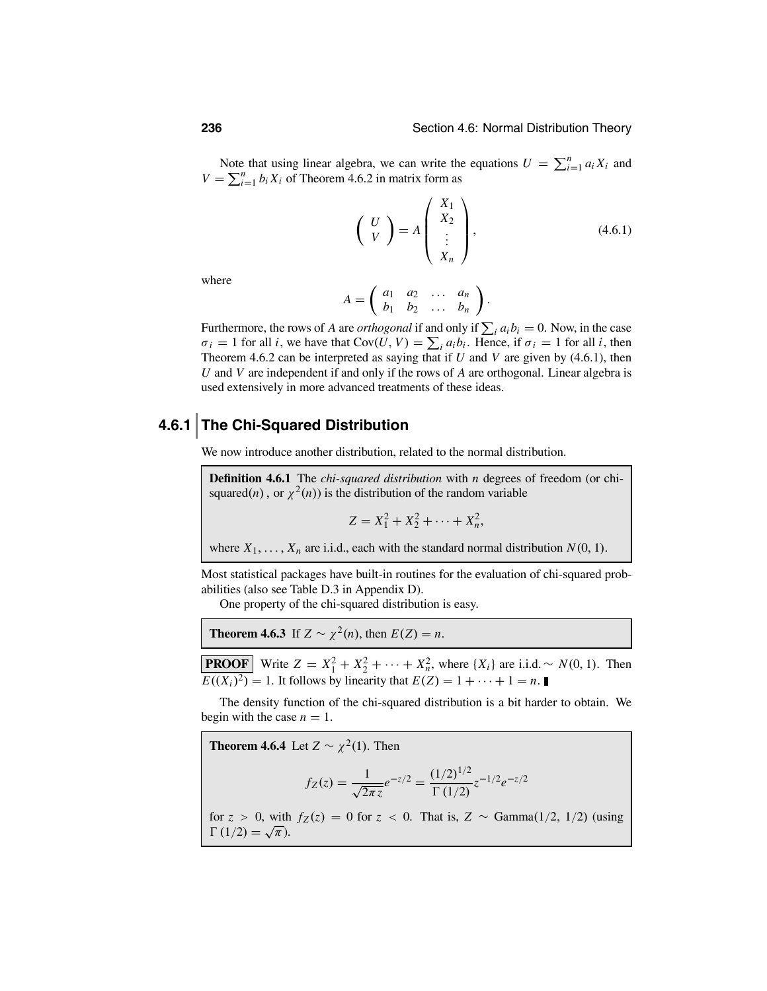Note that using linear algebra, we can write the equations  $U = \sum_{i=1}^{n} a_i X_i$  and  $V = \sum_{i=1}^{n} b_i X_i$  of Theorem 4.6.2 in matrix form as

$$
\left(\begin{array}{c} U \\ V \end{array}\right) = A \left(\begin{array}{c} X_1 \\ X_2 \\ \vdots \\ X_n \end{array}\right),\tag{4.6.1}
$$

where

$$
A = \left( \begin{array}{cccc} a_1 & a_2 & \dots & a_n \\ b_1 & b_2 & \dots & b_n \end{array} \right).
$$

Furthermore, the rows of *A* are *orthogonal* if and only if  $\sum_i a_i b_i = 0$ . Now, in the case  $\sigma_i = 1$  for all *i*, we have that  $Cov(U, V) = \sum_i a_i b_i$ . Hence, if  $\sigma_i = 1$  for all *i*, then Theorem 4.6.2 can be interpreted as saying that if *U* and *V* are given by (4.6.1), then *U* and *V* are independent if and only if the rows of *A* are orthogonal. Linear algebra is used extensively in more advanced treatments of these ideas.

### **4.6.1 The Chi-Squared Distribution**

We now introduce another distribution, related to the normal distribution.

**Definition 4.6.1** The *chi-squared distribution* with *n* degrees of freedom (or chisquared(*n*), or  $\chi^2(n)$ ) is the distribution of the random variable

$$
Z = X_1^2 + X_2^2 + \cdots + X_n^2,
$$

where  $X_1, \ldots, X_n$  are i.i.d., each with the standard normal distribution  $N(0, 1)$ .

Most statistical packages have built-in routines for the evaluation of chi-squared probabilities (also see Table D.3 in Appendix D).

One property of the chi-squared distribution is easy.

**Theorem 4.6.3** If  $Z \sim \chi^2(n)$ , then  $E(Z) = n$ .

**PROOF** Write  $Z = X_1^2 + X_2^2 + \cdots + X_n^2$ , where  $\{X_i\}$  are i.i.d. ~ *N*(0, 1). Then  $E((X_i)^2) = 1$ . It follows by linearity that  $E(Z) = 1 + \cdots + 1 = n$ .

The density function of the chi-squared distribution is a bit harder to obtain. We begin with the case  $n = 1$ .

**Theorem 4.6.4** Let  $Z \sim \chi^2(1)$ . Then  $f_Z(z) = \frac{1}{\sqrt{2\pi z}} e^{-z/2} = \frac{(1/2)^{1/2}}{\Gamma(1/2)}$  $\frac{(1/2)^{7}}{\Gamma(1/2)}z^{-1/2}e^{-z/2}$ for  $z > 0$ , with  $f_Z(z) = 0$  for  $z < 0$ . That is,  $Z \sim \text{Gamma}(1/2, 1/2)$  (using  $\Gamma(1/2) = \sqrt{\pi}$ ).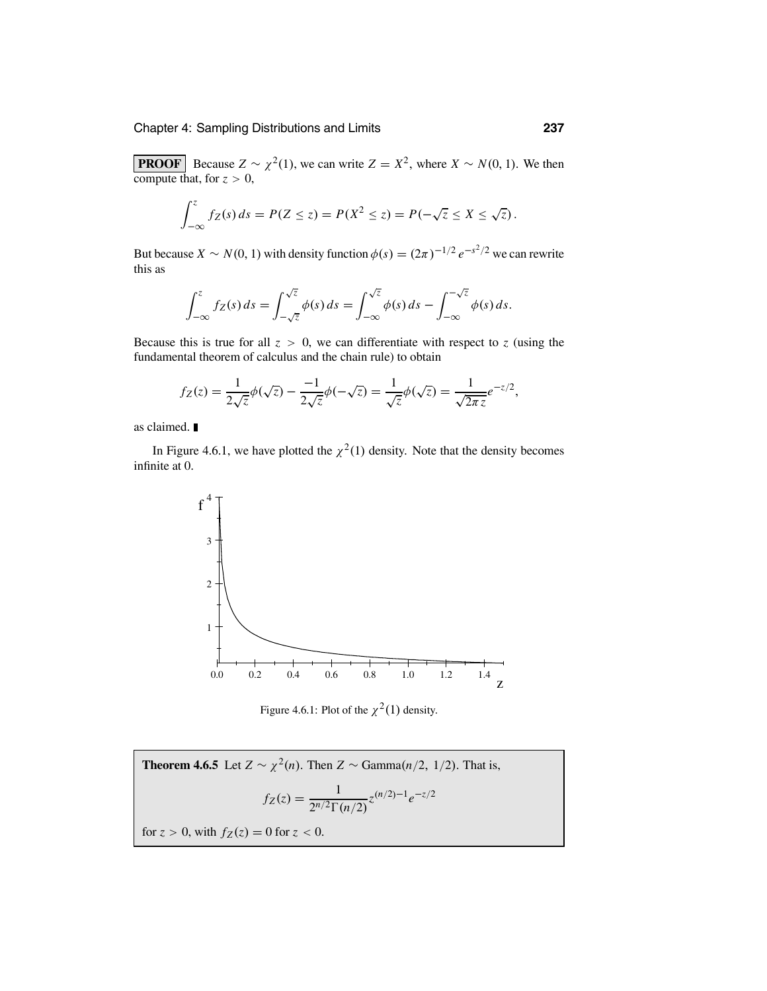**PROOF** Because  $Z \sim \chi^2(1)$ , we can write  $Z = X^2$ , where  $X \sim N(0, 1)$ . We then compute that, for  $z > 0$ ,

$$
\int_{-\infty}^{z} f_Z(s) ds = P(Z \leq z) = P(X^2 \leq z) = P(-\sqrt{z} \leq X \leq \sqrt{z}).
$$

But because *X* ~ *N*(0, 1) with density function  $\phi(s) = (2\pi)^{-1/2} e^{-s^2/2}$  we can rewrite this as

$$
\int_{-\infty}^{z} f_Z(s) ds = \int_{-\sqrt{z}}^{\sqrt{z}} \phi(s) ds = \int_{-\infty}^{\sqrt{z}} \phi(s) ds - \int_{-\infty}^{-\sqrt{z}} \phi(s) ds.
$$

Because this is true for all  $z > 0$ , we can differentiate with respect to *z* (using the fundamental theorem of calculus and the chain rule) to obtain

$$
f_Z(z) = \frac{1}{2\sqrt{z}}\phi(\sqrt{z}) - \frac{-1}{2\sqrt{z}}\phi(-\sqrt{z}) = \frac{1}{\sqrt{z}}\phi(\sqrt{z}) = \frac{1}{\sqrt{2\pi z}}e^{-z/2},
$$

as claimed.

In Figure 4.6.1, we have plotted the  $\chi^2(1)$  density. Note that the density becomes infinite at 0.



Figure 4.6.1: Plot of the  $\chi^2(1)$  density.

**Theorem 4.6.5** Let  $Z \sim \chi^2(n)$ . Then  $Z \sim \text{Gamma}(n/2, 1/2)$ . That is,  $f_Z(z) = \frac{1}{2^{n/2} \Gamma(n/2)} z^{(n/2)-1} e^{-z/2}$ for  $z > 0$ , with  $f_Z(z) = 0$  for  $z < 0$ .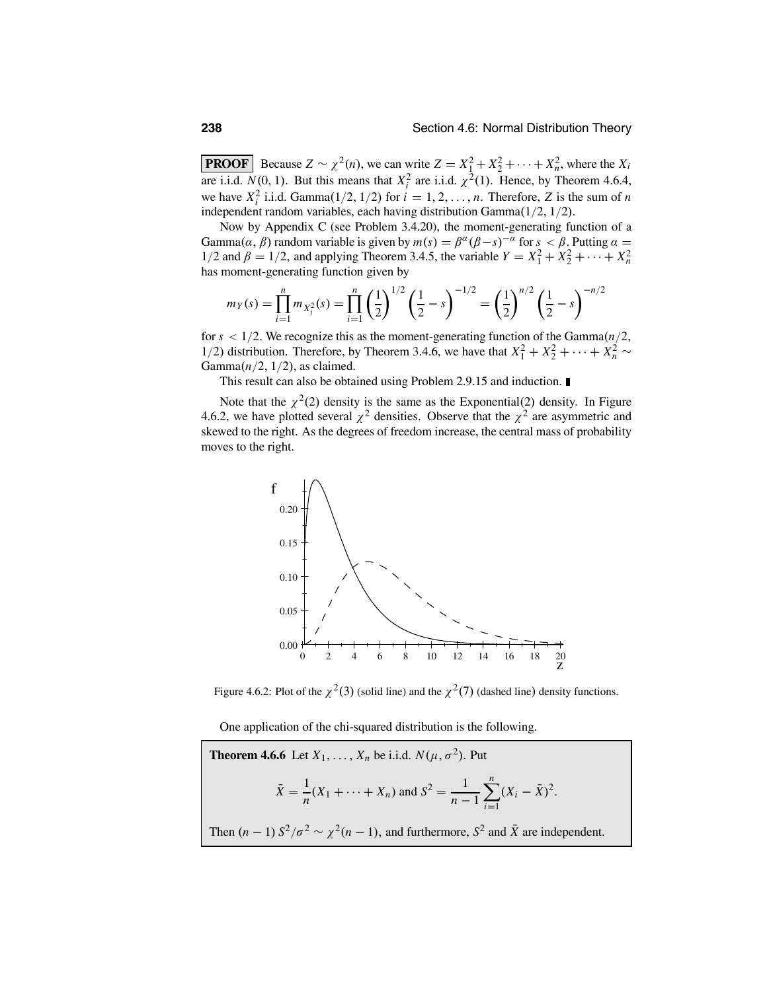**PROOF** Because  $Z \sim \chi^2(n)$ , we can write  $Z = X_1^2 + X_2^2 + \cdots + X_n^2$ , where the  $X_i$ are i.i.d.  $N(0, 1)$ . But this means that  $X_i^2$  are i.i.d.  $\chi^2(1)$ . Hence, by Theorem 4.6.4, we have  $X_i^2$  i.i.d. Gamma $(1/2, 1/2)$  for  $i = 1, 2, ..., n$ . Therefore, *Z* is the sum of *n* independent random variables, each having distribution Gamma(1/2, 1/2).

Now by Appendix C (see Problem 3.4.20), the moment-generating function of a Gamma $(\alpha, \beta)$  random variable is given by  $m(s) = \beta^{\alpha}(\beta - s)^{-\alpha}$  for  $s < \beta$ . Putting  $\alpha =$  $1/2$  and  $\beta = 1/2$ , and applying Theorem 3.4.5, the variable  $Y = X_1^2 + X_2^2 + \cdots + X_n^2$ has moment-generating function given by

$$
m_Y(s) = \prod_{i=1}^n m_{X_i^2}(s) = \prod_{i=1}^n \left(\frac{1}{2}\right)^{1/2} \left(\frac{1}{2} - s\right)^{-1/2} = \left(\frac{1}{2}\right)^{n/2} \left(\frac{1}{2} - s\right)^{-n/2}
$$

for *s* < 1/2. We recognize this as the moment-generating function of the Gamma(*n*/2, 1/2) distribution. Therefore, by Theorem 3.4.6, we have that  $X_1^2 + X_2^2 + \cdots + X_n^2$ Gamma $(n/2, 1/2)$ , as claimed.

This result can also be obtained using Problem 2.9.15 and induction.

Note that the  $\chi^2(2)$  density is the same as the Exponential(2) density. In Figure 4.6.2, we have plotted several  $\chi^2$  densities. Observe that the  $\chi^2$  are asymmetric and skewed to the right. As the degrees of freedom increase, the central mass of probability moves to the right.



Figure 4.6.2: Plot of the  $\chi^2(3)$  (solid line) and the  $\chi^2(7)$  (dashed line) density functions.

One application of the chi-squared distribution is the following.

**Theorem 4.6.6** Let 
$$
X_1, ..., X_n
$$
 be i.i.d.  $N(\mu, \sigma^2)$ . Put  
\n
$$
\bar{X} = \frac{1}{n}(X_1 + \dots + X_n) \text{ and } S^2 = \frac{1}{n-1} \sum_{i=1}^n (X_i - \bar{X})^2.
$$
\nThen  $(n-1) S^2/\sigma^2 \sim \chi^2(n-1)$ , and furthermore,  $S^2$  and  $\bar{X}$  are independent.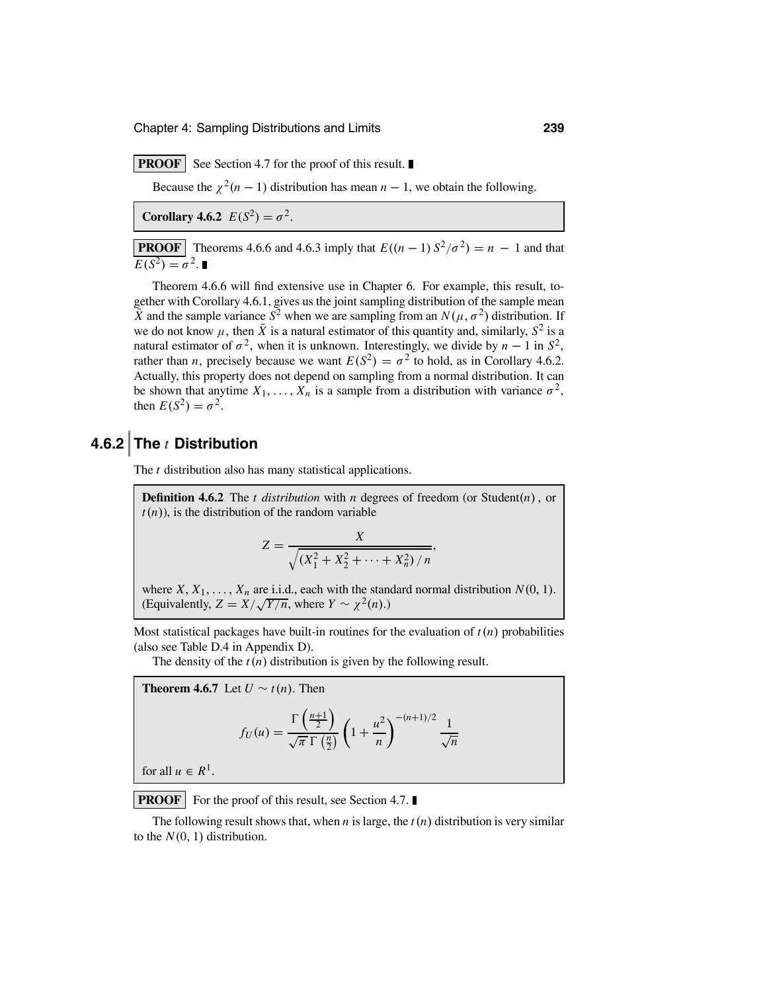**PROOF** See Section 4.7 for the proof of this result.

Because the  $\chi^2(n-1)$  distribution has mean  $n-1$ , we obtain the following.

**Corollary 4.6.2**  $E(S^2) = \sigma^2$ .

**PROOF** Theorems 4.6.6 and 4.6.3 imply that  $E((n-1) S^2/\sigma^2) = n - 1$  and that  $\overline{E(S^2)} = \sigma^2$ .

Theorem 4.6.6 will find extensive use in Chapter 6. For example, this result, together with Corollary 4.6.1, gives us the joint sampling distribution of the sample mean  $\bar{X}$  and the sample variance  $S^2$  when we are sampling from an  $N(\mu, \sigma^2)$  distribution. If we do not know  $\mu$ , then  $\bar{X}$  is a natural estimator of this quantity and, similarly,  $S^2$  is a natural estimator of  $\sigma^2$ , when it is unknown. Interestingly, we divide by *n* − 1 in  $S^2$ , rather than *n*, precisely because we want  $E(S^2) = \sigma^2$  to hold, as in Corollary 4.6.2. Actually, this property does not depend on sampling from a normal distribution. It can be shown that anytime  $X_1, \ldots, X_n$  is a sample from a distribution with variance  $\sigma^2$ , then  $E(S^2) = \sigma^2$ .

### **4.6.2 The** *t* **Distribution**

The *t* distribution also has many statistical applications.

**Definition 4.6.2** The *t distribution* with *n* degrees of freedom (or Student(*n*) , or  $t(n)$ , is the distribution of the random variable

$$
Z = \frac{X}{\sqrt{(X_1^2 + X_2^2 + \dots + X_n^2) / n}},
$$

where  $X, X_1, \ldots, X_n$  are i.i.d., each with the standard normal distribution  $N(0, 1)$ . (Equivalently,  $Z = \frac{X}{\sqrt{Y/n}}$ , where  $Y \sim \chi^2(n)$ .)

Most statistical packages have built-in routines for the evaluation of  $t(n)$  probabilities (also see Table D.4 in Appendix D).

The density of the  $t(n)$  distribution is given by the following result.

**Theorem 4.6.7** Let  $U \sim t(n)$ . Then  $f_U(u) =$  $\Gamma\left(\frac{n+1}{2}\right)$ s  $\sqrt{\pi}$  Γ $\left(\frac{n}{2}\right)$  $\left(1 + \frac{1}{2}\right)$  $u^2$ *n*  $\sum_{n=0}^{-(n+1)/2} 1$ √*n*

for all  $u \in R^1$ .

**PROOF** For the proof of this result, see Section 4.7.

The following result shows that, when *n* is large, the *t*(*n*) distribution is very similar to the  $N(0, 1)$  distribution.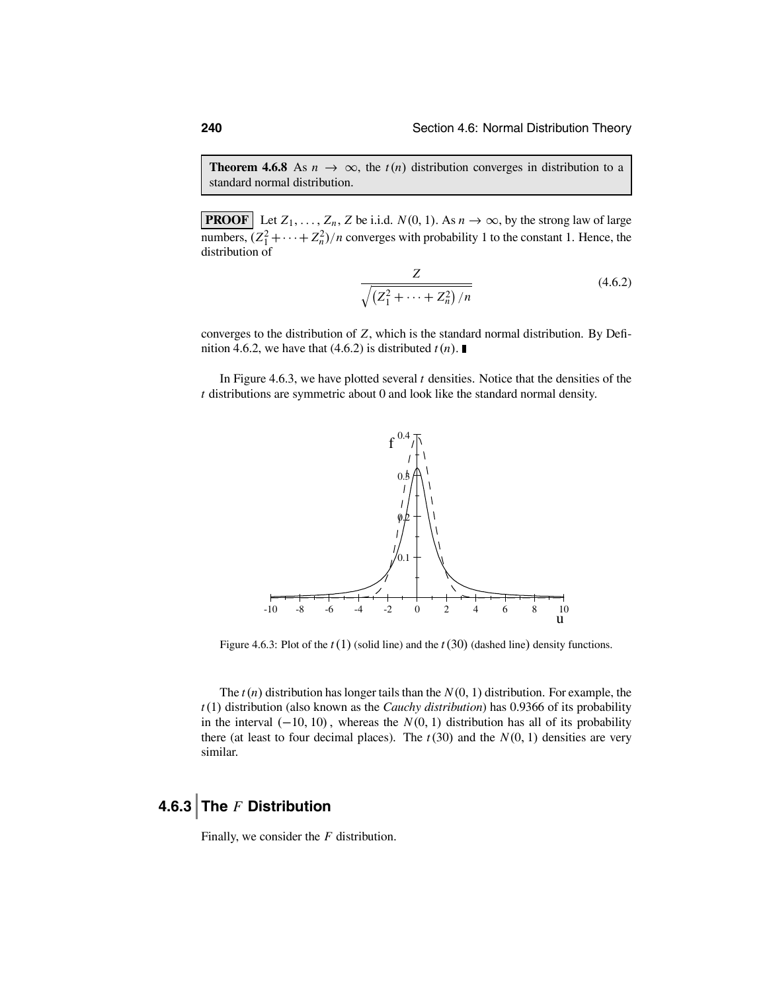**Theorem 4.6.8** As  $n \to \infty$ , the  $t(n)$  distribution converges in distribution to a standard normal distribution.

**PROOF** Let  $Z_1, \ldots, Z_n, Z$  be i.i.d.  $N(0, 1)$ . As  $n \to \infty$ , by the strong law of large numbers,  $(Z_1^2 + \cdots + Z_n^2)/n$  converges with probability 1 to the constant 1. Hence, the distribution of

$$
\frac{Z}{\sqrt{\left(Z_1^2 + \dots + Z_n^2\right)/n}}\tag{4.6.2}
$$

converges to the distribution of *Z*, which is the standard normal distribution. By Definition 4.6.2, we have that (4.6.2) is distributed  $t(n)$ .

In Figure 4.6.3, we have plotted several *t* densities. Notice that the densities of the *t* distributions are symmetric about 0 and look like the standard normal density.



Figure 4.6.3: Plot of the *t*(1) (solid line) and the *t*(30) (dashed line) density functions.

The *t*(*n*) distribution has longer tails than the *N*(0, 1) distribution. For example, the *t*(1) distribution (also known as the *Cauchy distribution*) has 0.9366 of its probability in the interval  $(-10, 10)$ , whereas the  $N(0, 1)$  distribution has all of its probability there (at least to four decimal places). The  $t(30)$  and the  $N(0, 1)$  densities are very similar.

### **4.6.3 The** *F* **Distribution**

Finally, we consider the *F* distribution.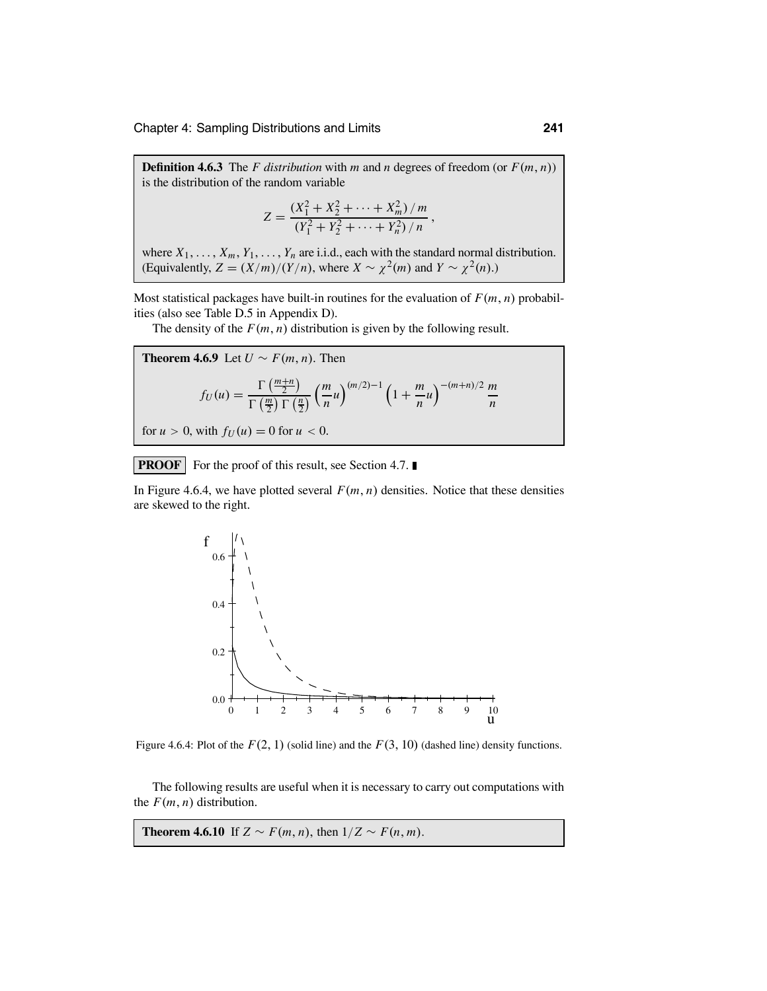**Definition 4.6.3** The *F* distribution with *m* and *n* degrees of freedom (or  $F(m, n)$ ) is the distribution of the random variable

$$
Z = \frac{(X_1^2 + X_2^2 + \dots + X_m^2)/m}{(Y_1^2 + Y_2^2 + \dots + Y_n^2)/n},
$$

where  $X_1, \ldots, X_m, Y_1, \ldots, Y_n$  are i.i.d., each with the standard normal distribution. (Equivalently,  $Z = (X/m)/(Y/n)$ , where  $X \sim \chi^2(m)$  and  $Y \sim \chi^2(n)$ .)

Most statistical packages have built-in routines for the evaluation of  $F(m, n)$  probabilities (also see Table D.5 in Appendix D).

The density of the  $F(m, n)$  distribution is given by the following result.

**Theorem 4.6.9** Let 
$$
U \sim F(m, n)
$$
. Then  
\n
$$
f_U(u) = \frac{\Gamma\left(\frac{m+n}{2}\right)}{\Gamma\left(\frac{m}{2}\right)\Gamma\left(\frac{n}{2}\right)} \left(\frac{m}{n}u\right)^{(m/2)-1} \left(1 + \frac{m}{n}u\right)^{-(m+n)/2} \frac{m}{n}
$$

for  $u > 0$ , with  $f_U(u) = 0$  for  $u < 0$ .

**PROOF** For the proof of this result, see Section 4.7.

In Figure 4.6.4, we have plotted several  $F(m, n)$  densities. Notice that these densities are skewed to the right.



Figure 4.6.4: Plot of the  $F(2, 1)$  (solid line) and the  $F(3, 10)$  (dashed line) density functions.

The following results are useful when it is necessary to carry out computations with the  $F(m, n)$  distribution.

**Theorem 4.6.10** If  $Z \sim F(m, n)$ , then  $1/Z \sim F(n, m)$ .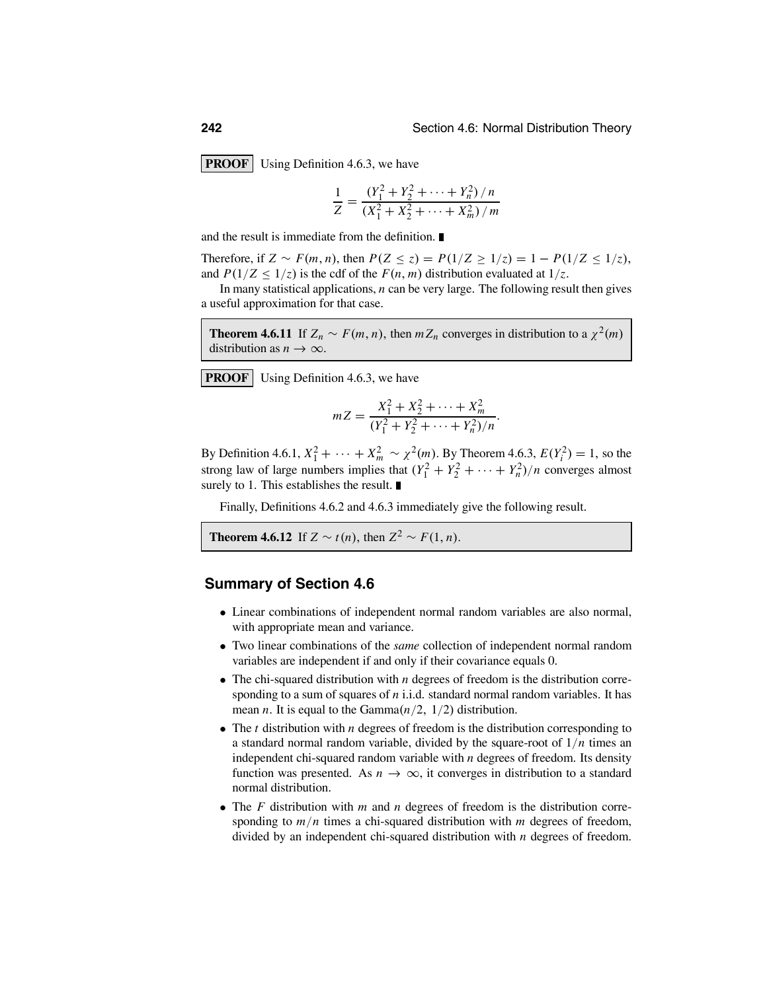**PROOF** Using Definition 4.6.3, we have

$$
\frac{1}{Z} = \frac{(Y_1^2 + Y_2^2 + \dots + Y_n^2)/n}{(X_1^2 + X_2^2 + \dots + X_m^2)/m}
$$

and the result is immediate from the definition.

Therefore, if *Z* ∼ *F*(*m*, *n*), then  $P(Z \le z) = P(1/Z \ge 1/z) = 1 - P(1/Z \le 1/z)$ , and  $P(1/Z \leq 1/z)$  is the cdf of the  $F(n, m)$  distribution evaluated at  $1/z$ .

In many statistical applications, *n* can be very large. The following result then gives a useful approximation for that case.

**Theorem 4.6.11** If  $Z_n \sim F(m, n)$ , then  $mZ_n$  converges in distribution to a  $\chi^2(m)$ distribution as  $n \to \infty$ .

**PROOF** Using Definition 4.6.3, we have

$$
mZ = \frac{X_1^2 + X_2^2 + \dots + X_m^2}{(Y_1^2 + Y_2^2 + \dots + Y_n^2)/n}.
$$

By Definition 4.6.1,  $X_1^2 + \cdots + X_m^2 \sim \chi^2(m)$ . By Theorem 4.6.3,  $E(Y_i^2) = 1$ , so the strong law of large numbers implies that  $(Y_1^2 + Y_2^2 + \cdots + Y_n^2)/n$  converges almost surely to 1. This establishes the result.

Finally, Definitions 4.6.2 and 4.6.3 immediately give the following result.

**Theorem 4.6.12** If  $Z \sim t(n)$ , then  $Z^2 \sim F(1, n)$ .

### **Summary of Section 4.6**

- Linear combinations of independent normal random variables are also normal, with appropriate mean and variance.
- Two linear combinations of the *same* collection of independent normal random variables are independent if and only if their covariance equals 0.
- The chi-squared distribution with *n* degrees of freedom is the distribution corresponding to a sum of squares of *n* i.i.d. standard normal random variables. It has mean *n*. It is equal to the Gamma $(n/2, 1/2)$  distribution.
- The *<sup>t</sup>* distribution with *<sup>n</sup>* degrees of freedom is the distribution corresponding to a standard normal random variable, divided by the square-root of 1/*n* times an independent chi-squared random variable with *n* degrees of freedom. Its density function was presented. As  $n \to \infty$ , it converges in distribution to a standard normal distribution.
- The *<sup>F</sup>* distribution with *<sup>m</sup>* and *<sup>n</sup>* degrees of freedom is the distribution corresponding to *m*/*n* times a chi-squared distribution with *m* degrees of freedom, divided by an independent chi-squared distribution with *n* degrees of freedom.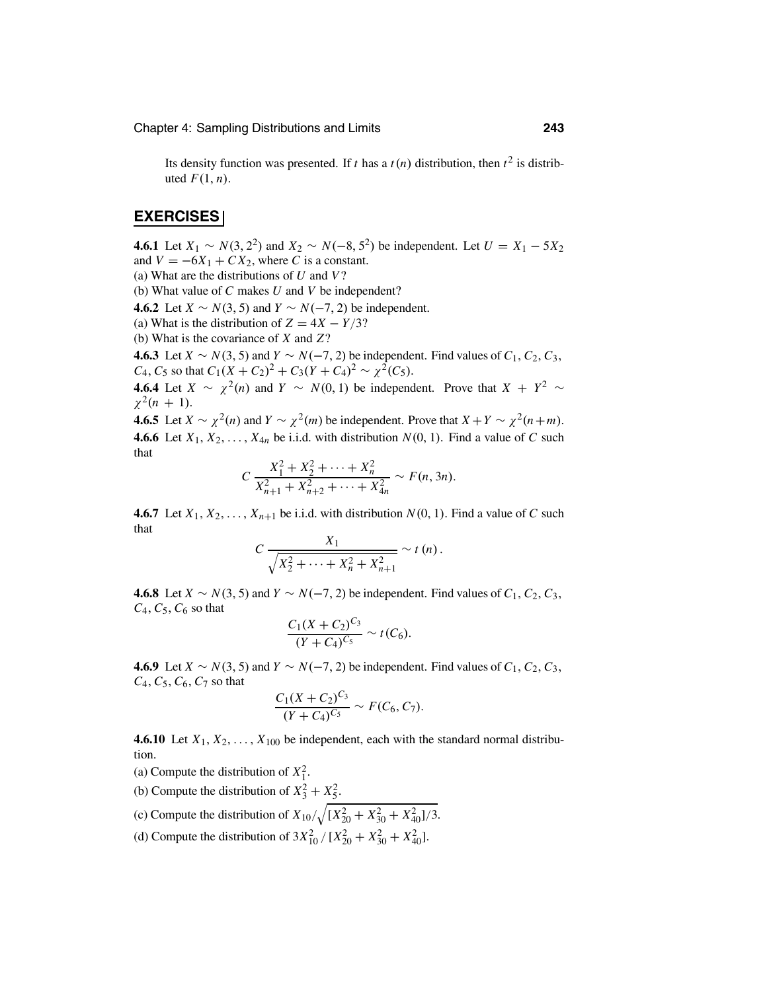Its density function was presented. If *t* has a  $t(n)$  distribution, then  $t^2$  is distributed  $F(1, n)$ .

### **EXERCISES**

**4.6.1** Let *X*<sub>1</sub> ∼ *N*(3, 2<sup>2</sup>) and *X*<sub>2</sub> ∼ *N*(−8, 5<sup>2</sup>) be independent. Let *U* = *X*<sub>1</sub> − 5*X*<sub>2</sub> and  $V = -6X_1 + CX_2$ , where *C* is a constant.

(a) What are the distributions of *U* and *V*?

(b) What value of *C* makes *U* and *V* be independent?

**4.6.2** Let *X* ∼ *N*(3, 5) and *Y* ∼ *N*(−7, 2) be independent.

(a) What is the distribution of  $Z = 4X - Y/3$ ?

(b) What is the covariance of *X* and *Z*?

**4.6.3** Let *X* ∼ *N*(3, 5) and *Y* ∼ *N*(−7, 2) be independent. Find values of  $C_1$ ,  $C_2$ ,  $C_3$ , *C*<sub>4</sub>, *C*<sub>5</sub> so that  $C_1(X + C_2)^2 + C_3(Y + C_4)^2 \sim \chi^2(C_5)$ .

**4.6.4** Let *X* ∼  $\chi^2(n)$  and *Y* ∼ *N*(0, 1) be independent. Prove that *X* +  $Y^2$  ∼  $\chi^2(n + 1)$ .

**4.6.5** Let  $X \sim \chi^2(n)$  and  $Y \sim \chi^2(m)$  be independent. Prove that  $X + Y \sim \chi^2(n+m)$ . **4.6.6** Let  $X_1, X_2, \ldots, X_{4n}$  be i.i.d. with distribution  $N(0, 1)$ . Find a value of C such that

$$
C\frac{X_1^2 + X_2^2 + \dots + X_n^2}{X_{n+1}^2 + X_{n+2}^2 + \dots + X_{4n}^2} \sim F(n, 3n).
$$

**4.6.7** Let  $X_1, X_2, \ldots, X_{n+1}$  be i.i.d. with distribution  $N(0, 1)$ . Find a value of C such that

$$
C \frac{X_1}{\sqrt{X_2^2 + \dots + X_n^2 + X_{n+1}^2}} \sim t(n).
$$

**4.6.8** Let *X* ∼ *N*(3, 5) and *Y* ∼ *N*(−7, 2) be independent. Find values of  $C_1$ ,  $C_2$ ,  $C_3$ , *C*4,*C*5,*C*<sup>6</sup> so that

$$
\frac{C_1(X+C_2)^{C_3}}{(Y+C_4)^{C_5}} \sim t(C_6).
$$

**4.6.9** Let *X* ∼ *N*(3, 5) and *Y* ∼ *N*(−7, 2) be independent. Find values of  $C_1$ ,  $C_2$ ,  $C_3$ , *C*4,*C*5,*C*6,*C*<sup>7</sup> so that

$$
\frac{C_1(X+C_2)^{C_3}}{(Y+C_4)^{C_5}} \sim F(C_6, C_7).
$$

**4.6.10** Let  $X_1, X_2, \ldots, X_{100}$  be independent, each with the standard normal distribution.

(a) Compute the distribution of  $X_1^2$ .

(b) Compute the distribution of  $X_3^2 + X_5^2$ .

(c) Compute the distribution of  $X_{10}/\sqrt{(X_{20}^2 + X_{30}^2 + X_{40}^2)/3}$ .

(d) Compute the distribution of  $3X_{10}^2 / [X_{20}^2 + X_{30}^2 + X_{40}^2]$ .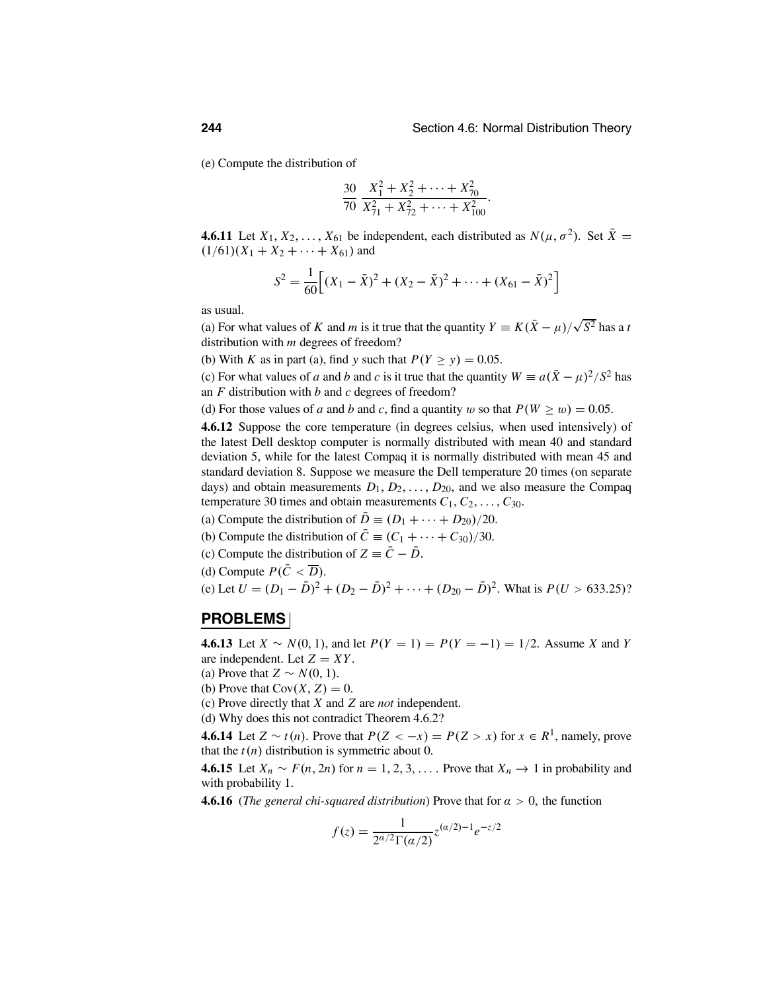(e) Compute the distribution of

$$
\frac{30}{70} \frac{X_1^2 + X_2^2 + \dots + X_{70}^2}{X_{71}^2 + X_{72}^2 + \dots + X_{100}^2}.
$$

**4.6.11** Let  $X_1, X_2, \ldots, X_{61}$  be independent, each distributed as  $N(\mu, \sigma^2)$ . Set  $\overline{X} =$  $(1/61)(X_1 + X_2 + \cdots + X_{61})$  and

$$
S^{2} = \frac{1}{60} \Big[ (X_{1} - \bar{X})^{2} + (X_{2} - \bar{X})^{2} + \dots + (X_{61} - \bar{X})^{2} \Big]
$$

as usual.

(a) For what values of *K* and *m* is it true that the quantity  $Y = K(\bar{X} - \mu)/\sqrt{S^2}$  has a *t* distribution with *m* degrees of freedom?

(b) With *K* as in part (a), find *y* such that  $P(Y \ge y) = 0.05$ .

(c) For what values of *a* and *b* and *c* is it true that the quantity  $W = a(\bar{X} - \mu)^2/S^2$  has an *F* distribution with *b* and *c* degrees of freedom?

(d) For those values of *a* and *b* and *c*, find a quantity w so that  $P(W \ge w) = 0.05$ .

**4.6.12** Suppose the core temperature (in degrees celsius, when used intensively) of the latest Dell desktop computer is normally distributed with mean 40 and standard deviation 5, while for the latest Compaq it is normally distributed with mean 45 and standard deviation 8. Suppose we measure the Dell temperature 20 times (on separate days) and obtain measurements  $D_1, D_2, \ldots, D_{20}$ , and we also measure the Compaq temperature 30 times and obtain measurements  $C_1, C_2, \ldots, C_{30}$ .

- (a) Compute the distribution of  $\overline{D} \equiv (D_1 + \cdots + D_{20})/20$ .
- (b) Compute the distribution of  $\overline{C} \equiv (C_1 + \cdots + C_{30})/30$ .
- (c) Compute the distribution of  $Z = \overline{C} \overline{D}$ .
- (d) Compute  $P(\bar{C} < \overline{D})$ .

(e) Let 
$$
U = (D_1 - \bar{D})^2 + (D_2 - \bar{D})^2 + \cdots + (D_{20} - \bar{D})^2
$$
. What is  $P(U > 633.25)$ ?

### **PROBLEMS**

**4.6.13** Let *X* ∼ *N*(0, 1), and let  $P(Y = 1) = P(Y = -1) = 1/2$ . Assume *X* and *Y* are independent. Let  $Z = XY$ .

(a) Prove that  $Z \sim N(0, 1)$ .

(b) Prove that  $Cov(X, Z) = 0$ .

(c) Prove directly that *X* and *Z* are *not* independent.

(d) Why does this not contradict Theorem 4.6.2?

**4.6.14** Let *Z* ∼ *t*(*n*). Prove that  $P(Z < -x) = P(Z > x)$  for  $x \in R^1$ , namely, prove that the  $t(n)$  distribution is symmetric about 0.

**4.6.15** Let *X<sub>n</sub>* ∼ *F*(*n*, 2*n*) for *n* = 1, 2, 3, ... . Prove that *X<sub>n</sub>* → 1 in probability and with probability 1.

**4.6.16** (*The general chi-squared distribution*) Prove that for  $\alpha > 0$ , the function

$$
f(z) = \frac{1}{2^{\alpha/2} \Gamma(\alpha/2)} z^{(\alpha/2) - 1} e^{-z/2}
$$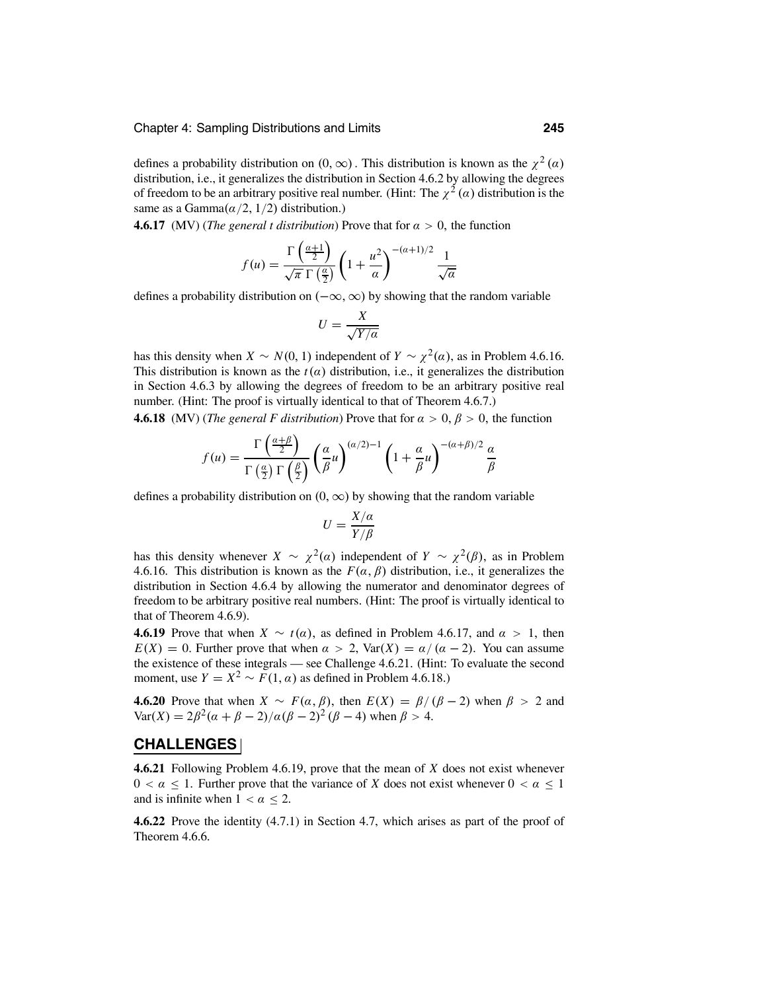defines a probability distribution on  $(0, \infty)$ . This distribution is known as the  $\chi^2(\alpha)$ distribution, i.e., it generalizes the distribution in Section 4.6.2 by allowing the degrees of freedom to be an arbitrary positive real number. (Hint: The  $\chi^2(\alpha)$  distribution is the same as a Gamma $(\alpha/2, 1/2)$  distribution.)

**4.6.17** (MV) (*The general t distribution*) Prove that for  $\alpha > 0$ , the function

$$
f(u) = \frac{\Gamma\left(\frac{\alpha+1}{2}\right)}{\sqrt{\pi} \Gamma\left(\frac{\alpha}{2}\right)} \left(1 + \frac{u^2}{\alpha}\right)^{-(\alpha+1)/2} \frac{1}{\sqrt{\alpha}}
$$

defines a probability distribution on  $(-\infty, \infty)$  by showing that the random variable

$$
U = \frac{X}{\sqrt{Y/a}}
$$

has this density when *X* ∼ *N*(0, 1) independent of *Y* ∼  $\chi^2(\alpha)$ , as in Problem 4.6.16. This distribution is known as the  $t(\alpha)$  distribution, i.e., it generalizes the distribution in Section 4.6.3 by allowing the degrees of freedom to be an arbitrary positive real number. (Hint: The proof is virtually identical to that of Theorem 4.6.7.)

**4.6.18** (MV) (*The general F distribution*) Prove that for  $\alpha > 0$ ,  $\beta > 0$ , the function

$$
f(u)=\frac{\Gamma\left(\frac{\alpha+\beta}{2}\right)}{\Gamma\left(\frac{\alpha}{2}\right)\Gamma\left(\frac{\beta}{2}\right)}\left(\frac{\alpha}{\beta}u\right)^{(\alpha/2)-1}\left(1+\frac{\alpha}{\beta}u\right)^{-(\alpha+\beta)/2}\frac{\alpha}{\beta}
$$

defines a probability distribution on  $(0, \infty)$  by showing that the random variable

$$
U=\frac{X/\alpha}{Y/\beta}
$$

has this density whenever  $X \sim \chi^2(\alpha)$  independent of  $Y \sim \chi^2(\beta)$ , as in Problem 4.6.16. This distribution is known as the  $F(\alpha, \beta)$  distribution, i.e., it generalizes the distribution in Section 4.6.4 by allowing the numerator and denominator degrees of freedom to be arbitrary positive real numbers. (Hint: The proof is virtually identical to that of Theorem 4.6.9).

**4.6.19** Prove that when  $X \sim t(\alpha)$ , as defined in Problem 4.6.17, and  $\alpha > 1$ , then  $E(X) = 0$ . Further prove that when  $\alpha > 2$ , Var $(X) = \alpha/(\alpha - 2)$ . You can assume the existence of these integrals — see Challenge 4.6.21. (Hint: To evaluate the second moment, use  $Y = X^2 \sim F(1, \alpha)$  as defined in Problem 4.6.18.)

**4.6.20** Prove that when  $X \sim F(\alpha, \beta)$ , then  $E(X) = \beta/(\beta - 2)$  when  $\beta > 2$  and Var(*X*) =  $2\beta^2(\alpha + \beta - 2)/\alpha(\beta - 2)^2(\beta - 4)$  when  $\beta > 4$ .

### **CHALLENGES**

**4.6.21** Following Problem 4.6.19, prove that the mean of *X* does not exist whenever  $0 < \alpha \leq 1$ . Further prove that the variance of *X* does not exist whenever  $0 < \alpha \leq 1$ and is infinite when  $1 < \alpha \leq 2$ .

**4.6.22** Prove the identity (4.7.1) in Section 4.7, which arises as part of the proof of Theorem 4.6.6.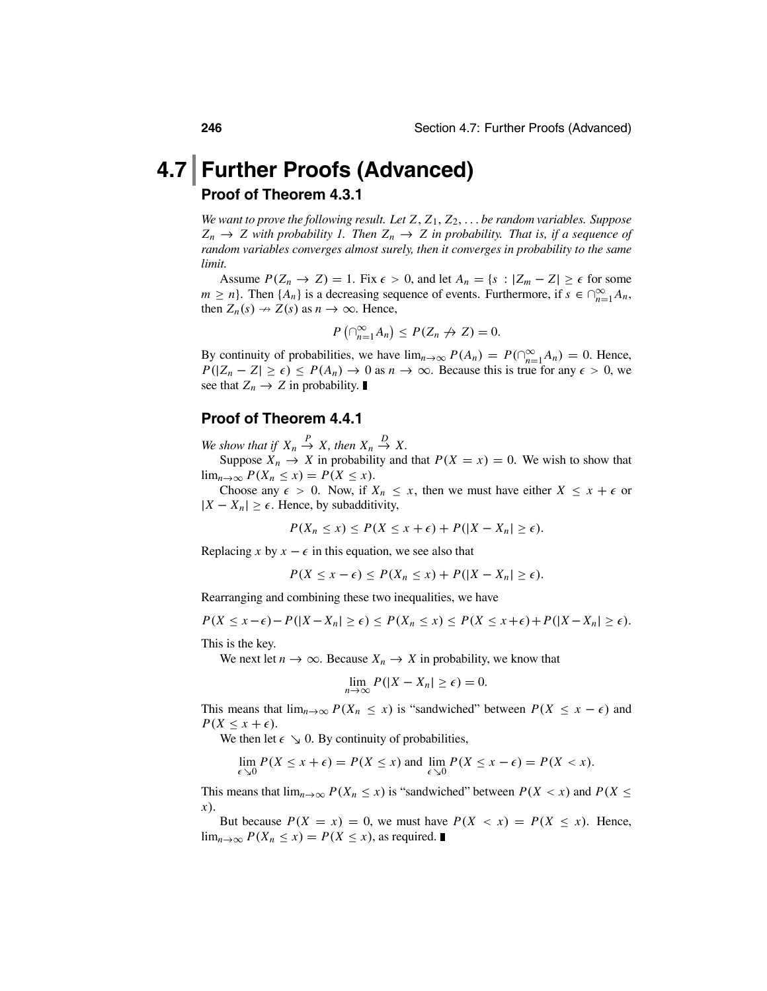## **4.7 Further Proofs (Advanced) Proof of Theorem 4.3.1**

*We want to prove the following result. Let Z*, *Z*1, *Z*2,... *be random variables. Suppose*  $Z_n \to Z$  with probability 1. Then  $Z_n \to Z$  in probability. That is, if a sequence of *random variables converges almost surely, then it converges in probability to the same limit.*

Assume  $P(Z_n \to Z) = 1$ . Fix  $\epsilon > 0$ , and let  $A_n = \{s : |Z_m - Z| \ge \epsilon \text{ for some }$  $m \ge n$ . Then  $\{A_n\}$  is a decreasing sequence of events. Furthermore, if  $s \in \bigcap_{n=1}^{\infty} A_n$ , then  $Z(s) = Z(s)$  as  $n \to \infty$ . Using then  $Z_n(s) \to Z(s)$  as  $n \to \infty$ . Hence,

$$
P\left(\bigcap_{n=1}^{\infty}A_n\right)\leq P(Z_n\not\to Z)=0.
$$

By continuity of probabilities, we have  $\lim_{n\to\infty} P(A_n) = P(\bigcap_{n=1}^{\infty} A_n) = 0$ . Hence,  $P(|Z_n - Z| \ge \epsilon) \le P(A_n) \to 0$  as  $n \to \infty$ . Because this is true for any  $\epsilon > 0$ , we see that  $Z_n \to Z$  in probability.

### **Proof of Theorem 4.4.1**

*We show that if*  $X_n \stackrel{P}{\to} X$ *, then*  $X_n \stackrel{D}{\to} X$ *.* 

Suppose  $X_n \to X$  in probability and that  $P(X = x) = 0$ . We wish to show that lim<sub>*n*→∞</sub>  $P(X_n \leq x) = P(X \leq x)$ .

Choose any  $\epsilon > 0$ . Now, if  $X_n \leq x$ , then we must have either  $X \leq x + \epsilon$  or  $|X - X_n| \geq \epsilon$ . Hence, by subadditivity,

$$
P(X_n \leq x) \leq P(X \leq x + \epsilon) + P(|X - X_n| \geq \epsilon).
$$

Replacing *x* by  $x - \epsilon$  in this equation, we see also that

$$
P(X \leq x - \epsilon) \leq P(X_n \leq x) + P(|X - X_n| \geq \epsilon).
$$

Rearranging and combining these two inequalities, we have

$$
P(X \leq x - \epsilon) - P(|X - X_n| \geq \epsilon) \leq P(X_n \leq x) \leq P(X \leq x + \epsilon) + P(|X - X_n| \geq \epsilon).
$$

This is the key.

We next let  $n \to \infty$ . Because  $X_n \to X$  in probability, we know that

$$
\lim_{n\to\infty} P(|X - X_n| \geq \epsilon) = 0.
$$

This means that  $\lim_{n\to\infty} P(X_n \leq x)$  is "sandwiched" between  $P(X \leq x - \epsilon)$  and  $P(X \leq x + \epsilon)$ .

We then let  $\epsilon \searrow 0$ . By continuity of probabilities,

$$
\lim_{\epsilon \searrow 0} P(X \le x + \epsilon) = P(X \le x) \text{ and } \lim_{\epsilon \searrow 0} P(X \le x - \epsilon) = P(X < x).
$$

This means that  $\lim_{n\to\infty} P(X_n \leq x)$  is "sandwiched" between  $P(X < x)$  and  $P(X \leq x)$ *x*).

But because  $P(X = x) = 0$ , we must have  $P(X < x) = P(X \leq x)$ . Hence, lim<sub>*n*→∞</sub>  $P(X_n \le x) = P(X \le x)$ , as required. ■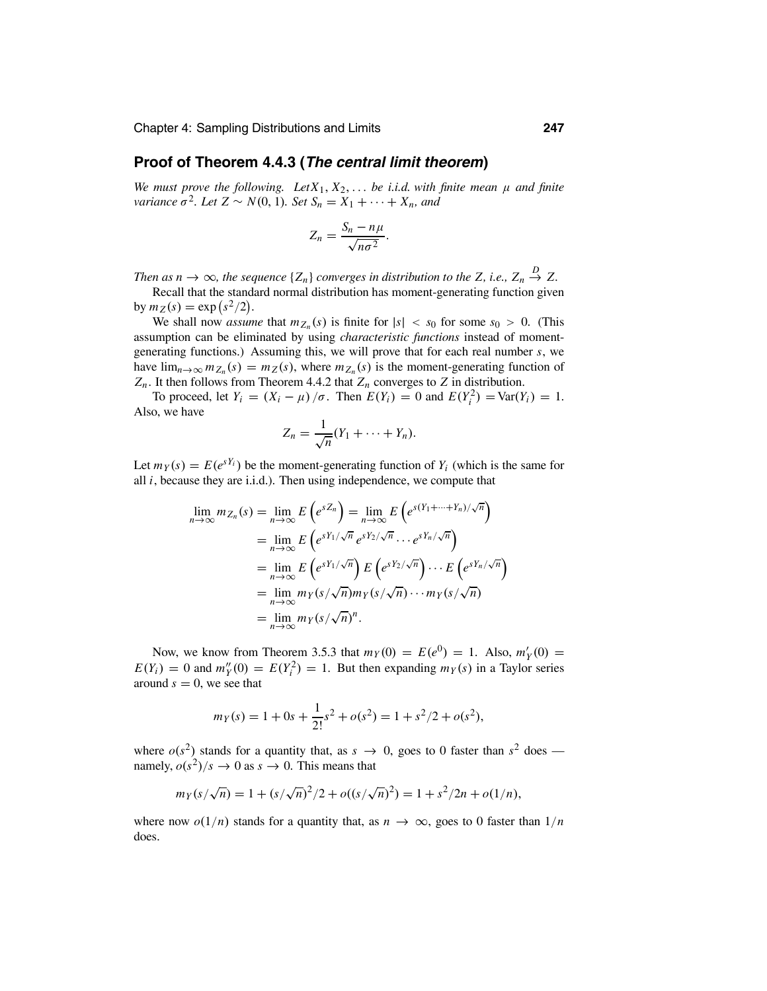### **Proof of Theorem 4.4.3 (***The central limit theorem***)**

*We must prove the following.* Let  $X_1, X_2, \ldots$  *be i.i.d. with finite mean*  $\mu$  *and finite variance*  $\sigma^2$ *. Let*  $Z \sim N(0, 1)$ *. Set*  $S_n = X_1 + \cdots + X_n$ *, and* 

$$
Z_n = \frac{S_n - n\mu}{\sqrt{n\sigma^2}}.
$$

*Then as n*  $\rightarrow \infty$ *, the sequence* { $Z_n$ } *converges in distribution to the Z, i.e.,*  $Z_n \stackrel{D}{\rightarrow} Z$ *.* 

Recall that the standard normal distribution has moment-generating function given by  $m_Z(s) = \exp(s^2/2)$ .

We shall now *assume* that  $m_{Z_n}(s)$  is finite for  $|s| < s_0$  for some  $s_0 > 0$ . (This assumption can be eliminated by using *characteristic functions* instead of momentgenerating functions.) Assuming this, we will prove that for each real number *s*, we have  $\lim_{n\to\infty} m_{Z_n}(s) = m_Z(s)$ , where  $m_{Z_n}(s)$  is the moment-generating function of  $Z_n$ . It then follows from Theorem 4.4.2 that  $Z_n$  converges to *Z* in distribution.

To proceed, let  $Y_i = (X_i - \mu) / \sigma$ . Then  $E(Y_i) = 0$  and  $E(Y_i^2) = \text{Var}(Y_i) = 1$ . Also, we have

$$
Z_n = \frac{1}{\sqrt{n}}(Y_1 + \cdots + Y_n).
$$

Let  $m_Y(s) = E(e^{sY_i})$  be the moment-generating function of  $Y_i$  (which is the same for all *i*, because they are i.i.d.). Then using independence, we compute that

$$
\lim_{n \to \infty} m_{Z_n}(s) = \lim_{n \to \infty} E\left(e^{sZ_n}\right) = \lim_{n \to \infty} E\left(e^{s(Y_1 + \dots + Y_n)/\sqrt{n}}\right)
$$
  
\n
$$
= \lim_{n \to \infty} E\left(e^{sY_1/\sqrt{n}} e^{sY_2/\sqrt{n}} \cdots e^{sY_n/\sqrt{n}}\right)
$$
  
\n
$$
= \lim_{n \to \infty} E\left(e^{sY_1/\sqrt{n}}\right) E\left(e^{sY_2/\sqrt{n}}\right) \cdots E\left(e^{sY_n/\sqrt{n}}\right)
$$
  
\n
$$
= \lim_{n \to \infty} m_Y(s/\sqrt{n}) m_Y(s/\sqrt{n}) \cdots m_Y(s/\sqrt{n})
$$
  
\n
$$
= \lim_{n \to \infty} m_Y(s/\sqrt{n})^n.
$$

Now, we know from Theorem 3.5.3 that  $m_Y(0) = E(e^0) = 1$ . Also,  $m'_Y(0) =$  $E(Y_i) = 0$  and  $m''_Y(0) = E(Y_i^2) = 1$ . But then expanding  $m_Y(s)$  in a Taylor series around  $s = 0$ , we see that

$$
m_Y(s) = 1 + 0s + \frac{1}{2!} s^2 + o(s^2) = 1 + s^2/2 + o(s^2),
$$

where  $o(s^2)$  stands for a quantity that, as  $s \to 0$ , goes to 0 faster than  $s^2$  does namely,  $o(s^2)/s \to 0$  as  $s \to 0$ . This means that

$$
m_Y(s/\sqrt{n}) = 1 + (s/\sqrt{n})^2/2 + o((s/\sqrt{n})^2) = 1 + s^2/2n + o(1/n),
$$

where now  $o(1/n)$  stands for a quantity that, as  $n \to \infty$ , goes to 0 faster than  $1/n$ does.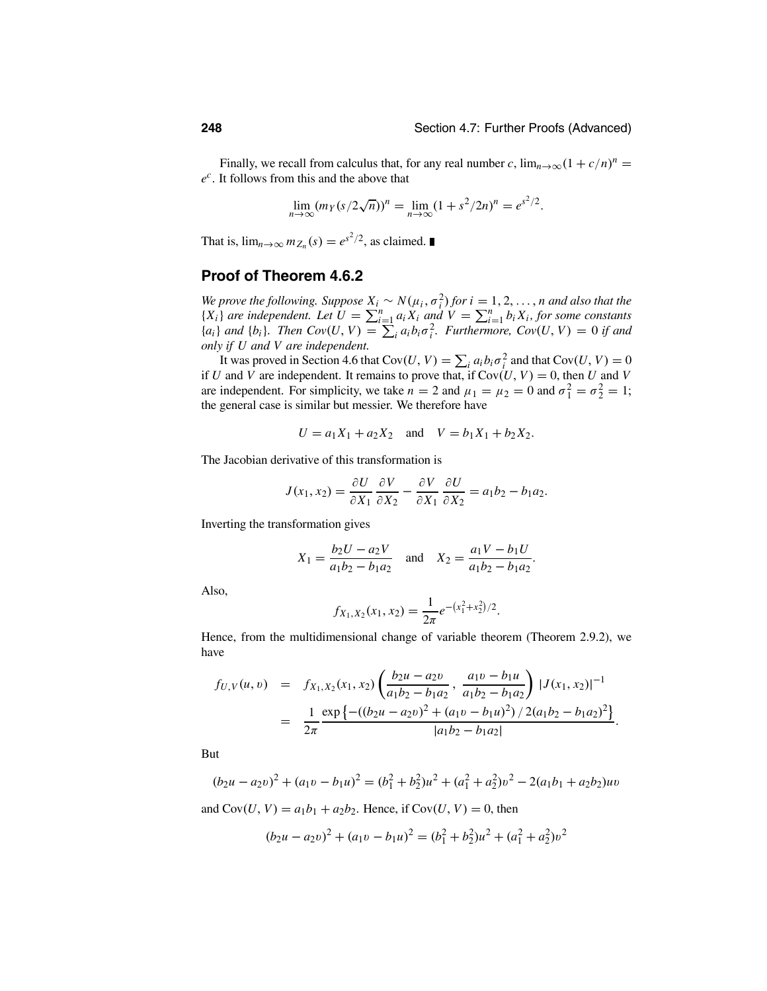Finally, we recall from calculus that, for any real number *c*,  $\lim_{n\to\infty} (1 + c/n)^n$  = *ec*. It follows from this and the above that

$$
\lim_{n \to \infty} (m_Y(s/2\sqrt{n}))^n = \lim_{n \to \infty} (1 + s^2/2n)^n = e^{s^2/2}.
$$

That is,  $\lim_{n\to\infty} m_{Z_n}(s) = e^{s^2/2}$ , as claimed.

### **Proof of Theorem 4.6.2**

*We prove the following. Suppose*  $X_i \sim N(\mu_i, \sigma_i^2)$  *for*  $i = 1, 2, ..., n$  *and also that the*  ${X_i}$  *are independent. Let*  $U = \sum_{i=1}^n a_i X_i$  *and*  $V = \sum_{i=1}^n b_i X_i$ , for some constants  ${a_i}$  *and*  ${b_i}$ *. Then Cov*(*U*, *V*) =  $\sum_i a_i b_i \sigma_i^2$ . Furthermore, Cov(*U*, *V*) = 0 *if and only if U and V are independent.*

It was proved in Section 4.6 that Cov $(U, V) = \sum_i a_i b_i \sigma_i^2$  and that Cov $(U, V) = 0$ if *U* and *V* are independent. It remains to prove that, if  $Cov(U, V) = 0$ , then *U* and *V* are independent. For simplicity, we take  $n = 2$  and  $\mu_1 = \mu_2 = 0$  and  $\sigma_1^2 = \sigma_2^2 = 1$ ; the general case is similar but messier. We therefore have

$$
U = a_1X_1 + a_2X_2
$$
 and  $V = b_1X_1 + b_2X_2$ .

The Jacobian derivative of this transformation is

$$
J(x_1, x_2) = \frac{\partial U}{\partial X_1} \frac{\partial V}{\partial X_2} - \frac{\partial V}{\partial X_1} \frac{\partial U}{\partial X_2} = a_1 b_2 - b_1 a_2.
$$

Inverting the transformation gives

$$
X_1 = \frac{b_2 U - a_2 V}{a_1 b_2 - b_1 a_2}
$$
 and  $X_2 = \frac{a_1 V - b_1 U}{a_1 b_2 - b_1 a_2}$ .

Also,

$$
f_{X_1,X_2}(x_1,x_2)=\frac{1}{2\pi}e^{-(x_1^2+x_2^2)/2}.
$$

Hence, from the multidimensional change of variable theorem (Theorem 2.9.2), we have

$$
f_{U,V}(u,v) = f_{X_1,X_2}(x_1,x_2) \left( \frac{b_2 u - a_2 v}{a_1 b_2 - b_1 a_2}, \frac{a_1 v - b_1 u}{a_1 b_2 - b_1 a_2} \right) |J(x_1,x_2)|^{-1}
$$
  
= 
$$
\frac{1}{2\pi} \frac{\exp\left\{ -((b_2 u - a_2 v)^2 + (a_1 v - b_1 u)^2)/2(a_1 b_2 - b_1 a_2)^2 \right\}}{|a_1 b_2 - b_1 a_2|}.
$$

But

$$
(b_2u - a_2v)^2 + (a_1v - b_1u)^2 = (b_1^2 + b_2^2)u^2 + (a_1^2 + a_2^2)v^2 - 2(a_1b_1 + a_2b_2)uv
$$

and  $Cov(U, V) = a_1b_1 + a_2b_2$ . Hence, if  $Cov(U, V) = 0$ , then

$$
(b_2u - a_2v)^2 + (a_1v - b_1u)^2 = (b_1^2 + b_2^2)u^2 + (a_1^2 + a_2^2)v^2
$$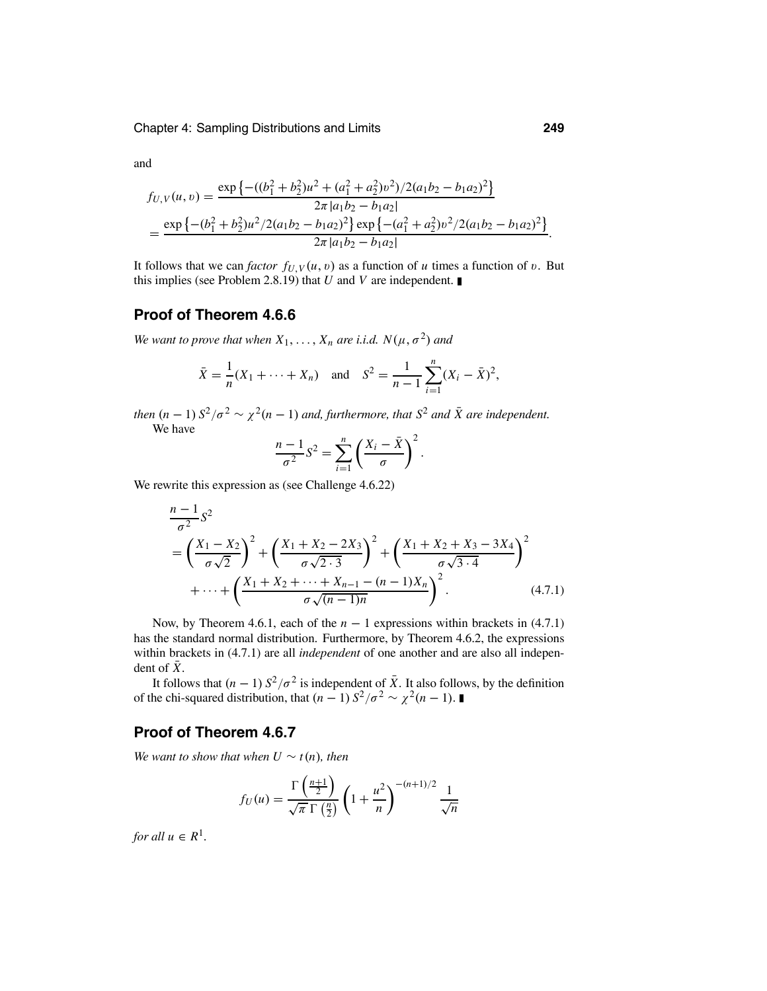and

$$
f_{U,V}(u,v) = \frac{\exp\left\{-(b_1^2 + b_2^2)u^2 + (a_1^2 + a_2^2)v^2\right)/2(a_1b_2 - b_1a_2)^2\right\}}{2\pi|a_1b_2 - b_1a_2|}
$$
  
= 
$$
\frac{\exp\left\{-(b_1^2 + b_2^2)u^2/2(a_1b_2 - b_1a_2)^2\right\}\exp\left\{-(a_1^2 + a_2^2)v^2/2(a_1b_2 - b_1a_2)^2\right\}}{2\pi|a_1b_2 - b_1a_2|}.
$$

It follows that we can *factor*  $f_{U,V}(u, v)$  as a function of *u* times a function of *v*. But this implies (see Problem 2.8.19) that *U* and *V* are independent.

### **Proof of Theorem 4.6.6**

*We want to prove that when*  $X_1, \ldots, X_n$  *are i.i.d.*  $N(\mu, \sigma^2)$  *and* 

$$
\bar{X} = \frac{1}{n}(X_1 + \dots + X_n)
$$
 and  $S^2 = \frac{1}{n-1}\sum_{i=1}^n (X_i - \bar{X})^2$ ,

*then*  $(n - 1) S^2/\sigma^2 \sim \chi^2(n - 1)$  *and, furthermore, that*  $S^2$  *and*  $\bar{X}$  *are independent.* We have

$$
\frac{n-1}{\sigma^2}S^2 = \sum_{i=1}^n \left(\frac{X_i - \bar{X}}{\sigma}\right)^2.
$$

We rewrite this expression as (see Challenge 4.6.22)

$$
\frac{n-1}{\sigma^2} S^2
$$
\n
$$
= \left(\frac{X_1 - X_2}{\sigma \sqrt{2}}\right)^2 + \left(\frac{X_1 + X_2 - 2X_3}{\sigma \sqrt{2 \cdot 3}}\right)^2 + \left(\frac{X_1 + X_2 + X_3 - 3X_4}{\sigma \sqrt{3 \cdot 4}}\right)^2 + \dots + \left(\frac{X_1 + X_2 + \dots + X_{n-1} - (n-1)X_n}{\sigma \sqrt{(n-1)n}}\right)^2.
$$
\n(4.7.1)

Now, by Theorem 4.6.1, each of the  $n - 1$  expressions within brackets in (4.7.1) has the standard normal distribution. Furthermore, by Theorem 4.6.2, the expressions within brackets in (4.7.1) are all *independent* of one another and are also all independent of  $\bar{X}$ .

It follows that  $(n-1) S^2/\sigma^2$  is independent of  $\overline{X}$ . It also follows, by the definition of the chi-squared distribution, that  $(n - 1) S^2 / \sigma^2 \sim \chi^2(n - 1)$ . ■

### **Proof of Theorem 4.6.7**

*We want to show that when*  $U \sim t(n)$ *, then* 

$$
f_U(u) = \frac{\Gamma\left(\frac{n+1}{2}\right)}{\sqrt{\pi} \Gamma\left(\frac{n}{2}\right)} \left(1 + \frac{u^2}{n}\right)^{-(n+1)/2} \frac{1}{\sqrt{n}}
$$

*for all*  $u \in R^1$ *.*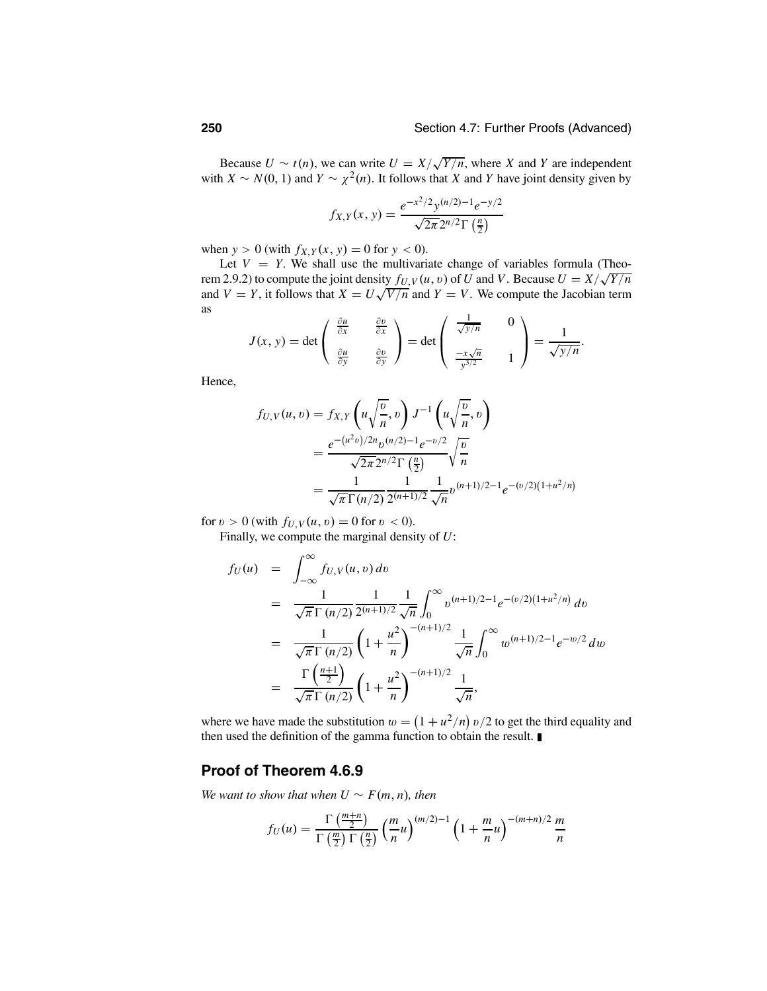Because  $U \sim t(n)$ , we can write  $U = X/\sqrt{Y/n}$ , where *X* and *Y* are independent with *X* ~ *N*(0, 1) and *Y* ~  $\chi^2(n)$ . It follows that *X* and *Y* have joint density given by

$$
f_{X,Y}(x, y) = \frac{e^{-x^2/2}y^{(n/2)-1}e^{-y/2}}{\sqrt{2\pi}2^{n/2}\Gamma(\frac{n}{2})}
$$

when  $y > 0$  (with  $f_{X,Y}(x, y) = 0$  for  $y < 0$ ).

Let  $V = Y$ . We shall use the multivariate change of variables formula (Theorem 2.9.2) to compute the joint density  $f_U$ ,  $v(u, v)$  of *U* and *V*. Because  $U = X/\sqrt{Y/n}$ and  $V = Y$ , it follows that  $X = U\sqrt{V/n}$  and  $Y = V$ . We compute the Jacobian term as 1

$$
J(x, y) = \det \begin{pmatrix} \frac{\partial u}{\partial x} & \frac{\partial v}{\partial x} \\ \frac{\partial u}{\partial y} & \frac{\partial v}{\partial y} \end{pmatrix} = \det \begin{pmatrix} \frac{1}{\sqrt{y/n}} & 0 \\ \frac{-x\sqrt{n}}{y^{3/2}} & 1 \end{pmatrix} = \frac{1}{\sqrt{y/n}}.
$$

Hence,

$$
f_{U,V}(u, v) = f_{X,Y}\left(u\sqrt{\frac{v}{n}}, v\right)J^{-1}\left(u\sqrt{\frac{v}{n}}, v\right)
$$
  
= 
$$
\frac{e^{-(u^2v)/2n}v^{(n/2)-1}e^{-v/2}}{\sqrt{2\pi}2^{n/2}\Gamma\left(\frac{n}{2}\right)}\sqrt{\frac{v}{n}}
$$
  
= 
$$
\frac{1}{\sqrt{\pi}\Gamma(n/2)}\frac{1}{2^{(n+1)/2}}\frac{1}{\sqrt{n}}v^{(n+1)/2-1}e^{-(v/2)(1+u^2/n)}
$$

for  $v > 0$  (with  $f_{U,V}(u, v) = 0$  for  $v < 0$ ).

Finally, we compute the marginal density of *U*:

$$
f_U(u) = \int_{-\infty}^{\infty} f_{U,V}(u, v) dv
$$
  
\n
$$
= \frac{1}{\sqrt{\pi} \Gamma(n/2)} \frac{1}{2^{(n+1)/2}} \frac{1}{\sqrt{n}} \int_{0}^{\infty} v^{(n+1)/2 - 1} e^{-(v/2)(1 + u^2/n)} dv
$$
  
\n
$$
= \frac{1}{\sqrt{\pi} \Gamma(n/2)} \left(1 + \frac{u^2}{n}\right)^{-(n+1)/2} \frac{1}{\sqrt{n}} \int_{0}^{\infty} w^{(n+1)/2 - 1} e^{-w/2} dw
$$
  
\n
$$
= \frac{\Gamma\left(\frac{n+1}{2}\right)}{\sqrt{\pi} \Gamma(n/2)} \left(1 + \frac{u^2}{n}\right)^{-(n+1)/2} \frac{1}{\sqrt{n}},
$$

where we have made the substitution  $w = (1 + u^2/n) v/2$  to get the third equality and then used the definition of the gamma function to obtain the result.

### **Proof of Theorem 4.6.9**

*We want to show that when*  $U \sim F(m, n)$ *, then* 

$$
f_U(u) = \frac{\Gamma\left(\frac{m+n}{2}\right)}{\Gamma\left(\frac{m}{2}\right)\Gamma\left(\frac{n}{2}\right)} \left(\frac{m}{n}u\right)^{(m/2)-1} \left(1 + \frac{m}{n}u\right)^{-(m+n)/2} \frac{m}{n}
$$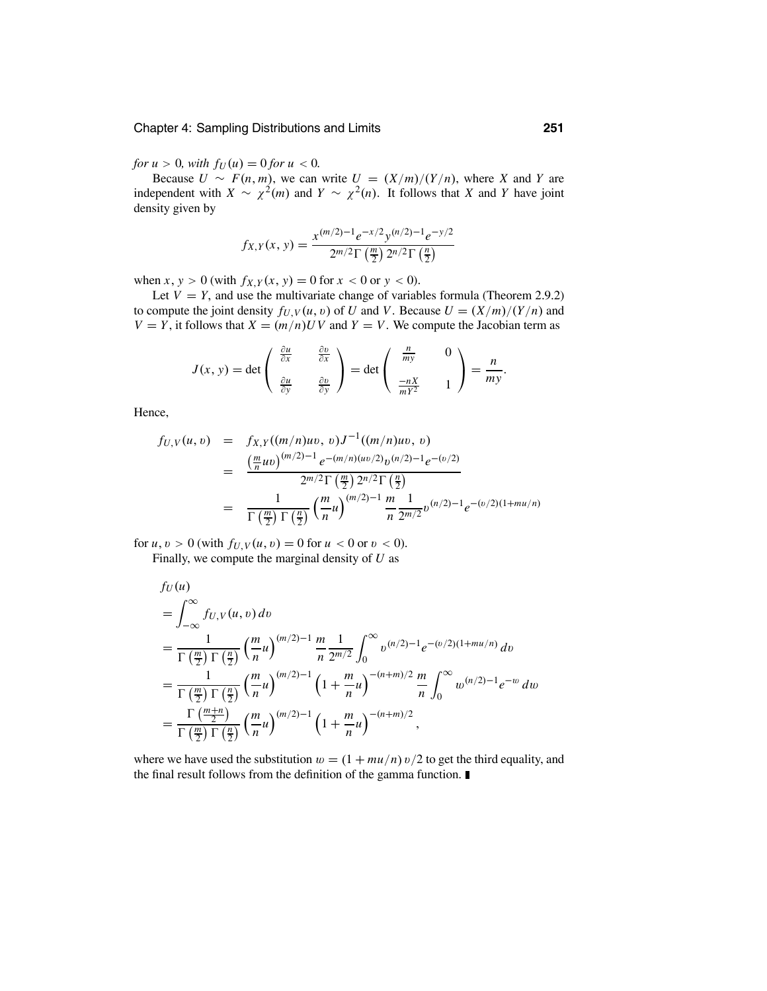*for*  $u > 0$ *, with*  $f_U(u) = 0$  *for*  $u < 0$ *.* 

Because  $U \sim F(n, m)$ , we can write  $U = (X/m)/(Y/n)$ , where *X* and *Y* are independent with  $X \sim \chi^2(m)$  and  $Y \sim \chi^2(n)$ . It follows that *X* and *Y* have joint density given by

$$
f_{X,Y}(x, y) = \frac{x^{(m/2)-1}e^{-x/2}y^{(n/2)-1}e^{-y/2}}{2^{m/2}\Gamma(\frac{m}{2})\,2^{n/2}\Gamma(\frac{n}{2})}
$$

when *x*, *y* > 0 (with  $f_{X,Y}(x, y) = 0$  for  $x < 0$  or  $y < 0$ ).

Let  $V = Y$ , and use the multivariate change of variables formula (Theorem 2.9.2) to compute the joint density  $f_{U,V}(u, v)$  of *U* and *V*. Because  $U = (X/m)/(Y/n)$  and  $V = Y$ , it follows that  $X = (m/n)UV$  and  $Y = V$ . We compute the Jacobian term as

$$
J(x, y) = \det \begin{pmatrix} \frac{\partial u}{\partial x} & \frac{\partial v}{\partial x} \\ \frac{\partial u}{\partial y} & \frac{\partial v}{\partial y} \end{pmatrix} = \det \begin{pmatrix} \frac{n}{m y} & 0 \\ \frac{-nX}{mY^2} & 1 \end{pmatrix} = \frac{n}{m y}.
$$

Hence,

$$
f_{U,V}(u, v) = f_{X,Y}((m/n)uv, v)J^{-1}((m/n)uv, v)
$$
  
= 
$$
\frac{\left(\frac{m}{n}uv\right)^{(m/2)-1}e^{-(m/n)(uv/2)}v^{(n/2)-1}e^{-(v/2)}}{2^{m/2}\Gamma\left(\frac{m}{2}\right)2^{n/2}\Gamma\left(\frac{n}{2}\right)}
$$
  
= 
$$
\frac{1}{\Gamma\left(\frac{m}{2}\right)\Gamma\left(\frac{n}{2}\right)}\left(\frac{m}{n}u\right)^{(m/2)-1}\frac{m}{n}\frac{1}{2^{m/2}}v^{(n/2)-1}e^{-(v/2)(1+mu/n)}
$$

for  $u, v > 0$  (with  $f_{U,V}(u, v) = 0$  for  $u < 0$  or  $v < 0$ ). Finally, we compute the marginal density of *U* as

$$
f_U(u)
$$
  
=  $\int_{-\infty}^{\infty} f_{U,V}(u, v) dv$   
=  $\frac{1}{\Gamma(\frac{m}{2}) \Gamma(\frac{n}{2})} (\frac{m}{n} u)^{(m/2)-1} \frac{m}{n} \frac{1}{2^{m/2}} \int_{0}^{\infty} v^{(n/2)-1} e^{-(v/2)(1+mu/n)} dv$   
=  $\frac{1}{\Gamma(\frac{m}{2}) \Gamma(\frac{n}{2})} (\frac{m}{n} u)^{(m/2)-1} (1 + \frac{m}{n} u)^{-(n+m)/2} \frac{m}{n} \int_{0}^{\infty} w^{(n/2)-1} e^{-w} dw$   
=  $\frac{\Gamma(\frac{m+n}{2})}{\Gamma(\frac{m}{2}) \Gamma(\frac{n}{2})} (\frac{m}{n} u)^{(m/2)-1} (1 + \frac{m}{n} u)^{-(n+m)/2},$ 

where we have used the substitution  $w = (1 + mu/n) v/2$  to get the third equality, and the final result follows from the definition of the gamma function.